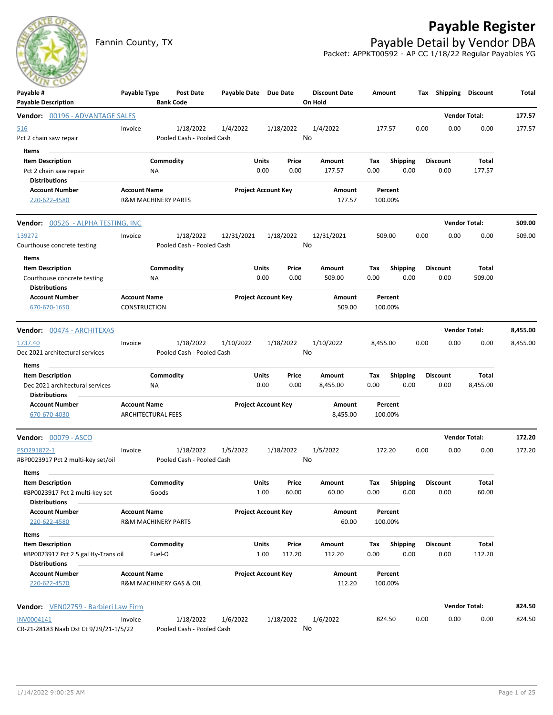## **Payable Register**



Fannin County, TX **Payable Detail by Vendor DBA** Packet: APPKT00592 - AP CC 1/18/22 Regular Payables YG

| Payable #<br><b>Payable Description</b>                                                     | Payable Type                                          | <b>Bank Code</b>    | <b>Post Date</b>                       | Payable Date Due Date |                            |                 | <b>Discount Date</b><br>On Hold | Amount      |                         |      | Tax Shipping Discount   |                      | Total    |
|---------------------------------------------------------------------------------------------|-------------------------------------------------------|---------------------|----------------------------------------|-----------------------|----------------------------|-----------------|---------------------------------|-------------|-------------------------|------|-------------------------|----------------------|----------|
| Vendor: 00196 - ADVANTAGE SALES                                                             |                                                       |                     |                                        |                       |                            |                 |                                 |             |                         |      |                         | <b>Vendor Total:</b> | 177.57   |
| <u>516</u><br>Pct 2 chain saw repair                                                        | Invoice                                               |                     | 1/18/2022<br>Pooled Cash - Pooled Cash | 1/4/2022              |                            | 1/18/2022       | 1/4/2022<br>No                  |             | 177.57                  | 0.00 | 0.00                    | 0.00                 | 177.57   |
| Items<br><b>Item Description</b><br>Pct 2 chain saw repair<br><b>Distributions</b>          |                                                       | Commodity<br>NA     |                                        |                       | <b>Units</b><br>0.00       | Price<br>0.00   | Amount<br>177.57                | Tax<br>0.00 | <b>Shipping</b><br>0.00 |      | <b>Discount</b><br>0.00 | Total<br>177.57      |          |
| <b>Account Number</b><br>220-622-4580                                                       | <b>Account Name</b><br><b>R&amp;M MACHINERY PARTS</b> |                     |                                        |                       | <b>Project Account Key</b> |                 | <b>Amount</b><br>177.57         |             | Percent<br>100.00%      |      |                         |                      |          |
| <b>Vendor:</b> 00526 - ALPHA TESTING, INC                                                   |                                                       |                     |                                        |                       |                            |                 |                                 |             |                         |      |                         | <b>Vendor Total:</b> | 509.00   |
| 139272<br>Courthouse concrete testing                                                       | Invoice                                               |                     | 1/18/2022<br>Pooled Cash - Pooled Cash | 12/31/2021            |                            | 1/18/2022       | 12/31/2021<br>No                |             | 509.00                  | 0.00 | 0.00                    | 0.00                 | 509.00   |
| Items<br><b>Item Description</b><br>Courthouse concrete testing<br>Distributions            |                                                       | Commodity<br>ΝA     |                                        |                       | Units<br>0.00              | Price<br>0.00   | Amount<br>509.00                | Tax<br>0.00 | <b>Shipping</b><br>0.00 |      | <b>Discount</b><br>0.00 | Total<br>509.00      |          |
| <b>Account Number</b><br>670-670-1650                                                       | <b>Account Name</b><br><b>CONSTRUCTION</b>            |                     |                                        |                       | <b>Project Account Key</b> |                 | Amount<br>509.00                |             | Percent<br>100.00%      |      |                         |                      |          |
| Vendor: 00474 - ARCHITEXAS                                                                  |                                                       |                     |                                        |                       |                            |                 |                                 |             |                         |      |                         | <b>Vendor Total:</b> | 8,455.00 |
| 1737.40<br>Dec 2021 architectural services                                                  | Invoice                                               |                     | 1/18/2022<br>Pooled Cash - Pooled Cash | 1/10/2022             |                            | 1/18/2022       | 1/10/2022<br>No                 | 8,455.00    |                         | 0.00 | 0.00                    | 0.00                 | 8,455.00 |
| Items<br><b>Item Description</b><br>Dec 2021 architectural services<br><b>Distributions</b> |                                                       | Commodity<br>ΝA     |                                        |                       | Units<br>0.00              | Price<br>0.00   | Amount<br>8,455.00              | Tax<br>0.00 | <b>Shipping</b><br>0.00 |      | <b>Discount</b><br>0.00 | Total<br>8,455.00    |          |
| <b>Account Number</b><br>670-670-4030                                                       | <b>Account Name</b><br><b>ARCHITECTURAL FEES</b>      |                     |                                        |                       | <b>Project Account Key</b> |                 | Amount<br>8,455.00              |             | Percent<br>100.00%      |      |                         |                      |          |
| <b>Vendor: 00079 - ASCO</b>                                                                 |                                                       |                     |                                        |                       |                            |                 |                                 |             |                         |      |                         | <b>Vendor Total:</b> | 172.20   |
| PSO291872-1<br>#BP0023917 Pct 2 multi-key set/oil                                           | Invoice                                               |                     | 1/18/2022<br>Pooled Cash - Pooled Cash | 1/5/2022              |                            | 1/18/2022       | 1/5/2022<br>No                  |             | 172.20                  | 0.00 | 0.00                    | 0.00                 | 172.20   |
| Items<br><b>Item Description</b><br>#BP0023917 Pct 2 multi-key set<br>Distributions         |                                                       | Commodity<br>Goods  |                                        |                       | Units<br>1.00              | Price<br>60.00  | Amount<br>60.00                 | Tax<br>0.00 | <b>Shipping</b><br>0.00 |      | <b>Discount</b><br>0.00 | Total<br>60.00       |          |
| <b>Account Number</b><br>220-622-4580                                                       | <b>Account Name</b><br><b>R&amp;M MACHINERY PARTS</b> |                     |                                        |                       | <b>Project Account Key</b> |                 | Amount<br>60.00                 |             | Percent<br>100.00%      |      |                         |                      |          |
| Items<br><b>Item Description</b><br>#BP0023917 Pct 2 5 gal Hy-Trans oil                     |                                                       | Commodity<br>Fuel-O |                                        |                       | <b>Units</b><br>1.00       | Price<br>112.20 | Amount<br>112.20                | Tax<br>0.00 | <b>Shipping</b><br>0.00 |      | <b>Discount</b><br>0.00 | Total<br>112.20      |          |
| <b>Distributions</b><br><b>Account Number</b><br>220-622-4570                               | <b>Account Name</b>                                   |                     | R&M MACHINERY GAS & OIL                |                       | <b>Project Account Key</b> |                 | Amount<br>112.20                |             | Percent<br>100.00%      |      |                         |                      |          |
| Vendor: VEN02759 - Barbieri Law Firm                                                        |                                                       |                     |                                        |                       |                            |                 |                                 |             |                         |      |                         | <b>Vendor Total:</b> | 824.50   |
| INV0004141<br>CR-21-28183 Naab Dst Ct 9/29/21-1/5/22                                        | Invoice                                               |                     | 1/18/2022<br>Pooled Cash - Pooled Cash | 1/6/2022              |                            | 1/18/2022       | 1/6/2022<br>No                  |             | 824.50                  | 0.00 | 0.00                    | 0.00                 | 824.50   |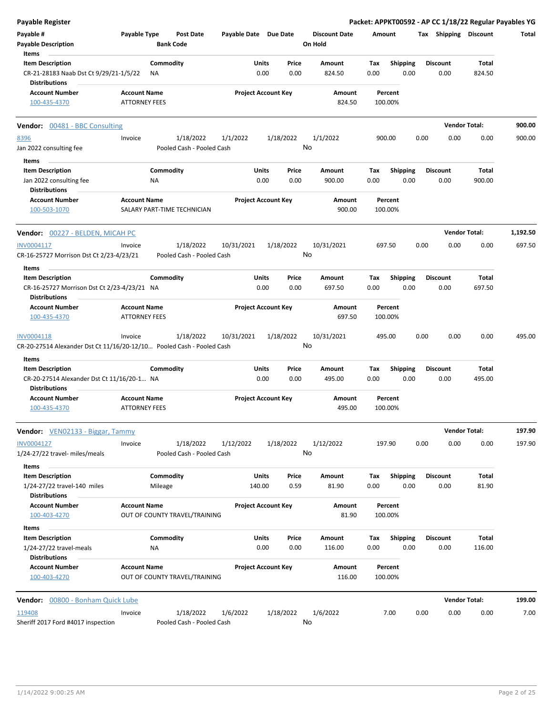| Payable Register                                                                              |                                             |                        |                                        |                       |               |                            |                                 |             |                         |      |                         | Packet: APPKT00592 - AP CC 1/18/22 Regular Payables YG |          |
|-----------------------------------------------------------------------------------------------|---------------------------------------------|------------------------|----------------------------------------|-----------------------|---------------|----------------------------|---------------------------------|-------------|-------------------------|------|-------------------------|--------------------------------------------------------|----------|
| Payable #<br><b>Payable Description</b>                                                       | Payable Type                                |                        | <b>Post Date</b><br><b>Bank Code</b>   | Payable Date Due Date |               |                            | <b>Discount Date</b><br>On Hold | Amount      |                         |      | Tax Shipping Discount   |                                                        | Total    |
| Items                                                                                         |                                             | Commodity              |                                        |                       | <b>Units</b>  | Price                      | Amount                          |             |                         |      |                         |                                                        |          |
| <b>Item Description</b><br>CR-21-28183 Naab Dst Ct 9/29/21-1/5/22<br><b>Distributions</b>     |                                             | ΝA                     |                                        |                       | 0.00          | 0.00                       | 824.50                          | Tax<br>0.00 | <b>Shipping</b><br>0.00 |      | <b>Discount</b><br>0.00 | Total<br>824.50                                        |          |
| <b>Account Number</b><br>100-435-4370                                                         | <b>Account Name</b><br><b>ATTORNEY FEES</b> |                        |                                        |                       |               | <b>Project Account Key</b> | Amount<br>824.50                |             | Percent<br>100.00%      |      |                         |                                                        |          |
| <b>Vendor:</b> 00481 - BBC Consulting                                                         |                                             |                        |                                        |                       |               |                            |                                 |             |                         |      |                         | <b>Vendor Total:</b>                                   | 900.00   |
| 8396                                                                                          | Invoice                                     |                        | 1/18/2022                              | 1/1/2022              |               | 1/18/2022                  | 1/1/2022                        | 900.00      |                         | 0.00 | 0.00                    | 0.00                                                   | 900.00   |
| Jan 2022 consulting fee                                                                       |                                             |                        | Pooled Cash - Pooled Cash              |                       |               | No                         |                                 |             |                         |      |                         |                                                        |          |
| Items                                                                                         |                                             |                        |                                        |                       |               |                            |                                 |             |                         |      |                         |                                                        |          |
| <b>Item Description</b><br>Jan 2022 consulting fee                                            |                                             | Commodity<br><b>NA</b> |                                        |                       | Units<br>0.00 | Price<br>0.00              | Amount<br>900.00                | Tax<br>0.00 | <b>Shipping</b><br>0.00 |      | <b>Discount</b><br>0.00 | Total<br>900.00                                        |          |
| <b>Distributions</b>                                                                          |                                             |                        |                                        |                       |               |                            |                                 |             |                         |      |                         |                                                        |          |
| <b>Account Number</b><br>100-503-1070                                                         | <b>Account Name</b>                         |                        | SALARY PART-TIME TECHNICIAN            |                       |               | <b>Project Account Key</b> | Amount<br>900.00                |             | Percent<br>100.00%      |      |                         |                                                        |          |
| <b>Vendor:</b> 00227 - BELDEN, MICAH PC                                                       |                                             |                        |                                        |                       |               |                            |                                 |             |                         |      |                         | <b>Vendor Total:</b>                                   | 1,192.50 |
| INV0004117                                                                                    | Invoice                                     |                        | 1/18/2022                              | 10/31/2021            |               | 1/18/2022                  | 10/31/2021                      | 697.50      |                         | 0.00 | 0.00                    | 0.00                                                   | 697.50   |
| CR-16-25727 Morrison Dst Ct 2/23-4/23/21                                                      |                                             |                        | Pooled Cash - Pooled Cash              |                       |               | No                         |                                 |             |                         |      |                         |                                                        |          |
| Items                                                                                         |                                             |                        |                                        |                       |               |                            |                                 |             |                         |      |                         |                                                        |          |
| <b>Item Description</b>                                                                       |                                             | Commodity              |                                        |                       | Units         | Price                      | Amount                          | Tax         | <b>Shipping</b>         |      | <b>Discount</b>         | Total                                                  |          |
| CR-16-25727 Morrison Dst Ct 2/23-4/23/21 NA<br><b>Distributions</b>                           |                                             |                        |                                        |                       | 0.00          | 0.00                       | 697.50                          | 0.00        | 0.00                    |      | 0.00                    | 697.50                                                 |          |
| <b>Account Number</b><br>100-435-4370                                                         | <b>Account Name</b><br><b>ATTORNEY FEES</b> |                        |                                        |                       |               | <b>Project Account Key</b> | Amount<br>697.50                |             | Percent<br>100.00%      |      |                         |                                                        |          |
| INV0004118                                                                                    | Invoice                                     |                        | 1/18/2022                              | 10/31/2021            |               | 1/18/2022                  | 10/31/2021                      | 495.00      |                         | 0.00 | 0.00                    | 0.00                                                   | 495.00   |
| CR-20-27514 Alexander Dst Ct 11/16/20-12/10 Pooled Cash - Pooled Cash                         |                                             |                        |                                        |                       |               | No                         |                                 |             |                         |      |                         |                                                        |          |
| Items                                                                                         |                                             | Commodity              |                                        |                       |               |                            |                                 |             |                         |      |                         |                                                        |          |
| <b>Item Description</b><br>CR-20-27514 Alexander Dst Ct 11/16/20-1 NA<br><b>Distributions</b> |                                             |                        |                                        |                       | Units<br>0.00 | Price<br>0.00              | Amount<br>495.00                | Tax<br>0.00 | <b>Shipping</b><br>0.00 |      | <b>Discount</b><br>0.00 | Total<br>495.00                                        |          |
| <b>Account Number</b>                                                                         | <b>Account Name</b>                         |                        |                                        |                       |               | <b>Project Account Key</b> | Amount                          |             | Percent                 |      |                         |                                                        |          |
| 100-435-4370                                                                                  | <b>ATTORNEY FEES</b>                        |                        |                                        |                       |               |                            | 495.00                          |             | 100.00%                 |      |                         |                                                        |          |
| Vendor: VEN02133 - Biggar, Tammy                                                              |                                             |                        |                                        |                       |               |                            |                                 |             |                         |      |                         | <b>Vendor Total:</b>                                   | 197.90   |
| INV0004127<br>1/24-27/22 travel- miles/meals                                                  | Invoice                                     |                        | 1/18/2022<br>Pooled Cash - Pooled Cash | 1/12/2022             |               | 1/18/2022<br>No            | 1/12/2022                       | 197.90      |                         | 0.00 | 0.00                    | 0.00                                                   | 197.90   |
| Items                                                                                         |                                             |                        |                                        |                       |               |                            |                                 |             |                         |      |                         |                                                        |          |
| <b>Item Description</b>                                                                       |                                             | Commodity              |                                        |                       | Units         | Price                      | Amount                          | Tax         | <b>Shipping</b>         |      | <b>Discount</b>         | Total                                                  |          |
| 1/24-27/22 travel-140 miles<br><b>Distributions</b>                                           |                                             | Mileage                |                                        |                       | 140.00        | 0.59                       | 81.90                           | 0.00        | 0.00                    |      | 0.00                    | 81.90                                                  |          |
| <b>Account Number</b>                                                                         | <b>Account Name</b>                         |                        |                                        |                       |               | <b>Project Account Key</b> | Amount                          |             | Percent                 |      |                         |                                                        |          |
| 100-403-4270                                                                                  |                                             |                        | OUT OF COUNTY TRAVEL/TRAINING          |                       |               |                            | 81.90                           |             | 100.00%                 |      |                         |                                                        |          |
| Items<br><b>Item Description</b>                                                              |                                             | Commodity              |                                        |                       | Units         | Price                      | Amount                          | Tax         | <b>Shipping</b>         |      | <b>Discount</b>         | Total                                                  |          |
| 1/24-27/22 travel-meals                                                                       |                                             | NA                     |                                        |                       | 0.00          | 0.00                       | 116.00                          | 0.00        | 0.00                    |      | 0.00                    | 116.00                                                 |          |
| <b>Distributions</b><br><b>Account Number</b><br>100-403-4270                                 | <b>Account Name</b>                         |                        | OUT OF COUNTY TRAVEL/TRAINING          |                       |               | <b>Project Account Key</b> | Amount<br>116.00                |             | Percent<br>100.00%      |      |                         |                                                        |          |
| Vendor: 00800 - Bonham Quick Lube                                                             |                                             |                        |                                        |                       |               |                            |                                 |             |                         |      |                         | <b>Vendor Total:</b>                                   | 199.00   |
| 119408                                                                                        | Invoice                                     |                        | 1/18/2022                              | 1/6/2022              |               | 1/18/2022                  | 1/6/2022                        |             | 7.00                    | 0.00 | 0.00                    | 0.00                                                   | 7.00     |
| Sheriff 2017 Ford #4017 inspection                                                            |                                             |                        | Pooled Cash - Pooled Cash              |                       |               | No                         |                                 |             |                         |      |                         |                                                        |          |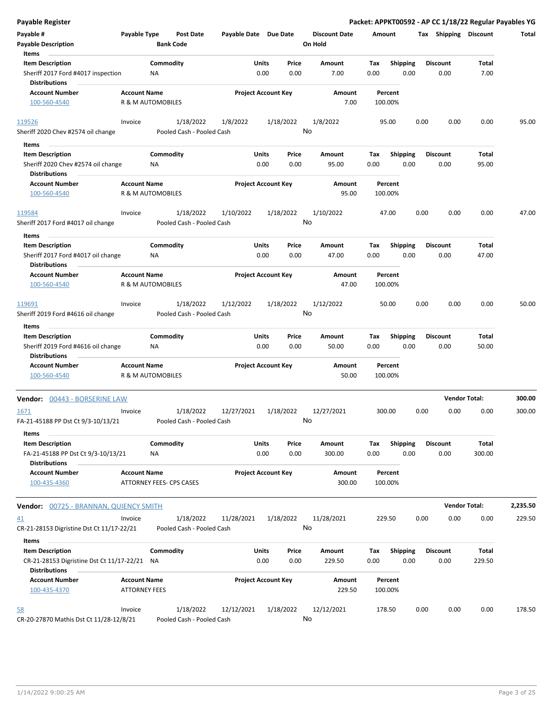| <b>Payable Register</b>                                           |                                          |                  |                           |                       |                            |           |                      |        |                    |      |                       | Packet: APPKT00592 - AP CC 1/18/22 Regular Payables YG |          |
|-------------------------------------------------------------------|------------------------------------------|------------------|---------------------------|-----------------------|----------------------------|-----------|----------------------|--------|--------------------|------|-----------------------|--------------------------------------------------------|----------|
| Payable #                                                         | Payable Type                             |                  | Post Date                 | Payable Date Due Date |                            |           | <b>Discount Date</b> | Amount |                    |      | Tax Shipping Discount |                                                        | Total    |
| <b>Payable Description</b>                                        |                                          | <b>Bank Code</b> |                           |                       |                            |           | On Hold              |        |                    |      |                       |                                                        |          |
| Items                                                             |                                          |                  |                           |                       |                            |           |                      |        |                    |      |                       |                                                        |          |
| <b>Item Description</b>                                           |                                          | Commodity        |                           |                       | Units                      | Price     | Amount               | Tax    | <b>Shipping</b>    |      | <b>Discount</b>       | Total                                                  |          |
| Sheriff 2017 Ford #4017 inspection<br><b>Distributions</b>        |                                          | <b>NA</b>        |                           |                       | 0.00                       | 0.00      | 7.00                 | 0.00   | 0.00               |      | 0.00                  | 7.00                                                   |          |
| <b>Account Number</b>                                             | <b>Account Name</b>                      |                  |                           |                       | <b>Project Account Key</b> |           | Amount               |        | Percent            |      |                       |                                                        |          |
| 100-560-4540                                                      | R & M AUTOMOBILES                        |                  |                           |                       |                            |           | 7.00                 |        | 100.00%            |      |                       |                                                        |          |
| 119526                                                            | Invoice                                  |                  | 1/18/2022                 | 1/8/2022              |                            | 1/18/2022 | 1/8/2022             |        | 95.00              | 0.00 | 0.00                  | 0.00                                                   | 95.00    |
| Sheriff 2020 Chev #2574 oil change                                |                                          |                  | Pooled Cash - Pooled Cash |                       |                            |           | No                   |        |                    |      |                       |                                                        |          |
| Items                                                             |                                          |                  |                           |                       |                            |           |                      |        |                    |      |                       |                                                        |          |
| <b>Item Description</b>                                           |                                          | Commodity        |                           |                       | Units                      | Price     | Amount               | Tax    | <b>Shipping</b>    |      | <b>Discount</b>       | Total                                                  |          |
| Sheriff 2020 Chev #2574 oil change                                |                                          | NA.              |                           |                       | 0.00                       | 0.00      | 95.00                | 0.00   | 0.00               |      | 0.00                  | 95.00                                                  |          |
| <b>Distributions</b>                                              |                                          |                  |                           |                       |                            |           |                      |        |                    |      |                       |                                                        |          |
| <b>Account Number</b><br>100-560-4540                             | <b>Account Name</b><br>R & M AUTOMOBILES |                  |                           |                       | <b>Project Account Key</b> |           | Amount<br>95.00      |        | Percent<br>100.00% |      |                       |                                                        |          |
| 119584                                                            | Invoice                                  |                  | 1/18/2022                 | 1/10/2022             |                            | 1/18/2022 | 1/10/2022            |        | 47.00              | 0.00 | 0.00                  | 0.00                                                   | 47.00    |
| Sheriff 2017 Ford #4017 oil change                                |                                          |                  | Pooled Cash - Pooled Cash |                       |                            |           | No                   |        |                    |      |                       |                                                        |          |
| Items                                                             |                                          |                  |                           |                       |                            |           |                      |        |                    |      |                       |                                                        |          |
| <b>Item Description</b>                                           |                                          | Commodity        |                           |                       | Units                      | Price     | Amount               | Tax    | <b>Shipping</b>    |      | <b>Discount</b>       | Total                                                  |          |
| Sheriff 2017 Ford #4017 oil change<br><b>Distributions</b>        |                                          | ΝA               |                           |                       | 0.00                       | 0.00      | 47.00                | 0.00   | 0.00               |      | 0.00                  | 47.00                                                  |          |
| <b>Account Number</b>                                             | <b>Account Name</b>                      |                  |                           |                       | <b>Project Account Key</b> |           | Amount               |        | Percent            |      |                       |                                                        |          |
| 100-560-4540                                                      | R & M AUTOMOBILES                        |                  |                           |                       |                            |           | 47.00                |        | 100.00%            |      |                       |                                                        |          |
| 119691                                                            | Invoice                                  |                  | 1/18/2022                 | 1/12/2022             |                            | 1/18/2022 | 1/12/2022            |        | 50.00              | 0.00 | 0.00                  | 0.00                                                   | 50.00    |
| Sheriff 2019 Ford #4616 oil change<br>Items                       |                                          |                  | Pooled Cash - Pooled Cash |                       |                            |           | No                   |        |                    |      |                       |                                                        |          |
| <b>Item Description</b>                                           |                                          | Commodity        |                           |                       | Units                      | Price     | Amount               | Tax    | <b>Shipping</b>    |      | <b>Discount</b>       | Total                                                  |          |
| Sheriff 2019 Ford #4616 oil change                                |                                          | NA               |                           |                       | 0.00                       | 0.00      | 50.00                | 0.00   | 0.00               |      | 0.00                  | 50.00                                                  |          |
| <b>Distributions</b>                                              |                                          |                  |                           |                       |                            |           |                      |        |                    |      |                       |                                                        |          |
| <b>Account Number</b>                                             | <b>Account Name</b>                      |                  |                           |                       | <b>Project Account Key</b> |           | Amount               |        | Percent            |      |                       |                                                        |          |
| 100-560-4540                                                      | <b>R &amp; M AUTOMOBILES</b>             |                  |                           |                       |                            |           | 50.00                |        | 100.00%            |      |                       |                                                        |          |
| <b>Vendor: 00443 - BORSERINE LAW</b>                              |                                          |                  |                           |                       |                            |           |                      |        |                    |      |                       | <b>Vendor Total:</b>                                   | 300.00   |
| <u> 1671</u>                                                      | Invoice                                  |                  | 1/18/2022                 | 12/27/2021            |                            | 1/18/2022 | 12/27/2021           |        | 300.00             | 0.00 | 0.00                  | 0.00                                                   | 300.00   |
| FA-21-45188 PP Dst Ct 9/3-10/13/21                                |                                          |                  | Pooled Cash - Pooled Cash |                       |                            |           | No                   |        |                    |      |                       |                                                        |          |
| Items<br><b>Item Description</b>                                  |                                          | Commodity        |                           |                       | Units                      | Price     | Amount               | Tax    | <b>Shipping</b>    |      | <b>Discount</b>       | Total                                                  |          |
| FA-21-45188 PP Dst Ct 9/3-10/13/21                                |                                          | NA               |                           |                       | 0.00                       | 0.00      | 300.00               | 0.00   | 0.00               |      | 0.00                  | 300.00                                                 |          |
| <b>Distributions</b><br><b>Account Number</b>                     | <b>Account Name</b>                      |                  |                           |                       | <b>Project Account Key</b> |           | Amount               |        | Percent            |      |                       |                                                        |          |
| 100-435-4360                                                      | ATTORNEY FEES- CPS CASES                 |                  |                           |                       |                            |           | 300.00               |        | 100.00%            |      |                       |                                                        |          |
| <b>Vendor: 00725 - BRANNAN, QUIENCY SMITH</b>                     |                                          |                  |                           |                       |                            |           |                      |        |                    |      |                       | <b>Vendor Total:</b>                                   | 2,235.50 |
| 41                                                                | Invoice                                  |                  | 1/18/2022                 | 11/28/2021            |                            | 1/18/2022 | 11/28/2021           |        | 229.50             | 0.00 | 0.00                  | 0.00                                                   | 229.50   |
| CR-21-28153 Digristine Dst Ct 11/17-22/21                         |                                          |                  | Pooled Cash - Pooled Cash |                       |                            |           | No                   |        |                    |      |                       |                                                        |          |
| Items                                                             |                                          |                  |                           |                       |                            |           |                      |        |                    |      |                       |                                                        |          |
| <b>Item Description</b>                                           |                                          | Commodity        |                           |                       | Units                      | Price     | Amount               | Tax    | Shipping           |      | <b>Discount</b>       | Total                                                  |          |
| CR-21-28153 Digristine Dst Ct 11/17-22/21<br><b>Distributions</b> |                                          | NA               |                           |                       | 0.00                       | 0.00      | 229.50               | 0.00   | 0.00               |      | 0.00                  | 229.50                                                 |          |
| <b>Account Number</b>                                             | <b>Account Name</b>                      |                  |                           |                       | <b>Project Account Key</b> |           | Amount               |        | Percent            |      |                       |                                                        |          |
| 100-435-4370                                                      | <b>ATTORNEY FEES</b>                     |                  |                           |                       |                            |           | 229.50               |        | 100.00%            |      |                       |                                                        |          |
| <u>58</u>                                                         | Invoice                                  |                  | 1/18/2022                 | 12/12/2021            |                            | 1/18/2022 | 12/12/2021           |        | 178.50             | 0.00 | 0.00                  | 0.00                                                   | 178.50   |
| CR-20-27870 Mathis Dst Ct 11/28-12/8/21                           |                                          |                  | Pooled Cash - Pooled Cash |                       |                            |           | No                   |        |                    |      |                       |                                                        |          |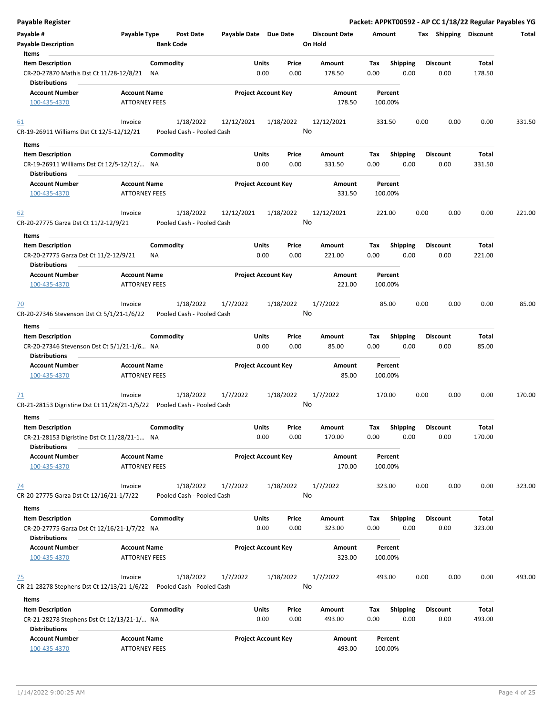| Payable Register                                                                 |                      |                           |                       |                            |               |                      |             |                  |      |                         |                 | Packet: APPKT00592 - AP CC 1/18/22 Regular Payables YG |
|----------------------------------------------------------------------------------|----------------------|---------------------------|-----------------------|----------------------------|---------------|----------------------|-------------|------------------|------|-------------------------|-----------------|--------------------------------------------------------|
| Payable #                                                                        | Payable Type         | <b>Post Date</b>          | Payable Date Due Date |                            |               | <b>Discount Date</b> | Amount      |                  |      | Tax Shipping Discount   |                 | Total                                                  |
| <b>Payable Description</b>                                                       |                      | <b>Bank Code</b>          |                       |                            |               | On Hold              |             |                  |      |                         |                 |                                                        |
| Items                                                                            |                      |                           |                       |                            |               |                      |             |                  |      |                         |                 |                                                        |
| <b>Item Description</b>                                                          |                      | Commodity                 |                       | Units                      | Price         | <b>Amount</b>        | Tax         | <b>Shipping</b>  |      | <b>Discount</b>         | Total           |                                                        |
| CR-20-27870 Mathis Dst Ct 11/28-12/8/21                                          | ΝA                   |                           |                       | 0.00                       | 0.00          | 178.50               | 0.00        | 0.00             |      | 0.00                    | 178.50          |                                                        |
| <b>Distributions</b>                                                             |                      |                           |                       |                            |               |                      |             |                  |      |                         |                 |                                                        |
| <b>Account Number</b>                                                            | <b>Account Name</b>  |                           |                       | <b>Project Account Key</b> |               | Amount               |             | Percent          |      |                         |                 |                                                        |
| 100-435-4370                                                                     | <b>ATTORNEY FEES</b> |                           |                       |                            |               | 178.50               | 100.00%     |                  |      |                         |                 |                                                        |
|                                                                                  | Invoice              | 1/18/2022                 | 12/12/2021            |                            | 1/18/2022     | 12/12/2021           | 331.50      |                  | 0.00 | 0.00                    | 0.00            | 331.50                                                 |
| 61                                                                               |                      | Pooled Cash - Pooled Cash |                       |                            | No            |                      |             |                  |      |                         |                 |                                                        |
| CR-19-26911 Williams Dst Ct 12/5-12/12/21                                        |                      |                           |                       |                            |               |                      |             |                  |      |                         |                 |                                                        |
| Items                                                                            |                      |                           |                       |                            |               |                      |             |                  |      |                         |                 |                                                        |
| <b>Item Description</b>                                                          |                      | Commodity                 |                       | Units                      | Price         | Amount               | Tax         | <b>Shipping</b>  |      | <b>Discount</b>         | Total           |                                                        |
| CR-19-26911 Williams Dst Ct 12/5-12/12/ NA<br><b>Distributions</b>               |                      |                           |                       | 0.00                       | 0.00          | 331.50               | 0.00        | 0.00             |      | 0.00                    | 331.50          |                                                        |
| <b>Account Number</b>                                                            | <b>Account Name</b>  |                           |                       | <b>Project Account Key</b> |               | Amount               |             | Percent          |      |                         |                 |                                                        |
| 100-435-4370                                                                     | <b>ATTORNEY FEES</b> |                           |                       |                            |               | 331.50               | 100.00%     |                  |      |                         |                 |                                                        |
| 62                                                                               | Invoice              | 1/18/2022                 | 12/12/2021            |                            | 1/18/2022     | 12/12/2021           | 221.00      |                  | 0.00 | 0.00                    | 0.00            | 221.00                                                 |
| CR-20-27775 Garza Dst Ct 11/2-12/9/21                                            |                      | Pooled Cash - Pooled Cash |                       |                            | No            |                      |             |                  |      |                         |                 |                                                        |
| Items                                                                            |                      |                           |                       |                            |               |                      |             |                  |      |                         |                 |                                                        |
| <b>Item Description</b><br>CR-20-27775 Garza Dst Ct 11/2-12/9/21                 | ΝA                   | Commodity                 |                       | Units<br>0.00              | Price<br>0.00 | Amount<br>221.00     | Tax<br>0.00 | Shipping<br>0.00 |      | <b>Discount</b><br>0.00 | Total<br>221.00 |                                                        |
| <b>Distributions</b>                                                             |                      |                           |                       |                            |               |                      |             |                  |      |                         |                 |                                                        |
| <b>Account Number</b>                                                            | <b>Account Name</b>  |                           |                       | <b>Project Account Key</b> |               | Amount               |             | Percent          |      |                         |                 |                                                        |
| 100-435-4370                                                                     | <b>ATTORNEY FEES</b> |                           |                       |                            |               | 221.00               | 100.00%     |                  |      |                         |                 |                                                        |
| $\overline{20}$                                                                  | Invoice              | 1/18/2022                 | 1/7/2022              |                            | 1/18/2022     | 1/7/2022             |             | 85.00            | 0.00 | 0.00                    | 0.00            | 85.00                                                  |
| CR-20-27346 Stevenson Dst Ct 5/1/21-1/6/22                                       |                      | Pooled Cash - Pooled Cash |                       |                            | No            |                      |             |                  |      |                         |                 |                                                        |
| Items                                                                            |                      |                           |                       |                            |               |                      |             |                  |      |                         |                 |                                                        |
| <b>Item Description</b>                                                          |                      | Commodity                 |                       | Units                      | Price         | Amount               | Tax         | <b>Shipping</b>  |      | <b>Discount</b>         | Total           |                                                        |
| CR-20-27346 Stevenson Dst Ct 5/1/21-1/6 NA<br><b>Distributions</b>               |                      |                           |                       | 0.00                       | 0.00          | 85.00                | 0.00        | 0.00             |      | 0.00                    | 85.00           |                                                        |
| <b>Account Number</b>                                                            | <b>Account Name</b>  |                           |                       | <b>Project Account Key</b> |               | Amount               |             | Percent          |      |                         |                 |                                                        |
|                                                                                  | <b>ATTORNEY FEES</b> |                           |                       |                            |               | 85.00                | 100.00%     |                  |      |                         |                 |                                                        |
| 100-435-4370                                                                     |                      |                           |                       |                            |               |                      |             |                  |      |                         |                 |                                                        |
|                                                                                  | Invoice              | 1/18/2022                 | 1/7/2022              |                            | 1/18/2022     | 1/7/2022             | 170.00      |                  | 0.00 | 0.00                    | 0.00            | 170.00                                                 |
| 71<br>CR-21-28153 Digristine Dst Ct 11/28/21-1/5/22    Pooled Cash - Pooled Cash |                      |                           |                       |                            | No            |                      |             |                  |      |                         |                 |                                                        |
|                                                                                  |                      |                           |                       |                            |               |                      |             |                  |      |                         |                 |                                                        |
| Items                                                                            |                      |                           |                       |                            |               |                      |             |                  |      |                         |                 |                                                        |
| <b>Item Description</b>                                                          |                      | Commodity                 |                       | Units                      | Price         | Amount               | Tax         | <b>Shipping</b>  |      | <b>Discount</b>         | Total           |                                                        |
| CR-21-28153 Digristine Dst Ct 11/28/21-1 NA                                      |                      |                           |                       | 0.00                       | 0.00          | 170.00               | 0.00        | 0.00             |      | 0.00                    | 170.00          |                                                        |
| <b>Distributions</b>                                                             |                      |                           |                       |                            |               |                      |             |                  |      |                         |                 |                                                        |
| <b>Account Number</b>                                                            | <b>Account Name</b>  |                           |                       | <b>Project Account Key</b> |               | Amount               |             | Percent          |      |                         |                 |                                                        |
| 100-435-4370                                                                     | <b>ATTORNEY FEES</b> |                           |                       |                            |               | 170.00               | 100.00%     |                  |      |                         |                 |                                                        |
|                                                                                  |                      |                           |                       |                            |               |                      |             |                  |      |                         |                 |                                                        |
| <u>74</u>                                                                        | Invoice              | 1/18/2022                 | 1/7/2022              |                            | 1/18/2022     | 1/7/2022             | 323.00      |                  | 0.00 | 0.00                    | 0.00            | 323.00                                                 |
| CR-20-27775 Garza Dst Ct 12/16/21-1/7/22                                         |                      | Pooled Cash - Pooled Cash |                       |                            | No            |                      |             |                  |      |                         |                 |                                                        |
| Items                                                                            |                      |                           |                       |                            |               |                      |             |                  |      |                         |                 |                                                        |
| <b>Item Description</b>                                                          |                      | Commodity                 |                       | <b>Units</b>               | Price         | Amount               | Тах         | <b>Shipping</b>  |      | <b>Discount</b>         | Total           |                                                        |
| CR-20-27775 Garza Dst Ct 12/16/21-1/7/22 NA                                      |                      |                           |                       | 0.00                       | 0.00          | 323.00               | 0.00        | 0.00             |      | 0.00                    | 323.00          |                                                        |
| <b>Distributions</b>                                                             |                      |                           |                       |                            |               |                      |             |                  |      |                         |                 |                                                        |
| <b>Account Number</b>                                                            | <b>Account Name</b>  |                           |                       | <b>Project Account Key</b> |               | Amount               |             | Percent          |      |                         |                 |                                                        |
| 100-435-4370                                                                     | <b>ATTORNEY FEES</b> |                           |                       |                            |               | 323.00               | 100.00%     |                  |      |                         |                 |                                                        |
|                                                                                  |                      |                           |                       |                            |               |                      |             |                  |      |                         |                 |                                                        |
| 75                                                                               | Invoice              | 1/18/2022                 | 1/7/2022              |                            | 1/18/2022     | 1/7/2022             | 493.00      |                  | 0.00 | 0.00                    | 0.00            | 493.00                                                 |
| CR-21-28278 Stephens Dst Ct 12/13/21-1/6/22    Pooled Cash - Pooled Cash         |                      |                           |                       |                            | No            |                      |             |                  |      |                         |                 |                                                        |
| Items                                                                            |                      |                           |                       |                            |               |                      |             |                  |      |                         |                 |                                                        |
| <b>Item Description</b>                                                          |                      | Commodity                 |                       | Units                      | Price         | Amount               | Tax         | <b>Shipping</b>  |      | <b>Discount</b>         | Total           |                                                        |
| CR-21-28278 Stephens Dst Ct 12/13/21-1/ NA                                       |                      |                           |                       | 0.00                       | 0.00          | 493.00               | 0.00        | 0.00             |      | 0.00                    | 493.00          |                                                        |
| <b>Distributions</b>                                                             |                      |                           |                       |                            |               |                      |             |                  |      |                         |                 |                                                        |
| <b>Account Number</b>                                                            | <b>Account Name</b>  |                           |                       | <b>Project Account Key</b> |               | Amount               |             | Percent          |      |                         |                 |                                                        |
| 100-435-4370                                                                     | <b>ATTORNEY FEES</b> |                           |                       |                            |               | 493.00               | 100.00%     |                  |      |                         |                 |                                                        |
|                                                                                  |                      |                           |                       |                            |               |                      |             |                  |      |                         |                 |                                                        |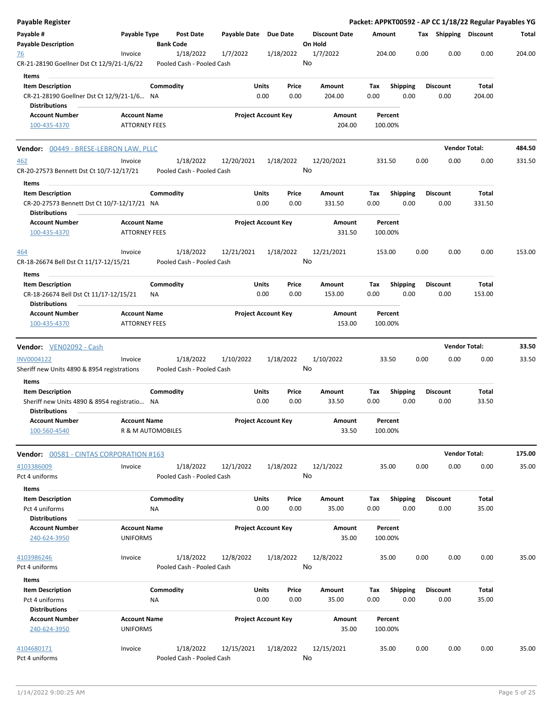| Payable Register                                       |                                             |           |                                        |                       |                            |                      |        |                    |      |      |                       | Packet: APPKT00592 - AP CC 1/18/22 Regular Payables YG |        |
|--------------------------------------------------------|---------------------------------------------|-----------|----------------------------------------|-----------------------|----------------------------|----------------------|--------|--------------------|------|------|-----------------------|--------------------------------------------------------|--------|
| Payable #                                              | Payable Type                                |           | Post Date                              | Payable Date Due Date |                            | <b>Discount Date</b> |        | Amount             |      |      | Tax Shipping Discount |                                                        | Total  |
| <b>Payable Description</b>                             |                                             |           | <b>Bank Code</b>                       |                       |                            | On Hold              |        |                    |      |      |                       |                                                        |        |
| <u>76</u>                                              | Invoice                                     |           | 1/18/2022                              | 1/7/2022              | 1/18/2022                  | 1/7/2022             |        | 204.00             |      | 0.00 | 0.00                  | 0.00                                                   | 204.00 |
| CR-21-28190 Goellner Dst Ct 12/9/21-1/6/22             |                                             |           | Pooled Cash - Pooled Cash              |                       |                            | No                   |        |                    |      |      |                       |                                                        |        |
| Items                                                  |                                             |           |                                        |                       |                            |                      |        |                    |      |      |                       |                                                        |        |
| <b>Item Description</b>                                |                                             | Commodity |                                        |                       | Units<br>Price             | Amount               | Tax    | <b>Shipping</b>    |      |      | <b>Discount</b>       | Total                                                  |        |
| CR-21-28190 Goellner Dst Ct 12/9/21-1/6 NA             |                                             |           |                                        |                       | 0.00<br>0.00               | 204.00               | 0.00   |                    | 0.00 |      | 0.00                  | 204.00                                                 |        |
| <b>Distributions</b>                                   |                                             |           |                                        |                       |                            |                      |        |                    |      |      |                       |                                                        |        |
| <b>Account Number</b>                                  | <b>Account Name</b>                         |           |                                        |                       | <b>Project Account Key</b> | Amount               |        | Percent            |      |      |                       |                                                        |        |
| 100-435-4370                                           | <b>ATTORNEY FEES</b>                        |           |                                        |                       |                            |                      | 204.00 | 100.00%            |      |      |                       |                                                        |        |
| Vendor: 00449 - BRESE-LEBRON LAW, PLLC                 |                                             |           |                                        |                       |                            |                      |        |                    |      |      | <b>Vendor Total:</b>  |                                                        | 484.50 |
|                                                        |                                             |           |                                        |                       |                            |                      |        |                    |      |      |                       |                                                        |        |
| <u>462</u><br>CR-20-27573 Bennett Dst Ct 10/7-12/17/21 | Invoice                                     |           | 1/18/2022<br>Pooled Cash - Pooled Cash | 12/20/2021            | 1/18/2022                  | 12/20/2021<br>No     |        | 331.50             |      | 0.00 | 0.00                  | 0.00                                                   | 331.50 |
|                                                        |                                             |           |                                        |                       |                            |                      |        |                    |      |      |                       |                                                        |        |
| Items                                                  |                                             |           |                                        |                       |                            |                      |        |                    |      |      |                       |                                                        |        |
| <b>Item Description</b>                                |                                             | Commodity |                                        |                       | Units<br>Price             | Amount               | Tax    | <b>Shipping</b>    |      |      | Discount              | Total                                                  |        |
| CR-20-27573 Bennett Dst Ct 10/7-12/17/21 NA            |                                             |           |                                        |                       | 0.00<br>0.00               | 331.50               | 0.00   |                    | 0.00 |      | 0.00                  | 331.50                                                 |        |
| <b>Distributions</b><br><b>Account Number</b>          | <b>Account Name</b>                         |           |                                        |                       | <b>Project Account Key</b> |                      |        | Percent            |      |      |                       |                                                        |        |
| 100-435-4370                                           | <b>ATTORNEY FEES</b>                        |           |                                        |                       |                            | Amount               | 331.50 | 100.00%            |      |      |                       |                                                        |        |
|                                                        |                                             |           |                                        |                       |                            |                      |        |                    |      |      |                       |                                                        |        |
| 464                                                    | Invoice                                     |           | 1/18/2022<br>Pooled Cash - Pooled Cash | 12/21/2021            | 1/18/2022                  | 12/21/2021<br>No     |        | 153.00             |      | 0.00 | 0.00                  | 0.00                                                   | 153.00 |
| CR-18-26674 Bell Dst Ct 11/17-12/15/21                 |                                             |           |                                        |                       |                            |                      |        |                    |      |      |                       |                                                        |        |
| Items                                                  |                                             |           |                                        |                       |                            |                      |        |                    |      |      |                       |                                                        |        |
| <b>Item Description</b>                                |                                             | Commodity |                                        |                       | Units<br>Price             | Amount               | Тах    | <b>Shipping</b>    |      |      | <b>Discount</b>       | Total                                                  |        |
| CR-18-26674 Bell Dst Ct 11/17-12/15/21                 |                                             | ΝA        |                                        |                       | 0.00<br>0.00               | 153.00               | 0.00   |                    | 0.00 |      | 0.00                  | 153.00                                                 |        |
| <b>Distributions</b>                                   |                                             |           |                                        |                       |                            |                      |        |                    |      |      |                       |                                                        |        |
| <b>Account Number</b><br>100-435-4370                  | <b>Account Name</b><br><b>ATTORNEY FEES</b> |           |                                        |                       | <b>Project Account Key</b> | Amount               | 153.00 | Percent<br>100.00% |      |      |                       |                                                        |        |
|                                                        |                                             |           |                                        |                       |                            |                      |        |                    |      |      |                       |                                                        |        |
| Vendor: VEN02092 - Cash                                |                                             |           |                                        |                       |                            |                      |        |                    |      |      | <b>Vendor Total:</b>  |                                                        | 33.50  |
| INV0004122                                             | Invoice                                     |           | 1/18/2022                              | 1/10/2022             | 1/18/2022                  | 1/10/2022            |        | 33.50              |      | 0.00 | 0.00                  | 0.00                                                   | 33.50  |
| Sheriff new Units 4890 & 8954 registrations            |                                             |           | Pooled Cash - Pooled Cash              |                       |                            | No                   |        |                    |      |      |                       |                                                        |        |
| Items                                                  |                                             |           |                                        |                       |                            |                      |        |                    |      |      |                       |                                                        |        |
| <b>Item Description</b>                                |                                             | Commodity |                                        |                       | Units<br>Price             | Amount               | Tax    | <b>Shipping</b>    |      |      | <b>Discount</b>       | Total                                                  |        |
| Sheriff new Units 4890 & 8954 registratio NA           |                                             |           |                                        |                       | 0.00<br>0.00               | 33.50                | 0.00   |                    | 0.00 |      | 0.00                  | 33.50                                                  |        |
| <b>Distributions</b>                                   |                                             |           |                                        |                       |                            |                      |        |                    |      |      |                       |                                                        |        |
| <b>Account Number</b>                                  | <b>Account Name</b>                         |           |                                        |                       | <b>Project Account Key</b> | Amount               |        | Percent            |      |      |                       |                                                        |        |
| 100-560-4540                                           | R & M AUTOMOBILES                           |           |                                        |                       |                            |                      | 33.50  | 100.00%            |      |      |                       |                                                        |        |
|                                                        |                                             |           |                                        |                       |                            |                      |        |                    |      |      | <b>Vendor Total:</b>  |                                                        | 175.00 |
| Vendor: 00581 - CINTAS CORPORATION #163                |                                             |           |                                        |                       |                            |                      |        |                    |      |      |                       |                                                        |        |
| 4103386009                                             | Invoice                                     |           | 1/18/2022                              | 12/1/2022             | 1/18/2022                  | 12/1/2022            |        | 35.00              |      | 0.00 | 0.00                  | 0.00                                                   | 35.00  |
| Pct 4 uniforms                                         |                                             |           | Pooled Cash - Pooled Cash              |                       |                            | No                   |        |                    |      |      |                       |                                                        |        |
| Items                                                  |                                             |           |                                        |                       |                            |                      |        |                    |      |      |                       |                                                        |        |
| <b>Item Description</b>                                |                                             | Commodity |                                        |                       | Units<br>Price             | Amount               | Tax    | <b>Shipping</b>    |      |      | <b>Discount</b>       | Total                                                  |        |
| Pct 4 uniforms                                         |                                             | NA        |                                        |                       | 0.00<br>0.00               | 35.00                | 0.00   |                    | 0.00 |      | 0.00                  | 35.00                                                  |        |
| <b>Distributions</b>                                   |                                             |           |                                        |                       |                            |                      |        |                    |      |      |                       |                                                        |        |
| <b>Account Number</b>                                  | <b>Account Name</b>                         |           |                                        |                       | <b>Project Account Key</b> | Amount               |        | Percent            |      |      |                       |                                                        |        |
| 240-624-3950                                           | <b>UNIFORMS</b>                             |           |                                        |                       |                            |                      | 35.00  | 100.00%            |      |      |                       |                                                        |        |
| 4103986246                                             | Invoice                                     |           | 1/18/2022                              | 12/8/2022             | 1/18/2022                  | 12/8/2022            |        | 35.00              |      | 0.00 | 0.00                  | 0.00                                                   | 35.00  |
| Pct 4 uniforms                                         |                                             |           | Pooled Cash - Pooled Cash              |                       |                            | No                   |        |                    |      |      |                       |                                                        |        |
|                                                        |                                             |           |                                        |                       |                            |                      |        |                    |      |      |                       |                                                        |        |
| Items<br><b>Item Description</b>                       |                                             | Commodity |                                        |                       | Units<br>Price             | Amount               | Tax    | <b>Shipping</b>    |      |      | <b>Discount</b>       | Total                                                  |        |
| Pct 4 uniforms                                         |                                             | NA        |                                        |                       | 0.00<br>0.00               | 35.00                | 0.00   |                    | 0.00 |      | 0.00                  | 35.00                                                  |        |
| <b>Distributions</b>                                   |                                             |           |                                        |                       |                            |                      |        |                    |      |      |                       |                                                        |        |
| <b>Account Number</b>                                  | <b>Account Name</b>                         |           |                                        |                       | <b>Project Account Key</b> | Amount               |        | Percent            |      |      |                       |                                                        |        |
| 240-624-3950                                           | <b>UNIFORMS</b>                             |           |                                        |                       |                            |                      | 35.00  | 100.00%            |      |      |                       |                                                        |        |
|                                                        |                                             |           |                                        |                       |                            |                      |        |                    |      |      |                       |                                                        |        |
| 4104680171                                             | Invoice                                     |           | 1/18/2022                              | 12/15/2021            | 1/18/2022                  | 12/15/2021           |        | 35.00              |      | 0.00 | 0.00                  | 0.00                                                   | 35.00  |
| Pct 4 uniforms                                         |                                             |           | Pooled Cash - Pooled Cash              |                       |                            | No                   |        |                    |      |      |                       |                                                        |        |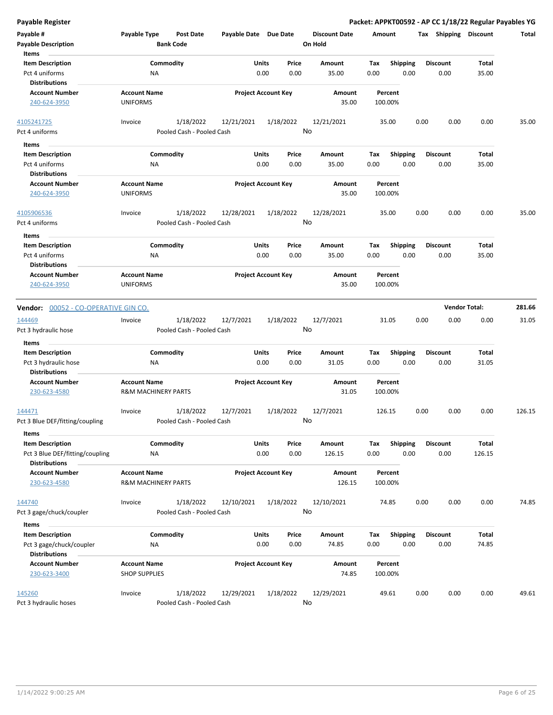| <b>Payable Register</b>                                                            |                                                       |                                        |                       |                                |                                 |                    |                         |      |                         | Packet: APPKT00592 - AP CC 1/18/22 Regular Payables YG |        |
|------------------------------------------------------------------------------------|-------------------------------------------------------|----------------------------------------|-----------------------|--------------------------------|---------------------------------|--------------------|-------------------------|------|-------------------------|--------------------------------------------------------|--------|
| Payable #<br><b>Payable Description</b>                                            | Payable Type                                          | <b>Post Date</b><br><b>Bank Code</b>   | Payable Date Due Date |                                | <b>Discount Date</b><br>On Hold | Amount             |                         |      |                         | Tax Shipping Discount                                  | Total  |
| Items<br><b>Item Description</b><br>Pct 4 uniforms<br><b>Distributions</b>         | ΝA                                                    | Commodity                              |                       | Units<br>Price<br>0.00<br>0.00 | Amount<br>35.00                 | Tax<br>0.00        | <b>Shipping</b><br>0.00 |      | <b>Discount</b><br>0.00 | <b>Total</b><br>35.00                                  |        |
| <b>Account Number</b><br>240-624-3950                                              | <b>Account Name</b><br><b>UNIFORMS</b>                |                                        |                       | <b>Project Account Key</b>     | Amount<br>35.00                 | Percent<br>100.00% |                         |      |                         |                                                        |        |
| 4105241725<br>Pct 4 uniforms                                                       | Invoice                                               | 1/18/2022<br>Pooled Cash - Pooled Cash | 12/21/2021            | 1/18/2022                      | 12/21/2021<br>No                | 35.00              |                         | 0.00 | 0.00                    | 0.00                                                   | 35.00  |
| Items                                                                              |                                                       |                                        |                       |                                |                                 |                    |                         |      |                         |                                                        |        |
| <b>Item Description</b><br>Pct 4 uniforms<br><b>Distributions</b>                  | ΝA                                                    | Commodity                              |                       | Units<br>Price<br>0.00<br>0.00 | Amount<br>35.00                 | Tax<br>0.00        | <b>Shipping</b><br>0.00 |      | <b>Discount</b><br>0.00 | Total<br>35.00                                         |        |
| <b>Account Number</b><br>240-624-3950                                              | <b>Account Name</b><br><b>UNIFORMS</b>                |                                        |                       | <b>Project Account Key</b>     | Amount<br>35.00                 | Percent<br>100.00% |                         |      |                         |                                                        |        |
| 4105906536<br>Pct 4 uniforms                                                       | Invoice                                               | 1/18/2022<br>Pooled Cash - Pooled Cash | 12/28/2021            | 1/18/2022                      | 12/28/2021<br>No                | 35.00              |                         | 0.00 | 0.00                    | 0.00                                                   | 35.00  |
| Items<br><b>Item Description</b>                                                   |                                                       | Commodity                              |                       | Units<br>Price                 | Amount                          | Tax                |                         |      | <b>Discount</b>         | Total                                                  |        |
| Pct 4 uniforms                                                                     | ΝA                                                    |                                        |                       | 0.00<br>0.00                   | 35.00                           | 0.00               | <b>Shipping</b><br>0.00 |      | 0.00                    | 35.00                                                  |        |
| <b>Distributions</b>                                                               |                                                       |                                        |                       |                                |                                 |                    |                         |      |                         |                                                        |        |
| <b>Account Number</b><br>240-624-3950                                              | <b>Account Name</b><br><b>UNIFORMS</b>                |                                        |                       | <b>Project Account Key</b>     | Amount<br>35.00                 | Percent<br>100.00% |                         |      |                         |                                                        |        |
| Vendor: 00052 - CO-OPERATIVE GIN CO.                                               |                                                       |                                        |                       |                                |                                 |                    |                         |      |                         | <b>Vendor Total:</b>                                   | 281.66 |
| 144469<br>Pct 3 hydraulic hose                                                     | Invoice                                               | 1/18/2022<br>Pooled Cash - Pooled Cash | 12/7/2021             | 1/18/2022                      | 12/7/2021<br>No                 | 31.05              |                         | 0.00 | 0.00                    | 0.00                                                   | 31.05  |
| Items                                                                              |                                                       |                                        |                       |                                |                                 |                    |                         |      |                         |                                                        |        |
| <b>Item Description</b>                                                            |                                                       | Commodity                              |                       | Units<br>Price                 | Amount                          | Tax                | <b>Shipping</b>         |      | <b>Discount</b>         | <b>Total</b>                                           |        |
| Pct 3 hydraulic hose<br><b>Distributions</b>                                       | ΝA                                                    |                                        |                       | 0.00<br>0.00                   | 31.05                           | 0.00               | 0.00                    |      | 0.00                    | 31.05                                                  |        |
| <b>Account Number</b><br>230-623-4580                                              | <b>Account Name</b><br><b>R&amp;M MACHINERY PARTS</b> |                                        |                       | <b>Project Account Key</b>     | Amount<br>31.05                 | Percent<br>100.00% |                         |      |                         |                                                        |        |
| 144471<br>Pct 3 Blue DEF/fitting/coupling                                          | Invoice                                               | 1/18/2022<br>Pooled Cash - Pooled Cash | 12/7/2021             | 1/18/2022                      | 12/7/2021<br>No                 | 126.15             |                         | 0.00 | 0.00                    | 0.00                                                   | 126.15 |
| Items                                                                              |                                                       |                                        |                       |                                |                                 |                    |                         |      |                         |                                                        |        |
| <b>Item Description</b><br>Pct 3 Blue DEF/fitting/coupling<br><b>Distributions</b> | NA                                                    | Commodity                              |                       | Units<br>Price<br>0.00<br>0.00 | Amount<br>126.15                | Tax<br>0.00        | <b>Shipping</b><br>0.00 |      | <b>Discount</b><br>0.00 | <b>Total</b><br>126.15                                 |        |
| <b>Account Number</b><br>230-623-4580                                              | <b>Account Name</b><br><b>R&amp;M MACHINERY PARTS</b> |                                        |                       | <b>Project Account Key</b>     | Amount<br>126.15                | Percent<br>100.00% |                         |      |                         |                                                        |        |
| 144740<br>Pct 3 gage/chuck/coupler                                                 | Invoice                                               | 1/18/2022<br>Pooled Cash - Pooled Cash | 12/10/2021            | 1/18/2022                      | 12/10/2021<br>No                | 74.85              |                         | 0.00 | 0.00                    | 0.00                                                   | 74.85  |
| Items                                                                              |                                                       |                                        |                       |                                |                                 |                    |                         |      |                         |                                                        |        |
| <b>Item Description</b><br>Pct 3 gage/chuck/coupler                                | NA                                                    | Commodity                              |                       | Units<br>Price<br>0.00<br>0.00 | Amount<br>74.85                 | Tax<br>0.00        | <b>Shipping</b><br>0.00 |      | <b>Discount</b><br>0.00 | Total<br>74.85                                         |        |
| <b>Distributions</b><br><b>Account Number</b><br>230-623-3400                      | <b>Account Name</b><br><b>SHOP SUPPLIES</b>           |                                        |                       | <b>Project Account Key</b>     | Amount<br>74.85                 | Percent<br>100.00% |                         |      |                         |                                                        |        |
| 145260                                                                             | Invoice                                               | 1/18/2022                              | 12/29/2021            | 1/18/2022                      | 12/29/2021                      | 49.61              |                         | 0.00 | 0.00                    | 0.00                                                   | 49.61  |
| Pct 3 hydraulic hoses                                                              |                                                       | Pooled Cash - Pooled Cash              |                       |                                | No                              |                    |                         |      |                         |                                                        |        |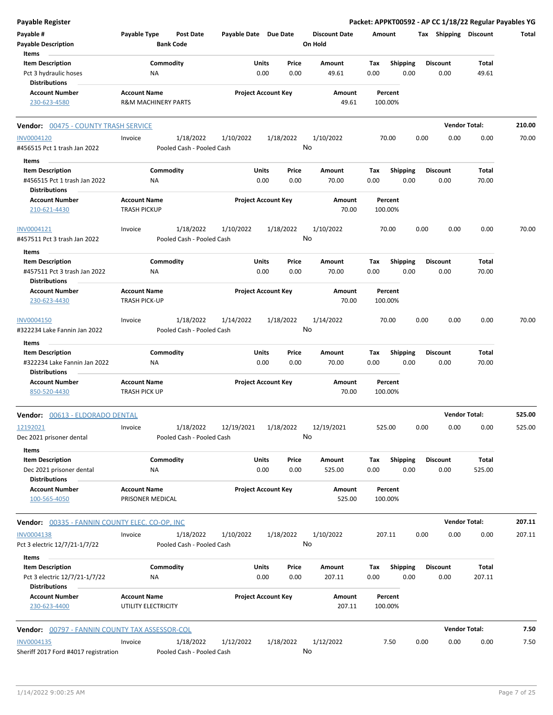| <b>Payable Register</b>                                                         |                                            |                                        |                            |           |               |                                 |             |                         |      |                         | Packet: APPKT00592 - AP CC 1/18/22 Regular Payables YG |        |
|---------------------------------------------------------------------------------|--------------------------------------------|----------------------------------------|----------------------------|-----------|---------------|---------------------------------|-------------|-------------------------|------|-------------------------|--------------------------------------------------------|--------|
| Payable #<br><b>Payable Description</b>                                         | Payable Type<br><b>Bank Code</b>           | <b>Post Date</b>                       | Payable Date Due Date      |           |               | <b>Discount Date</b><br>On Hold | Amount      |                         |      | Tax Shipping Discount   |                                                        | Total  |
| Items                                                                           |                                            |                                        |                            |           |               |                                 |             |                         |      |                         |                                                        |        |
| <b>Item Description</b><br>Pct 3 hydraulic hoses                                | Commodity<br>ΝA                            |                                        | Units                      | 0.00      | Price<br>0.00 | Amount<br>49.61                 | Tax<br>0.00 | <b>Shipping</b><br>0.00 |      | <b>Discount</b><br>0.00 | Total<br>49.61                                         |        |
| Distributions<br><b>Account Number</b>                                          | <b>Account Name</b>                        |                                        | <b>Project Account Key</b> |           |               | Amount                          |             | Percent                 |      |                         |                                                        |        |
| 230-623-4580                                                                    | <b>R&amp;M MACHINERY PARTS</b>             |                                        |                            |           |               | 49.61                           |             | 100.00%                 |      |                         |                                                        |        |
| <b>Vendor: 00475 - COUNTY TRASH SERVICE</b>                                     |                                            |                                        |                            |           |               |                                 |             |                         |      |                         | <b>Vendor Total:</b>                                   | 210.00 |
| <b>INV0004120</b><br>#456515 Pct 1 trash Jan 2022                               | Invoice                                    | 1/18/2022<br>Pooled Cash - Pooled Cash | 1/10/2022                  | 1/18/2022 | No            | 1/10/2022                       |             | 70.00                   | 0.00 | 0.00                    | 0.00                                                   | 70.00  |
| Items                                                                           |                                            |                                        |                            |           |               |                                 |             |                         |      |                         |                                                        |        |
| <b>Item Description</b><br>#456515 Pct 1 trash Jan 2022<br><b>Distributions</b> | Commodity<br>ΝA                            |                                        | Units                      | 0.00      | Price<br>0.00 | Amount<br>70.00                 | Tax<br>0.00 | <b>Shipping</b><br>0.00 |      | <b>Discount</b><br>0.00 | Total<br>70.00                                         |        |
| <b>Account Number</b>                                                           | <b>Account Name</b>                        |                                        | <b>Project Account Key</b> |           |               | Amount                          |             | Percent                 |      |                         |                                                        |        |
| 210-621-4430                                                                    | <b>TRASH PICKUP</b>                        |                                        |                            |           |               | 70.00                           |             | 100.00%                 |      |                         |                                                        |        |
| INV0004121<br>#457511 Pct 3 trash Jan 2022                                      | Invoice                                    | 1/18/2022<br>Pooled Cash - Pooled Cash | 1/10/2022                  | 1/18/2022 | No            | 1/10/2022                       |             | 70.00                   | 0.00 | 0.00                    | 0.00                                                   | 70.00  |
| Items                                                                           |                                            |                                        |                            |           |               |                                 |             |                         |      |                         |                                                        |        |
| <b>Item Description</b><br>#457511 Pct 3 trash Jan 2022                         | Commodity<br>NA                            |                                        | Units                      | 0.00      | Price<br>0.00 | Amount<br>70.00                 | Tax<br>0.00 | <b>Shipping</b><br>0.00 |      | <b>Discount</b><br>0.00 | Total<br>70.00                                         |        |
| <b>Distributions</b>                                                            |                                            |                                        |                            |           |               |                                 |             |                         |      |                         |                                                        |        |
| <b>Account Number</b><br>230-623-4430                                           | <b>Account Name</b><br>TRASH PICK-UP       |                                        | <b>Project Account Key</b> |           |               | Amount<br>70.00                 |             | Percent<br>100.00%      |      |                         |                                                        |        |
| INV0004150<br>#322234 Lake Fannin Jan 2022                                      | Invoice                                    | 1/18/2022<br>Pooled Cash - Pooled Cash | 1/14/2022                  | 1/18/2022 | No            | 1/14/2022                       |             | 70.00                   | 0.00 | 0.00                    | 0.00                                                   | 70.00  |
| Items                                                                           |                                            |                                        |                            |           |               |                                 |             |                         |      |                         |                                                        |        |
| <b>Item Description</b><br>#322234 Lake Fannin Jan 2022<br><b>Distributions</b> | Commodity<br>ΝA                            |                                        | Units                      | 0.00      | Price<br>0.00 | Amount<br>70.00                 | Tax<br>0.00 | <b>Shipping</b><br>0.00 |      | <b>Discount</b><br>0.00 | Total<br>70.00                                         |        |
| <b>Account Number</b><br>850-520-4430                                           | <b>Account Name</b><br>TRASH PICK UP       |                                        | <b>Project Account Key</b> |           |               | Amount<br>70.00                 |             | Percent<br>100.00%      |      |                         |                                                        |        |
| Vendor: 00613 - ELDORADO DENTAL                                                 |                                            |                                        |                            |           |               |                                 |             |                         |      |                         | <b>Vendor Total:</b>                                   | 525.00 |
| 12192021<br>Dec 2021 prisoner dental                                            | Invoice                                    | 1/18/2022<br>Pooled Cash - Pooled Cash | 12/19/2021                 | 1/18/2022 | No            | 12/19/2021                      |             | 525.00                  | 0.00 | 0.00                    | 0.00                                                   | 525.00 |
| Items<br><b>Item Description</b><br>Dec 2021 prisoner dental                    | Commodity<br>ΝA                            |                                        | Units                      | 0.00      | Price<br>0.00 | Amount<br>525.00                | Tax<br>0.00 | <b>Shipping</b><br>0.00 |      | <b>Discount</b><br>0.00 | <b>Total</b><br>525.00                                 |        |
| <b>Distributions</b><br><b>Account Number</b><br>100-565-4050                   | <b>Account Name</b><br>PRISONER MEDICAL    |                                        | <b>Project Account Key</b> |           |               | Amount<br>525.00                |             | Percent<br>100.00%      |      |                         |                                                        |        |
| Vendor: 00335 - FANNIN COUNTY ELEC. CO-OP, INC                                  |                                            |                                        |                            |           |               |                                 |             |                         |      |                         | <b>Vendor Total:</b>                                   | 207.11 |
| <b>INV0004138</b><br>Pct 3 electric 12/7/21-1/7/22                              | Invoice                                    | 1/18/2022<br>Pooled Cash - Pooled Cash | 1/10/2022                  | 1/18/2022 | No            | 1/10/2022                       |             | 207.11                  | 0.00 | 0.00                    | 0.00                                                   | 207.11 |
| Items<br><b>Item Description</b><br>Pct 3 electric 12/7/21-1/7/22               | Commodity<br>ΝA                            |                                        | Units                      | 0.00      | Price<br>0.00 | Amount<br>207.11                | Tax<br>0.00 | <b>Shipping</b><br>0.00 |      | <b>Discount</b><br>0.00 | <b>Total</b><br>207.11                                 |        |
| Distributions<br><b>Account Number</b><br>230-623-4400                          | <b>Account Name</b><br>UTILITY ELECTRICITY |                                        | <b>Project Account Key</b> |           |               | Amount<br>207.11                |             | Percent<br>100.00%      |      |                         |                                                        |        |
|                                                                                 |                                            |                                        |                            |           |               |                                 |             |                         |      |                         |                                                        |        |
| <b>Vendor: 00797 - FANNIN COUNTY TAX ASSESSOR-COL</b>                           |                                            |                                        |                            |           |               |                                 |             |                         |      |                         | <b>Vendor Total:</b>                                   | 7.50   |
| INV0004135<br>Sheriff 2017 Ford #4017 registration                              | Invoice                                    | 1/18/2022<br>Pooled Cash - Pooled Cash | 1/12/2022                  | 1/18/2022 | No            | 1/12/2022                       |             | 7.50                    | 0.00 | 0.00                    | 0.00                                                   | 7.50   |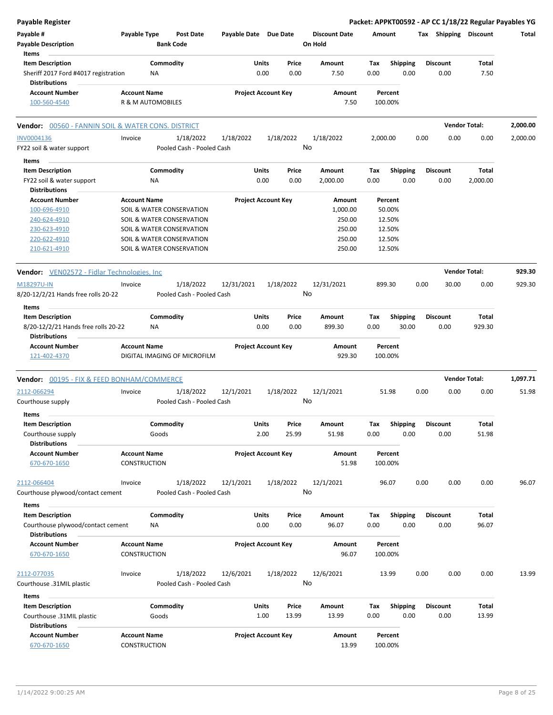| <b>Payable Register</b>                                      |                     |                                      |                       |                                 |                                 |             |                         |      |                         | Packet: APPKT00592 - AP CC 1/18/22 Regular Payables YG |          |
|--------------------------------------------------------------|---------------------|--------------------------------------|-----------------------|---------------------------------|---------------------------------|-------------|-------------------------|------|-------------------------|--------------------------------------------------------|----------|
| Payable #<br><b>Payable Description</b>                      | Payable Type        | <b>Post Date</b><br><b>Bank Code</b> | Payable Date Due Date |                                 | <b>Discount Date</b><br>On Hold | Amount      |                         |      |                         | Tax Shipping Discount                                  | Total    |
| Items                                                        |                     |                                      |                       |                                 |                                 |             |                         |      |                         |                                                        |          |
| <b>Item Description</b>                                      |                     | Commodity                            |                       | Units<br>Price                  | Amount                          | Tax         | <b>Shipping</b>         |      | <b>Discount</b>         | Total                                                  |          |
| Sheriff 2017 Ford #4017 registration<br><b>Distributions</b> | NA                  |                                      |                       | 0.00<br>0.00                    | 7.50                            | 0.00        | 0.00                    |      | 0.00                    | 7.50                                                   |          |
| <b>Account Number</b>                                        | <b>Account Name</b> |                                      |                       | <b>Project Account Key</b>      | Amount                          |             | Percent                 |      |                         |                                                        |          |
| 100-560-4540                                                 | R & M AUTOMOBILES   |                                      |                       |                                 | 7.50                            |             | 100.00%                 |      |                         |                                                        |          |
| Vendor: 00560 - FANNIN SOIL & WATER CONS. DISTRICT           |                     |                                      |                       |                                 |                                 |             |                         |      |                         | <b>Vendor Total:</b>                                   | 2,000.00 |
| INV0004136                                                   | Invoice             | 1/18/2022                            | 1/18/2022             | 1/18/2022                       | 1/18/2022                       | 2,000.00    |                         | 0.00 | 0.00                    | 0.00                                                   | 2,000.00 |
| FY22 soil & water support                                    |                     | Pooled Cash - Pooled Cash            |                       |                                 | No                              |             |                         |      |                         |                                                        |          |
| Items                                                        |                     |                                      |                       |                                 |                                 |             |                         |      |                         |                                                        |          |
| <b>Item Description</b>                                      |                     | Commodity                            |                       | Units<br>Price                  | Amount                          | Tax         | <b>Shipping</b>         |      | <b>Discount</b>         | Total                                                  |          |
| FY22 soil & water support                                    | <b>NA</b>           |                                      |                       | 0.00<br>0.00                    | 2,000.00                        | 0.00        | 0.00                    |      | 0.00                    | 2,000.00                                               |          |
| <b>Distributions</b>                                         |                     |                                      |                       |                                 |                                 |             |                         |      |                         |                                                        |          |
| <b>Account Number</b>                                        | <b>Account Name</b> |                                      |                       | <b>Project Account Key</b>      | Amount                          |             | Percent                 |      |                         |                                                        |          |
| 100-696-4910                                                 |                     | SOIL & WATER CONSERVATION            |                       |                                 | 1,000.00                        |             | 50.00%                  |      |                         |                                                        |          |
| 240-624-4910                                                 |                     | SOIL & WATER CONSERVATION            |                       |                                 | 250.00                          |             | 12.50%                  |      |                         |                                                        |          |
| 230-623-4910                                                 |                     | SOIL & WATER CONSERVATION            |                       |                                 | 250.00                          |             | 12.50%                  |      |                         |                                                        |          |
| 220-622-4910                                                 |                     | SOIL & WATER CONSERVATION            |                       |                                 | 250.00                          |             | 12.50%                  |      |                         |                                                        |          |
| 210-621-4910                                                 |                     | SOIL & WATER CONSERVATION            |                       |                                 | 250.00                          |             | 12.50%                  |      |                         |                                                        |          |
| <b>Vendor:</b> VEN02572 - Fidlar Technologies, Inc           |                     |                                      |                       |                                 |                                 |             |                         |      |                         | <b>Vendor Total:</b>                                   | 929.30   |
| M18297U-IN                                                   | Invoice             | 1/18/2022                            | 12/31/2021            | 1/18/2022                       | 12/31/2021                      |             | 899.30                  | 0.00 | 30.00                   | 0.00                                                   | 929.30   |
| 8/20-12/2/21 Hands free rolls 20-22                          |                     | Pooled Cash - Pooled Cash            |                       |                                 | No                              |             |                         |      |                         |                                                        |          |
| Items                                                        |                     |                                      |                       |                                 |                                 |             |                         |      |                         |                                                        |          |
| <b>Item Description</b>                                      |                     | Commodity                            |                       | Units<br>Price                  | Amount                          | Tax         | <b>Shipping</b>         |      | <b>Discount</b>         | Total                                                  |          |
| 8/20-12/2/21 Hands free rolls 20-22<br><b>Distributions</b>  | <b>NA</b>           |                                      |                       | 0.00<br>0.00                    | 899.30                          | 0.00        | 30.00                   |      | 0.00                    | 929.30                                                 |          |
| <b>Account Number</b><br>121-402-4370                        | <b>Account Name</b> | DIGITAL IMAGING OF MICROFILM         |                       | <b>Project Account Key</b>      | Amount<br>929.30                |             | Percent<br>100.00%      |      |                         |                                                        |          |
| <b>Vendor: 00195 - FIX &amp; FEED BONHAM/COMMERCE</b>        |                     |                                      |                       |                                 |                                 |             |                         |      |                         | <b>Vendor Total:</b>                                   | 1,097.71 |
| 2112-066294                                                  | Invoice             | 1/18/2022                            | 12/1/2021             | 1/18/2022                       | 12/1/2021                       |             | 51.98                   | 0.00 | 0.00                    | 0.00                                                   | 51.98    |
| Courthouse supply                                            |                     | Pooled Cash - Pooled Cash            |                       |                                 | No                              |             |                         |      |                         |                                                        |          |
| Items                                                        |                     |                                      |                       |                                 |                                 |             |                         |      |                         |                                                        |          |
| <b>Item Description</b>                                      |                     | Commodity                            |                       | Units<br>Price                  | Amount                          | Tax         | Shipping                |      | <b>Discount</b>         | Total                                                  |          |
| Courthouse supply                                            | Goods               |                                      |                       | 2.00<br>25.99                   | 51.98                           | 0.00        | 0.00                    |      | 0.00                    | 51.98                                                  |          |
| <b>Distributions</b>                                         | <b>Account Name</b> |                                      |                       | <b>Project Account Key</b>      |                                 |             |                         |      |                         |                                                        |          |
| <b>Account Number</b><br>670-670-1650                        | <b>CONSTRUCTION</b> |                                      |                       |                                 | Amount<br>51.98                 |             | Percent<br>100.00%      |      |                         |                                                        |          |
| 2112-066404                                                  | Invoice             | 1/18/2022                            | 12/1/2021             | 1/18/2022                       | 12/1/2021                       |             | 96.07                   | 0.00 | 0.00                    | 0.00                                                   | 96.07    |
| Courthouse plywood/contact cement                            |                     | Pooled Cash - Pooled Cash            |                       |                                 | No                              |             |                         |      |                         |                                                        |          |
| Items                                                        |                     |                                      |                       |                                 |                                 |             |                         |      |                         |                                                        |          |
| <b>Item Description</b>                                      |                     | Commodity                            |                       | Units<br>Price                  | Amount                          | Tax         | Shipping                |      | <b>Discount</b>         | Total                                                  |          |
| Courthouse plywood/contact cement<br><b>Distributions</b>    | NA                  |                                      |                       | 0.00<br>0.00                    | 96.07                           | 0.00        | 0.00                    |      | 0.00                    | 96.07                                                  |          |
| <b>Account Number</b>                                        | <b>Account Name</b> |                                      |                       | <b>Project Account Key</b>      | Amount                          |             | Percent                 |      |                         |                                                        |          |
| 670-670-1650                                                 | CONSTRUCTION        |                                      |                       |                                 | 96.07                           |             | 100.00%                 |      |                         |                                                        |          |
| 2112-077035                                                  | Invoice             | 1/18/2022                            | 12/6/2021             | 1/18/2022                       | 12/6/2021                       |             | 13.99                   | 0.00 | 0.00                    | 0.00                                                   | 13.99    |
| Courthouse .31MIL plastic                                    |                     | Pooled Cash - Pooled Cash            |                       |                                 | No                              |             |                         |      |                         |                                                        |          |
|                                                              |                     |                                      |                       |                                 |                                 |             |                         |      |                         |                                                        |          |
| Items                                                        |                     |                                      |                       |                                 |                                 |             |                         |      |                         |                                                        |          |
| <b>Item Description</b>                                      | Goods               | Commodity                            |                       | Units<br>Price<br>1.00<br>13.99 | Amount<br>13.99                 | Tax<br>0.00 | <b>Shipping</b><br>0.00 |      | <b>Discount</b><br>0.00 | Total<br>13.99                                         |          |
| Courthouse .31MIL plastic<br><b>Distributions</b>            |                     |                                      |                       |                                 |                                 |             |                         |      |                         |                                                        |          |
| <b>Account Number</b>                                        | <b>Account Name</b> |                                      |                       | <b>Project Account Key</b>      | Amount                          |             | Percent                 |      |                         |                                                        |          |
| 670-670-1650                                                 | <b>CONSTRUCTION</b> |                                      |                       |                                 | 13.99                           |             | 100.00%                 |      |                         |                                                        |          |
|                                                              |                     |                                      |                       |                                 |                                 |             |                         |      |                         |                                                        |          |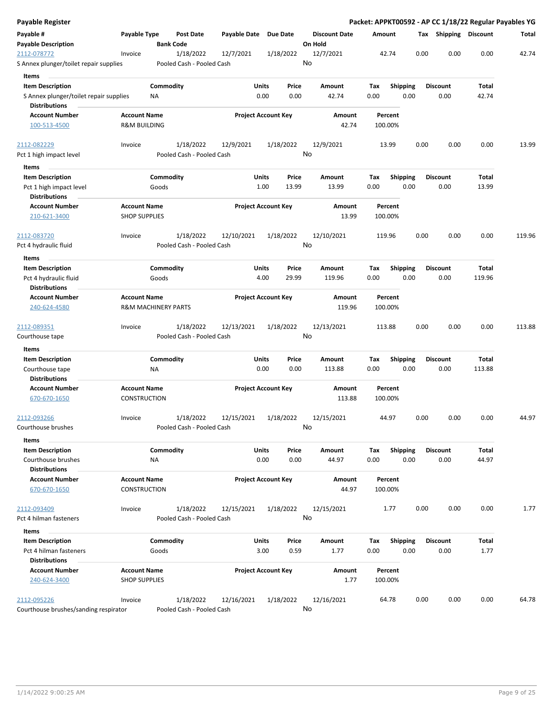| Payable Register                                |                                |                  |                           |                       |                            |           |                      |               |        |                 |      |      |                       |        | Packet: APPKT00592 - AP CC 1/18/22 Regular Payables YG |
|-------------------------------------------------|--------------------------------|------------------|---------------------------|-----------------------|----------------------------|-----------|----------------------|---------------|--------|-----------------|------|------|-----------------------|--------|--------------------------------------------------------|
| Payable #                                       | Payable Type                   |                  | Post Date                 | Payable Date Due Date |                            |           | <b>Discount Date</b> |               | Amount |                 |      |      | Tax Shipping Discount |        | Total                                                  |
| <b>Payable Description</b>                      |                                | <b>Bank Code</b> |                           |                       |                            |           | On Hold              |               |        |                 |      |      |                       |        |                                                        |
| 2112-078772                                     | Invoice                        |                  | 1/18/2022                 | 12/7/2021             |                            | 1/18/2022 | 12/7/2021            |               |        | 42.74           |      | 0.00 | 0.00                  | 0.00   | 42.74                                                  |
| S Annex plunger/toilet repair supplies          |                                |                  | Pooled Cash - Pooled Cash |                       |                            |           | No                   |               |        |                 |      |      |                       |        |                                                        |
| Items                                           |                                |                  |                           |                       |                            |           |                      |               |        |                 |      |      |                       |        |                                                        |
| <b>Item Description</b>                         |                                | Commodity        |                           |                       | Units                      | Price     | Amount               |               | Tax    | <b>Shipping</b> |      |      | <b>Discount</b>       | Total  |                                                        |
| S Annex plunger/toilet repair supplies          |                                | ΝA               |                           |                       | 0.00                       | 0.00      | 42.74                |               | 0.00   |                 | 0.00 |      | 0.00                  | 42.74  |                                                        |
| <b>Distributions</b>                            |                                |                  |                           |                       |                            |           |                      |               |        |                 |      |      |                       |        |                                                        |
| <b>Account Number</b>                           | <b>Account Name</b>            |                  |                           |                       | <b>Project Account Key</b> |           |                      | Amount        |        | Percent         |      |      |                       |        |                                                        |
| 100-513-4500                                    | <b>R&amp;M BUILDING</b>        |                  |                           |                       |                            |           |                      | 42.74         |        | 100.00%         |      |      |                       |        |                                                        |
| 2112-082229                                     | Invoice                        |                  | 1/18/2022                 | 12/9/2021             |                            | 1/18/2022 | 12/9/2021            |               |        | 13.99           |      | 0.00 | 0.00                  | 0.00   | 13.99                                                  |
| Pct 1 high impact level                         |                                |                  | Pooled Cash - Pooled Cash |                       |                            |           | No                   |               |        |                 |      |      |                       |        |                                                        |
| Items                                           |                                |                  |                           |                       |                            |           |                      |               |        |                 |      |      |                       |        |                                                        |
| <b>Item Description</b>                         |                                | Commodity        |                           |                       | Units                      | Price     | Amount               |               | Tax    | <b>Shipping</b> |      |      | <b>Discount</b>       | Total  |                                                        |
| Pct 1 high impact level<br><b>Distributions</b> |                                | Goods            |                           |                       | 1.00                       | 13.99     | 13.99                |               | 0.00   |                 | 0.00 |      | 0.00                  | 13.99  |                                                        |
| <b>Account Number</b>                           | <b>Account Name</b>            |                  |                           |                       | <b>Project Account Key</b> |           |                      | <b>Amount</b> |        | Percent         |      |      |                       |        |                                                        |
| 210-621-3400                                    | <b>SHOP SUPPLIES</b>           |                  |                           |                       |                            |           |                      | 13.99         |        | 100.00%         |      |      |                       |        |                                                        |
| 2112-083720                                     | Invoice                        |                  | 1/18/2022                 | 12/10/2021            |                            | 1/18/2022 | 12/10/2021           |               |        | 119.96          |      | 0.00 | 0.00                  | 0.00   | 119.96                                                 |
| Pct 4 hydraulic fluid                           |                                |                  | Pooled Cash - Pooled Cash |                       |                            |           | No                   |               |        |                 |      |      |                       |        |                                                        |
| Items                                           |                                |                  |                           |                       |                            |           |                      |               |        |                 |      |      |                       |        |                                                        |
| <b>Item Description</b>                         |                                | Commodity        |                           |                       | Units                      | Price     | Amount               |               | Tax    | <b>Shipping</b> |      |      | <b>Discount</b>       | Total  |                                                        |
| Pct 4 hydraulic fluid                           |                                | Goods            |                           |                       | 4.00                       | 29.99     | 119.96               |               | 0.00   |                 | 0.00 |      | 0.00                  | 119.96 |                                                        |
| <b>Distributions</b>                            |                                |                  |                           |                       |                            |           |                      |               |        |                 |      |      |                       |        |                                                        |
| <b>Account Number</b>                           | <b>Account Name</b>            |                  |                           |                       | <b>Project Account Key</b> |           |                      | Amount        |        | Percent         |      |      |                       |        |                                                        |
| 240-624-4580                                    | <b>R&amp;M MACHINERY PARTS</b> |                  |                           |                       |                            |           |                      | 119.96        |        | 100.00%         |      |      |                       |        |                                                        |
| 2112-089351                                     | Invoice                        |                  | 1/18/2022                 | 12/13/2021            |                            | 1/18/2022 | 12/13/2021           |               |        | 113.88          |      | 0.00 | 0.00                  | 0.00   | 113.88                                                 |
| Courthouse tape                                 |                                |                  | Pooled Cash - Pooled Cash |                       |                            |           | No                   |               |        |                 |      |      |                       |        |                                                        |
| Items                                           |                                |                  |                           |                       |                            |           |                      |               |        |                 |      |      |                       |        |                                                        |
| <b>Item Description</b>                         |                                | Commodity        |                           |                       | Units                      | Price     | Amount               |               | Tax    | Shipping        |      |      | <b>Discount</b>       | Total  |                                                        |
| Courthouse tape                                 |                                | ΝA               |                           |                       | 0.00                       | 0.00      | 113.88               |               | 0.00   |                 | 0.00 |      | 0.00                  | 113.88 |                                                        |
| <b>Distributions</b>                            |                                |                  |                           |                       |                            |           |                      |               |        |                 |      |      |                       |        |                                                        |
| <b>Account Number</b>                           | <b>Account Name</b>            |                  |                           |                       | <b>Project Account Key</b> |           |                      | Amount        |        | Percent         |      |      |                       |        |                                                        |
| 670-670-1650                                    | CONSTRUCTION                   |                  |                           |                       |                            |           |                      | 113.88        |        | 100.00%         |      |      |                       |        |                                                        |
| 2112-093266                                     | Invoice                        |                  | 1/18/2022                 | 12/15/2021            |                            | 1/18/2022 | 12/15/2021           |               |        | 44.97           |      | 0.00 | 0.00                  | 0.00   | 44.97                                                  |
| Courthouse brushes                              |                                |                  | Pooled Cash - Pooled Cash |                       |                            |           | No                   |               |        |                 |      |      |                       |        |                                                        |
| Items                                           |                                |                  |                           |                       |                            |           |                      |               |        |                 |      |      |                       |        |                                                        |
| <b>Item Description</b>                         |                                | Commodity        |                           |                       | Units                      | Price     | Amount               |               | Tax    | Shipping        |      |      | <b>Discount</b>       | Total  |                                                        |
| Courthouse brushes                              |                                | <b>NA</b>        |                           |                       | 0.00                       | 0.00      | 44.97                |               | 0.00   |                 | 0.00 |      | 0.00                  | 44.97  |                                                        |
| <b>Distributions</b>                            |                                |                  |                           |                       |                            |           |                      |               |        |                 |      |      |                       |        |                                                        |
| <b>Account Number</b>                           | <b>Account Name</b>            |                  |                           |                       | <b>Project Account Key</b> |           |                      | Amount        |        | Percent         |      |      |                       |        |                                                        |
| 670-670-1650                                    | CONSTRUCTION                   |                  |                           |                       |                            |           |                      | 44.97         |        | 100.00%         |      |      |                       |        |                                                        |
| 2112-093409                                     | Invoice                        |                  | 1/18/2022                 | 12/15/2021            |                            | 1/18/2022 | 12/15/2021           |               |        | 1.77            |      | 0.00 | 0.00                  | 0.00   | 1.77                                                   |
| Pct 4 hilman fasteners                          |                                |                  | Pooled Cash - Pooled Cash |                       |                            |           | No                   |               |        |                 |      |      |                       |        |                                                        |
| Items                                           |                                |                  |                           |                       |                            |           |                      |               |        |                 |      |      |                       |        |                                                        |
| <b>Item Description</b>                         |                                | Commodity        |                           |                       | Units                      | Price     | Amount               |               | Tax    | <b>Shipping</b> |      |      | <b>Discount</b>       | Total  |                                                        |
| Pct 4 hilman fasteners                          |                                | Goods            |                           |                       | 3.00                       | 0.59      | 1.77                 |               | 0.00   |                 | 0.00 |      | 0.00                  | 1.77   |                                                        |
| <b>Distributions</b>                            |                                |                  |                           |                       |                            |           |                      |               |        |                 |      |      |                       |        |                                                        |
| <b>Account Number</b>                           | <b>Account Name</b>            |                  |                           |                       | <b>Project Account Key</b> |           |                      | Amount        |        | Percent         |      |      |                       |        |                                                        |
| 240-624-3400                                    | <b>SHOP SUPPLIES</b>           |                  |                           |                       |                            |           |                      | 1.77          |        | 100.00%         |      |      |                       |        |                                                        |
| 2112-095226                                     | Invoice                        |                  | 1/18/2022                 | 12/16/2021            |                            | 1/18/2022 | 12/16/2021           |               |        | 64.78           |      | 0.00 | 0.00                  | 0.00   | 64.78                                                  |
| Courthouse brushes/sanding respirator           |                                |                  | Pooled Cash - Pooled Cash |                       |                            |           | No                   |               |        |                 |      |      |                       |        |                                                        |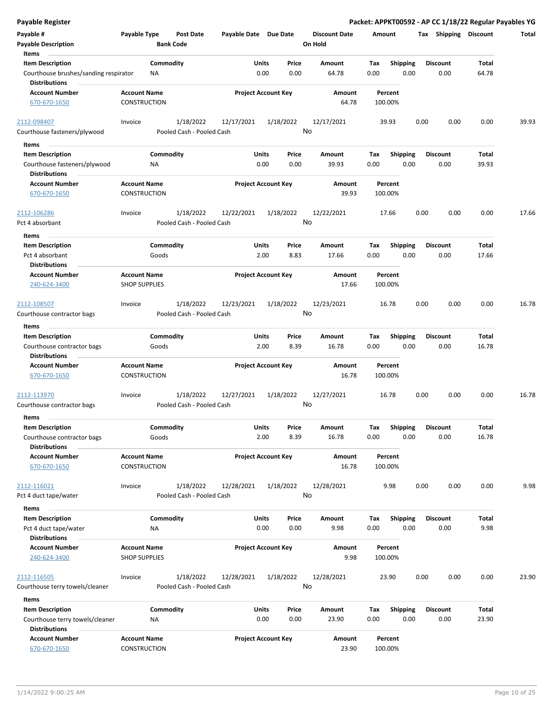| <b>Payable Register</b>                                            |                                             |                    |                                        |                       |                            |               |         |                      |             |                    |      |      |                         |                | Packet: APPKT00592 - AP CC 1/18/22 Regular Payables YG |
|--------------------------------------------------------------------|---------------------------------------------|--------------------|----------------------------------------|-----------------------|----------------------------|---------------|---------|----------------------|-------------|--------------------|------|------|-------------------------|----------------|--------------------------------------------------------|
| Payable #<br><b>Payable Description</b>                            | Payable Type                                | <b>Bank Code</b>   | <b>Post Date</b>                       | Payable Date Due Date |                            |               | On Hold | <b>Discount Date</b> | Amount      |                    |      |      | Tax Shipping Discount   |                | Total                                                  |
| Items                                                              |                                             |                    |                                        |                       |                            |               |         |                      |             |                    |      |      |                         |                |                                                        |
| <b>Item Description</b><br>Courthouse brushes/sanding respirator   |                                             | Commodity<br>ΝA    |                                        |                       | Units<br>0.00              | Price<br>0.00 |         | Amount<br>64.78      | Tax<br>0.00 | <b>Shipping</b>    | 0.00 |      | <b>Discount</b><br>0.00 | Total<br>64.78 |                                                        |
| <b>Distributions</b>                                               |                                             |                    |                                        |                       |                            |               |         |                      |             |                    |      |      |                         |                |                                                        |
| <b>Account Number</b><br>670-670-1650                              | <b>Account Name</b><br><b>CONSTRUCTION</b>  |                    |                                        |                       | <b>Project Account Key</b> |               |         | Amount<br>64.78      |             | Percent<br>100.00% |      |      |                         |                |                                                        |
| 2112-098407                                                        | Invoice                                     |                    | 1/18/2022                              | 12/17/2021            |                            | 1/18/2022     |         | 12/17/2021           |             | 39.93              |      | 0.00 | 0.00                    | 0.00           | 39.93                                                  |
| Courthouse fasteners/plywood                                       |                                             |                    | Pooled Cash - Pooled Cash              |                       |                            |               | No      |                      |             |                    |      |      |                         |                |                                                        |
| Items                                                              |                                             |                    |                                        |                       |                            |               |         |                      |             |                    |      |      |                         |                |                                                        |
| <b>Item Description</b>                                            |                                             | Commodity          |                                        |                       | Units                      | Price         |         | Amount               | Tax         | <b>Shipping</b>    |      |      | <b>Discount</b>         | Total          |                                                        |
| Courthouse fasteners/plywood<br><b>Distributions</b>               |                                             | ΝA                 |                                        |                       | 0.00                       | 0.00          |         | 39.93                | 0.00        |                    | 0.00 |      | 0.00                    | 39.93          |                                                        |
| <b>Account Number</b>                                              | <b>Account Name</b>                         |                    |                                        |                       | <b>Project Account Key</b> |               |         | Amount               |             | Percent            |      |      |                         |                |                                                        |
| 670-670-1650                                                       | <b>CONSTRUCTION</b>                         |                    |                                        |                       |                            |               |         | 39.93                |             | 100.00%            |      |      |                         |                |                                                        |
| 2112-106286<br>Pct 4 absorbant                                     | Invoice                                     |                    | 1/18/2022<br>Pooled Cash - Pooled Cash | 12/22/2021            |                            | 1/18/2022     | No      | 12/22/2021           |             | 17.66              |      | 0.00 | 0.00                    | 0.00           | 17.66                                                  |
| Items                                                              |                                             |                    |                                        |                       |                            |               |         |                      |             |                    |      |      |                         |                |                                                        |
| <b>Item Description</b><br>Pct 4 absorbant<br><b>Distributions</b> |                                             | Commodity<br>Goods |                                        |                       | Units<br>2.00              | Price<br>8.83 |         | Amount<br>17.66      | Tax<br>0.00 | <b>Shipping</b>    | 0.00 |      | <b>Discount</b><br>0.00 | Total<br>17.66 |                                                        |
| <b>Account Number</b>                                              | <b>Account Name</b>                         |                    |                                        |                       | <b>Project Account Key</b> |               |         | Amount               |             | Percent            |      |      |                         |                |                                                        |
| 240-624-3400                                                       | <b>SHOP SUPPLIES</b>                        |                    |                                        |                       |                            |               |         | 17.66                |             | 100.00%            |      |      |                         |                |                                                        |
| 2112-108507                                                        | Invoice                                     |                    | 1/18/2022                              | 12/23/2021            |                            | 1/18/2022     |         | 12/23/2021           |             | 16.78              |      | 0.00 | 0.00                    | 0.00           | 16.78                                                  |
| Courthouse contractor bags                                         |                                             |                    | Pooled Cash - Pooled Cash              |                       |                            |               | No      |                      |             |                    |      |      |                         |                |                                                        |
| Items                                                              |                                             |                    |                                        |                       |                            |               |         |                      |             |                    |      |      |                         |                |                                                        |
| <b>Item Description</b>                                            |                                             | Commodity          |                                        |                       | Units                      | Price         |         | Amount               | Tax         | <b>Shipping</b>    |      |      | <b>Discount</b>         | Total          |                                                        |
| Courthouse contractor bags<br><b>Distributions</b>                 |                                             | Goods              |                                        |                       | 2.00                       | 8.39          |         | 16.78                | 0.00        |                    | 0.00 |      | 0.00                    | 16.78          |                                                        |
| <b>Account Number</b><br>670-670-1650                              | <b>Account Name</b><br><b>CONSTRUCTION</b>  |                    |                                        |                       | <b>Project Account Key</b> |               |         | Amount<br>16.78      |             | Percent<br>100.00% |      |      |                         |                |                                                        |
| 2112-113970                                                        | Invoice                                     |                    | 1/18/2022                              | 12/27/2021            |                            | 1/18/2022     |         | 12/27/2021           |             | 16.78              |      | 0.00 | 0.00                    | 0.00           | 16.78                                                  |
| Courthouse contractor bags                                         |                                             |                    | Pooled Cash - Pooled Cash              |                       |                            |               | No      |                      |             |                    |      |      |                         |                |                                                        |
| Items                                                              |                                             |                    |                                        |                       |                            |               |         |                      |             |                    |      |      |                         |                |                                                        |
| <b>Item Description</b>                                            |                                             | Commodity          |                                        |                       | Units                      | Price         |         | Amount               | Tax         | Shipping           |      |      | <b>Discount</b>         | Total          |                                                        |
| Courthouse contractor bags                                         |                                             | Goods              |                                        |                       | 2.00                       | 8.39          |         | 16.78                | 0.00        |                    | 0.00 |      | 0.00                    | 16.78          |                                                        |
| <b>Distributions</b><br><b>Account Number</b>                      | <b>Account Name</b>                         |                    |                                        |                       | <b>Project Account Key</b> |               |         | Amount               |             | Percent            |      |      |                         |                |                                                        |
| 670-670-1650                                                       | CONSTRUCTION                                |                    |                                        |                       |                            |               |         | 16.78                |             | 100.00%            |      |      |                         |                |                                                        |
| 2112-116021                                                        | Invoice                                     |                    | 1/18/2022                              | 12/28/2021            |                            | 1/18/2022     |         | 12/28/2021           |             | 9.98               |      | 0.00 | 0.00                    | 0.00           | 9.98                                                   |
| Pct 4 duct tape/water                                              |                                             |                    | Pooled Cash - Pooled Cash              |                       |                            |               | No      |                      |             |                    |      |      |                         |                |                                                        |
| Items                                                              |                                             |                    |                                        |                       |                            |               |         |                      |             |                    |      |      |                         |                |                                                        |
| <b>Item Description</b>                                            |                                             | Commodity          |                                        |                       | Units                      | Price         |         | Amount               | Tax         | Shipping           |      |      | <b>Discount</b>         | Total          |                                                        |
| Pct 4 duct tape/water                                              |                                             | NA                 |                                        |                       | 0.00                       | 0.00          |         | 9.98                 | 0.00        |                    | 0.00 |      | 0.00                    | 9.98           |                                                        |
| <b>Distributions</b>                                               |                                             |                    |                                        |                       |                            |               |         |                      |             |                    |      |      |                         |                |                                                        |
| <b>Account Number</b><br>240-624-3400                              | <b>Account Name</b><br><b>SHOP SUPPLIES</b> |                    |                                        |                       | <b>Project Account Key</b> |               |         | Amount<br>9.98       |             | Percent<br>100.00% |      |      |                         |                |                                                        |
| 2112-116505                                                        | Invoice                                     |                    | 1/18/2022                              | 12/28/2021            |                            | 1/18/2022     |         | 12/28/2021           |             | 23.90              |      | 0.00 | 0.00                    | 0.00           | 23.90                                                  |
| Courthouse terry towels/cleaner                                    |                                             |                    | Pooled Cash - Pooled Cash              |                       |                            |               | No      |                      |             |                    |      |      |                         |                |                                                        |
| Items                                                              |                                             |                    |                                        |                       |                            |               |         |                      |             |                    |      |      |                         |                |                                                        |
| <b>Item Description</b>                                            |                                             | Commodity          |                                        |                       | Units                      | Price         |         | Amount               | Tax         | <b>Shipping</b>    |      |      | <b>Discount</b>         | Total          |                                                        |
| Courthouse terry towels/cleaner<br><b>Distributions</b>            |                                             | ΝA                 |                                        |                       | 0.00                       | 0.00          |         | 23.90                | 0.00        |                    | 0.00 |      | 0.00                    | 23.90          |                                                        |
| <b>Account Number</b>                                              | <b>Account Name</b>                         |                    |                                        |                       | <b>Project Account Key</b> |               |         | Amount               |             | Percent            |      |      |                         |                |                                                        |
| 670-670-1650                                                       | CONSTRUCTION                                |                    |                                        |                       |                            |               |         | 23.90                |             | 100.00%            |      |      |                         |                |                                                        |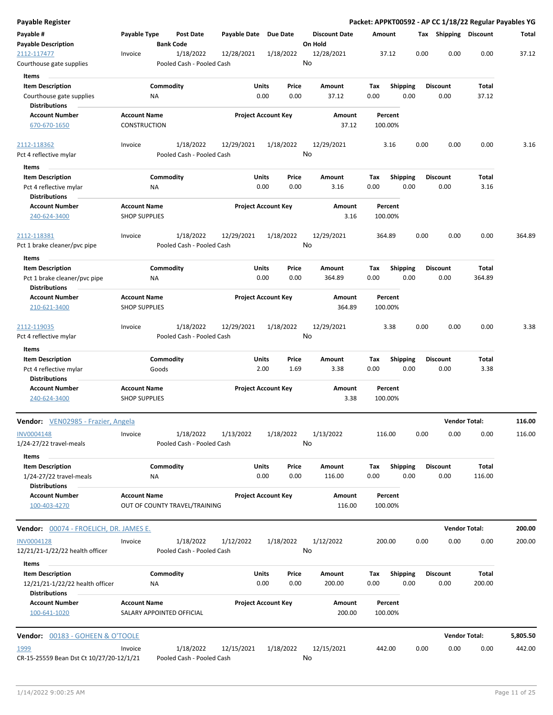| Payable Register                                                          |                                             |                    |                                        |                       |                            |               |                                 |             |                         |      |                         | Packet: APPKT00592 - AP CC 1/18/22 Regular Payables YG |          |
|---------------------------------------------------------------------------|---------------------------------------------|--------------------|----------------------------------------|-----------------------|----------------------------|---------------|---------------------------------|-------------|-------------------------|------|-------------------------|--------------------------------------------------------|----------|
| Payable #<br><b>Payable Description</b>                                   | Payable Type                                | <b>Bank Code</b>   | Post Date                              | Payable Date Due Date |                            |               | <b>Discount Date</b><br>On Hold | Amount      |                         |      | Tax Shipping Discount   |                                                        | Total    |
| 2112-117477<br>Courthouse gate supplies                                   | Invoice                                     |                    | 1/18/2022<br>Pooled Cash - Pooled Cash | 12/28/2021            |                            | 1/18/2022     | 12/28/2021<br>No                |             | 37.12                   | 0.00 | 0.00                    | 0.00                                                   | 37.12    |
|                                                                           |                                             |                    |                                        |                       |                            |               |                                 |             |                         |      |                         |                                                        |          |
| Items                                                                     |                                             |                    |                                        |                       |                            |               |                                 |             |                         |      |                         |                                                        |          |
| <b>Item Description</b><br>Courthouse gate supplies                       |                                             | Commodity<br>ΝA    |                                        |                       | Units<br>0.00              | Price<br>0.00 | Amount<br>37.12                 | Tax<br>0.00 | <b>Shipping</b><br>0.00 |      | <b>Discount</b><br>0.00 | Total<br>37.12                                         |          |
| <b>Distributions</b>                                                      |                                             |                    |                                        |                       |                            |               |                                 |             |                         |      |                         |                                                        |          |
| <b>Account Number</b>                                                     | <b>Account Name</b>                         |                    |                                        |                       | <b>Project Account Key</b> |               | <b>Amount</b>                   |             | Percent                 |      |                         |                                                        |          |
| 670-670-1650                                                              | <b>CONSTRUCTION</b>                         |                    |                                        |                       |                            |               | 37.12                           | 100.00%     |                         |      |                         |                                                        |          |
| 2112-118362                                                               | Invoice                                     |                    | 1/18/2022                              | 12/29/2021            |                            | 1/18/2022     | 12/29/2021                      |             | 3.16                    | 0.00 | 0.00                    | 0.00                                                   | 3.16     |
| Pct 4 reflective mylar                                                    |                                             |                    | Pooled Cash - Pooled Cash              |                       |                            |               | No                              |             |                         |      |                         |                                                        |          |
| Items                                                                     |                                             |                    |                                        |                       |                            |               |                                 |             |                         |      |                         |                                                        |          |
| <b>Item Description</b>                                                   |                                             | Commodity          |                                        |                       | <b>Units</b>               | Price         | Amount                          | Tax         | <b>Shipping</b>         |      | <b>Discount</b>         | Total                                                  |          |
| Pct 4 reflective mylar                                                    |                                             | NA                 |                                        |                       | 0.00                       | 0.00          | 3.16                            | 0.00        | 0.00                    |      | 0.00                    | 3.16                                                   |          |
| <b>Distributions</b>                                                      |                                             |                    |                                        |                       |                            |               |                                 |             |                         |      |                         |                                                        |          |
| <b>Account Number</b>                                                     |                                             |                    |                                        |                       |                            |               |                                 |             |                         |      |                         |                                                        |          |
| 240-624-3400                                                              | <b>Account Name</b><br><b>SHOP SUPPLIES</b> |                    |                                        |                       | <b>Project Account Key</b> |               | Amount<br>3.16                  | 100.00%     | Percent                 |      |                         |                                                        |          |
| 2112-118381                                                               | Invoice                                     |                    | 1/18/2022                              | 12/29/2021            |                            | 1/18/2022     | 12/29/2021                      | 364.89      |                         | 0.00 | 0.00                    | 0.00                                                   | 364.89   |
| Pct 1 brake cleaner/pvc pipe                                              |                                             |                    | Pooled Cash - Pooled Cash              |                       |                            |               | No                              |             |                         |      |                         |                                                        |          |
| Items                                                                     |                                             |                    |                                        |                       |                            |               |                                 |             |                         |      |                         |                                                        |          |
| <b>Item Description</b>                                                   |                                             | Commodity          |                                        |                       | Units                      | Price         | Amount                          | Tax         | <b>Shipping</b>         |      | <b>Discount</b>         | Total                                                  |          |
| Pct 1 brake cleaner/pvc pipe<br><b>Distributions</b>                      |                                             | ΝA                 |                                        |                       | 0.00                       | 0.00          | 364.89                          | 0.00        | 0.00                    |      | 0.00                    | 364.89                                                 |          |
|                                                                           |                                             |                    |                                        |                       |                            |               |                                 |             |                         |      |                         |                                                        |          |
| <b>Account Number</b><br>210-621-3400                                     | <b>Account Name</b><br><b>SHOP SUPPLIES</b> |                    |                                        |                       | <b>Project Account Key</b> |               | Amount<br>364.89                | 100.00%     | Percent                 |      |                         |                                                        |          |
| 2112-119035                                                               | Invoice                                     |                    | 1/18/2022                              | 12/29/2021            |                            | 1/18/2022     | 12/29/2021                      |             | 3.38                    | 0.00 | 0.00                    | 0.00                                                   | 3.38     |
| Pct 4 reflective mylar                                                    |                                             |                    | Pooled Cash - Pooled Cash              |                       |                            |               | No                              |             |                         |      |                         |                                                        |          |
| Items                                                                     |                                             |                    |                                        |                       |                            |               |                                 |             |                         |      |                         |                                                        |          |
| <b>Item Description</b><br>Pct 4 reflective mylar<br><b>Distributions</b> |                                             | Commodity<br>Goods |                                        |                       | Units<br>2.00              | Price<br>1.69 | Amount<br>3.38                  | Tax<br>0.00 | Shipping<br>0.00        |      | <b>Discount</b><br>0.00 | Total<br>3.38                                          |          |
| <b>Account Number</b>                                                     | <b>Account Name</b>                         |                    |                                        |                       | <b>Project Account Key</b> |               | Amount                          |             | Percent                 |      |                         |                                                        |          |
| 240-624-3400                                                              | <b>SHOP SUPPLIES</b>                        |                    |                                        |                       |                            |               | 3.38                            | 100.00%     |                         |      |                         |                                                        |          |
| <b>Vendor:</b> VEN02985 - Frazier, Angela                                 |                                             |                    |                                        |                       |                            |               |                                 |             |                         |      | <b>Vendor Total:</b>    |                                                        | 116.00   |
| <b>INV0004148</b>                                                         | Invoice                                     |                    | 1/18/2022                              | 1/13/2022             |                            | 1/18/2022     | 1/13/2022                       | 116.00      |                         | 0.00 | 0.00                    | 0.00                                                   | 116.00   |
| 1/24-27/22 travel-meals                                                   |                                             |                    | Pooled Cash - Pooled Cash              |                       |                            |               | No                              |             |                         |      |                         |                                                        |          |
| Items                                                                     |                                             |                    |                                        |                       |                            |               |                                 |             |                         |      |                         |                                                        |          |
| <b>Item Description</b><br>$1/24 - 27/22$ travel-meals                    |                                             | Commodity<br>NA    |                                        |                       | Units<br>0.00              | Price<br>0.00 | Amount<br>116.00                | Tax<br>0.00 | <b>Shipping</b><br>0.00 |      | <b>Discount</b><br>0.00 | Total<br>116.00                                        |          |
| <b>Distributions</b>                                                      |                                             |                    |                                        |                       |                            |               |                                 |             |                         |      |                         |                                                        |          |
| <b>Account Number</b><br>100-403-4270                                     | <b>Account Name</b>                         |                    | OUT OF COUNTY TRAVEL/TRAINING          |                       | <b>Project Account Key</b> |               | Amount<br>116.00                | 100.00%     | Percent                 |      |                         |                                                        |          |
| <b>Vendor:</b> 00074 - FROELICH, DR. JAMES E.                             |                                             |                    |                                        |                       |                            |               |                                 |             |                         |      |                         | <b>Vendor Total:</b>                                   | 200.00   |
|                                                                           |                                             |                    |                                        |                       |                            |               |                                 |             |                         |      |                         |                                                        |          |
| INV0004128<br>12/21/21-1/22/22 health officer                             | Invoice                                     |                    | 1/18/2022<br>Pooled Cash - Pooled Cash | 1/12/2022             |                            | 1/18/2022     | 1/12/2022<br>No                 | 200.00      |                         | 0.00 | 0.00                    | 0.00                                                   | 200.00   |
| Items                                                                     |                                             |                    |                                        |                       |                            |               |                                 |             |                         |      |                         |                                                        |          |
| <b>Item Description</b><br>12/21/21-1/22/22 health officer                |                                             | Commodity<br>ΝA    |                                        |                       | Units<br>0.00              | Price<br>0.00 | Amount<br>200.00                | Tax<br>0.00 | <b>Shipping</b><br>0.00 |      | <b>Discount</b><br>0.00 | Total<br>200.00                                        |          |
| <b>Distributions</b><br><b>Account Number</b>                             | <b>Account Name</b>                         |                    |                                        |                       | <b>Project Account Key</b> |               | Amount                          |             | Percent                 |      |                         |                                                        |          |
| 100-641-1020                                                              | SALARY APPOINTED OFFICIAL                   |                    |                                        |                       |                            |               | 200.00                          | 100.00%     |                         |      |                         |                                                        |          |
| <b>Vendor:</b> 00183 - GOHEEN & O'TOOLE                                   |                                             |                    |                                        |                       |                            |               |                                 |             |                         |      |                         | <b>Vendor Total:</b>                                   | 5,805.50 |
|                                                                           |                                             |                    |                                        |                       |                            |               |                                 |             |                         |      |                         |                                                        |          |
| 1999<br>CR-15-25559 Bean Dst Ct 10/27/20-12/1/21                          | Invoice                                     |                    | 1/18/2022<br>Pooled Cash - Pooled Cash | 12/15/2021            |                            | 1/18/2022     | 12/15/2021<br>No                | 442.00      |                         | 0.00 | 0.00                    | 0.00                                                   | 442.00   |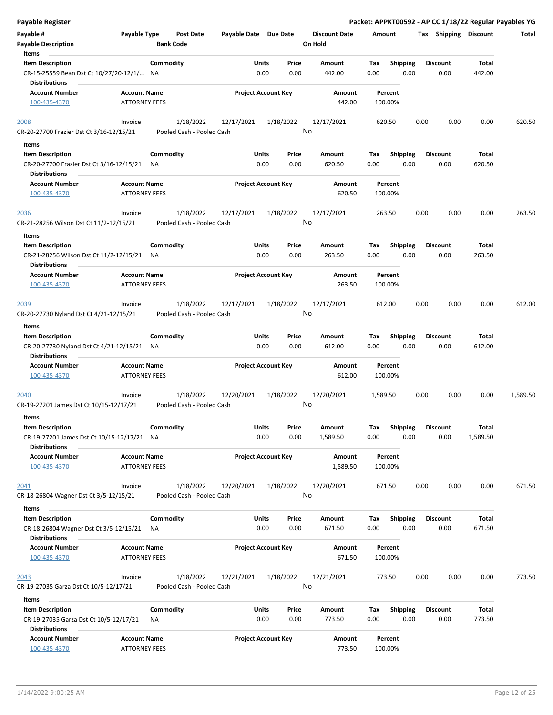| Payable Register                                                                           |                                             |                        |                                        |                            |               |               |                      |             |                    |      |      |                         |                 | Packet: APPKT00592 - AP CC 1/18/22 Regular Payables YG |
|--------------------------------------------------------------------------------------------|---------------------------------------------|------------------------|----------------------------------------|----------------------------|---------------|---------------|----------------------|-------------|--------------------|------|------|-------------------------|-----------------|--------------------------------------------------------|
| Payable #                                                                                  | Payable Type                                |                        | <b>Post Date</b>                       | Payable Date Due Date      |               |               | <b>Discount Date</b> | Amount      |                    |      |      | Tax Shipping Discount   |                 | Total                                                  |
| <b>Payable Description</b><br>Items                                                        |                                             | <b>Bank Code</b>       |                                        |                            |               |               | On Hold              |             |                    |      |      |                         |                 |                                                        |
| <b>Item Description</b>                                                                    |                                             | Commodity              |                                        |                            | Units         | Price         | Amount               | Tax         | <b>Shipping</b>    |      |      | <b>Discount</b>         | Total           |                                                        |
| CR-15-25559 Bean Dst Ct 10/27/20-12/1/ NA<br><b>Distributions</b>                          |                                             |                        |                                        |                            | 0.00          | 0.00          | 442.00               | 0.00        |                    | 0.00 |      | 0.00                    | 442.00          |                                                        |
| <b>Account Number</b>                                                                      | <b>Account Name</b>                         |                        |                                        | <b>Project Account Key</b> |               |               | Amount               |             | Percent            |      |      |                         |                 |                                                        |
| 100-435-4370                                                                               | <b>ATTORNEY FEES</b>                        |                        |                                        |                            |               |               | 442.00               |             | 100.00%            |      |      |                         |                 |                                                        |
| 2008<br>CR-20-27700 Frazier Dst Ct 3/16-12/15/21                                           | Invoice                                     |                        | 1/18/2022<br>Pooled Cash - Pooled Cash | 12/17/2021                 |               | 1/18/2022     | 12/17/2021<br>No     |             | 620.50             |      | 0.00 | 0.00                    | 0.00            | 620.50                                                 |
| Items                                                                                      |                                             |                        |                                        |                            |               |               |                      |             |                    |      |      |                         |                 |                                                        |
| <b>Item Description</b>                                                                    |                                             | Commodity              |                                        |                            | Units         | Price         | Amount               | Tax         | <b>Shipping</b>    |      |      | <b>Discount</b>         | Total           |                                                        |
| CR-20-27700 Frazier Dst Ct 3/16-12/15/21<br>Distributions                                  |                                             | ΝA                     |                                        |                            | 0.00          | 0.00          | 620.50               | 0.00        |                    | 0.00 |      | 0.00                    | 620.50          |                                                        |
| <b>Account Number</b>                                                                      | <b>Account Name</b>                         |                        |                                        | <b>Project Account Key</b> |               |               | Amount               |             | Percent            |      |      |                         |                 |                                                        |
| 100-435-4370                                                                               | <b>ATTORNEY FEES</b>                        |                        |                                        |                            |               |               | 620.50               |             | 100.00%            |      |      |                         |                 |                                                        |
| 2036<br>CR-21-28256 Wilson Dst Ct 11/2-12/15/21                                            | Invoice                                     |                        | 1/18/2022<br>Pooled Cash - Pooled Cash | 12/17/2021                 |               | 1/18/2022     | 12/17/2021<br>No     |             | 263.50             |      | 0.00 | 0.00                    | 0.00            | 263.50                                                 |
| Items                                                                                      |                                             |                        |                                        |                            |               |               |                      |             |                    |      |      |                         |                 |                                                        |
| <b>Item Description</b><br>CR-21-28256 Wilson Dst Ct 11/2-12/15/21<br><b>Distributions</b> |                                             | Commodity<br>ΝA        |                                        |                            | Units<br>0.00 | Price<br>0.00 | Amount<br>263.50     | Tax<br>0.00 | <b>Shipping</b>    | 0.00 |      | <b>Discount</b><br>0.00 | Total<br>263.50 |                                                        |
| <b>Account Number</b>                                                                      | <b>Account Name</b>                         |                        |                                        | <b>Project Account Key</b> |               |               | Amount               |             | Percent            |      |      |                         |                 |                                                        |
| 100-435-4370                                                                               | <b>ATTORNEY FEES</b>                        |                        |                                        |                            |               |               | 263.50               |             | 100.00%            |      |      |                         |                 |                                                        |
| 2039                                                                                       | Invoice                                     |                        | 1/18/2022                              | 12/17/2021                 |               | 1/18/2022     | 12/17/2021           |             | 612.00             |      | 0.00 | 0.00                    | 0.00            | 612.00                                                 |
| CR-20-27730 Nyland Dst Ct 4/21-12/15/21                                                    |                                             |                        | Pooled Cash - Pooled Cash              |                            |               |               | No                   |             |                    |      |      |                         |                 |                                                        |
| Items                                                                                      |                                             |                        |                                        |                            |               |               |                      |             |                    |      |      |                         |                 |                                                        |
| <b>Item Description</b>                                                                    |                                             | Commodity              |                                        |                            | <b>Units</b>  | Price         | Amount               | Tax         | <b>Shipping</b>    |      |      | <b>Discount</b>         | Total           |                                                        |
| CR-20-27730 Nyland Dst Ct 4/21-12/15/21<br><b>Distributions</b>                            |                                             | ΝA                     |                                        |                            | 0.00          | 0.00          | 612.00               | 0.00        |                    | 0.00 |      | 0.00                    | 612.00          |                                                        |
| <b>Account Number</b>                                                                      | <b>Account Name</b>                         |                        |                                        | <b>Project Account Key</b> |               |               | Amount               |             | Percent            |      |      |                         |                 |                                                        |
| 100-435-4370                                                                               | <b>ATTORNEY FEES</b>                        |                        |                                        |                            |               |               | 612.00               |             | 100.00%            |      |      |                         |                 |                                                        |
| <u>2040</u>                                                                                | Invoice                                     |                        | 1/18/2022                              | 12/20/2021                 |               | 1/18/2022     | 12/20/2021           | 1,589.50    |                    |      | 0.00 | 0.00                    | 0.00            | 1,589.50                                               |
| CR-19-27201 James Dst Ct 10/15-12/17/21                                                    |                                             |                        | Pooled Cash - Pooled Cash              |                            |               |               | No                   |             |                    |      |      |                         |                 |                                                        |
| Items                                                                                      |                                             |                        |                                        |                            |               |               |                      |             |                    |      |      |                         |                 |                                                        |
| <b>Item Description</b>                                                                    |                                             | Commodity              |                                        |                            | <b>Units</b>  | Price         | Amount               | Tax         | Shipping           |      |      | <b>Discount</b>         | Total           |                                                        |
| CR-19-27201 James Dst Ct 10/15-12/17/21<br><b>Distributions</b>                            |                                             | NA                     |                                        |                            | 0.00          | 0.00          | 1,589.50             | 0.00        |                    | 0.00 |      | 0.00                    | 1,589.50        |                                                        |
| <b>Account Number</b>                                                                      | <b>Account Name</b>                         |                        |                                        | <b>Project Account Key</b> |               |               | Amount               |             | Percent            |      |      |                         |                 |                                                        |
| 100-435-4370                                                                               | <b>ATTORNEY FEES</b>                        |                        |                                        |                            |               |               | 1,589.50             |             | 100.00%            |      |      |                         |                 |                                                        |
| 2041                                                                                       | Invoice                                     |                        | 1/18/2022                              | 12/20/2021                 |               | 1/18/2022     | 12/20/2021           |             | 671.50             |      | 0.00 | 0.00                    | 0.00            | 671.50                                                 |
| CR-18-26804 Wagner Dst Ct 3/5-12/15/21                                                     |                                             |                        | Pooled Cash - Pooled Cash              |                            |               |               | No                   |             |                    |      |      |                         |                 |                                                        |
| Items                                                                                      |                                             |                        |                                        |                            |               |               |                      |             |                    |      |      |                         |                 |                                                        |
| <b>Item Description</b>                                                                    |                                             | Commodity              |                                        |                            | <b>Units</b>  | Price         | Amount               | Tax         | <b>Shipping</b>    |      |      | <b>Discount</b>         | Total           |                                                        |
| CR-18-26804 Wagner Dst Ct 3/5-12/15/21<br><b>Distributions</b>                             |                                             | ΝA                     |                                        |                            | 0.00          | 0.00          | 671.50               | 0.00        |                    | 0.00 |      | 0.00                    | 671.50          |                                                        |
| <b>Account Number</b><br>100-435-4370                                                      | <b>Account Name</b><br><b>ATTORNEY FEES</b> |                        |                                        | <b>Project Account Key</b> |               |               | Amount<br>671.50     |             | Percent<br>100.00% |      |      |                         |                 |                                                        |
| 2043<br>CR-19-27035 Garza Dst Ct 10/5-12/17/21                                             | Invoice                                     |                        | 1/18/2022<br>Pooled Cash - Pooled Cash | 12/21/2021                 |               | 1/18/2022     | 12/21/2021<br>No     |             | 773.50             |      | 0.00 | 0.00                    | 0.00            | 773.50                                                 |
| Items                                                                                      |                                             |                        |                                        |                            |               |               |                      |             |                    |      |      |                         |                 |                                                        |
| <b>Item Description</b><br>CR-19-27035 Garza Dst Ct 10/5-12/17/21                          |                                             | Commodity<br><b>NA</b> |                                        |                            | Units<br>0.00 | Price<br>0.00 | Amount<br>773.50     | Tax<br>0.00 | Shipping           | 0.00 |      | Discount<br>0.00        | Total<br>773.50 |                                                        |
| <b>Distributions</b>                                                                       |                                             |                        |                                        |                            |               |               |                      |             |                    |      |      |                         |                 |                                                        |
| <b>Account Number</b><br>100-435-4370                                                      | <b>Account Name</b><br><b>ATTORNEY FEES</b> |                        |                                        | <b>Project Account Key</b> |               |               | Amount<br>773.50     |             | Percent<br>100.00% |      |      |                         |                 |                                                        |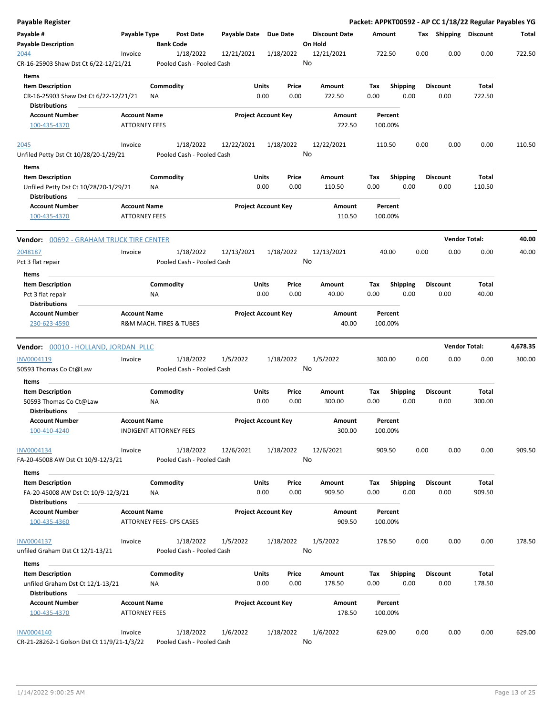| Payable Register                                                                         |                                             |                                        |            |                            |               |                                 |                    |                         |      |                         | Packet: APPKT00592 - AP CC 1/18/22 Regular Payables YG |          |
|------------------------------------------------------------------------------------------|---------------------------------------------|----------------------------------------|------------|----------------------------|---------------|---------------------------------|--------------------|-------------------------|------|-------------------------|--------------------------------------------------------|----------|
| Payable #<br><b>Payable Description</b>                                                  | Payable Type                                | <b>Post Date</b><br><b>Bank Code</b>   |            | Payable Date Due Date      |               | <b>Discount Date</b><br>On Hold | Amount             |                         |      | Tax Shipping Discount   |                                                        | Total    |
| 2044<br>CR-16-25903 Shaw Dst Ct 6/22-12/21/21                                            | Invoice                                     | 1/18/2022<br>Pooled Cash - Pooled Cash | 12/21/2021 | 1/18/2022                  |               | 12/21/2021<br>No                | 722.50             |                         | 0.00 | 0.00                    | 0.00                                                   | 722.50   |
| Items                                                                                    |                                             |                                        |            |                            |               |                                 |                    |                         |      |                         |                                                        |          |
| <b>Item Description</b><br>CR-16-25903 Shaw Dst Ct 6/22-12/21/21                         |                                             | Commodity<br>ΝA                        |            | Units<br>0.00              | Price<br>0.00 | Amount<br>722.50                | Tax<br>0.00        | Shipping<br>0.00        |      | <b>Discount</b><br>0.00 | Total<br>722.50                                        |          |
| <b>Distributions</b><br><b>Account Number</b>                                            | <b>Account Name</b>                         |                                        |            | <b>Project Account Key</b> |               | Amount                          |                    | Percent                 |      |                         |                                                        |          |
| 100-435-4370                                                                             | <b>ATTORNEY FEES</b>                        |                                        |            |                            |               | 722.50                          | 100.00%            |                         |      |                         |                                                        |          |
| 2045                                                                                     | Invoice                                     | 1/18/2022                              | 12/22/2021 | 1/18/2022                  |               | 12/22/2021                      | 110.50             |                         | 0.00 | 0.00                    | 0.00                                                   | 110.50   |
| Unfiled Petty Dst Ct 10/28/20-1/29/21                                                    |                                             | Pooled Cash - Pooled Cash              |            |                            |               | No                              |                    |                         |      |                         |                                                        |          |
| Items                                                                                    |                                             |                                        |            |                            |               |                                 |                    |                         |      |                         |                                                        |          |
| <b>Item Description</b><br>Unfiled Petty Dst Ct 10/28/20-1/29/21<br><b>Distributions</b> |                                             | Commodity<br>ΝA                        |            | Units<br>0.00              | Price<br>0.00 | Amount<br>110.50                | Tax<br>0.00        | <b>Shipping</b><br>0.00 |      | <b>Discount</b><br>0.00 | Total<br>110.50                                        |          |
| <b>Account Number</b><br>100-435-4370                                                    | <b>Account Name</b><br><b>ATTORNEY FEES</b> |                                        |            | <b>Project Account Key</b> |               | Amount<br>110.50                | 100.00%            | Percent                 |      |                         |                                                        |          |
| <b>Vendor:</b> 00692 - GRAHAM TRUCK TIRE CENTER                                          |                                             |                                        |            |                            |               |                                 |                    |                         |      | <b>Vendor Total:</b>    |                                                        | 40.00    |
| 2048187                                                                                  | Invoice                                     | 1/18/2022                              | 12/13/2021 | 1/18/2022                  |               | 12/13/2021                      |                    | 40.00                   | 0.00 | 0.00                    | 0.00                                                   | 40.00    |
| Pct 3 flat repair                                                                        |                                             | Pooled Cash - Pooled Cash              |            |                            |               | No                              |                    |                         |      |                         |                                                        |          |
| Items<br><b>Item Description</b>                                                         |                                             | Commodity                              |            | Units                      | Price         | Amount                          | Tax                | Shipping                |      | <b>Discount</b>         | Total                                                  |          |
| Pct 3 flat repair                                                                        |                                             | ΝA                                     |            | 0.00                       | 0.00          | 40.00                           | 0.00               | 0.00                    |      | 0.00                    | 40.00                                                  |          |
| <b>Distributions</b>                                                                     |                                             |                                        |            |                            |               |                                 |                    |                         |      |                         |                                                        |          |
| <b>Account Number</b><br>230-623-4590                                                    | <b>Account Name</b>                         | R&M MACH. TIRES & TUBES                |            | <b>Project Account Key</b> |               | Amount<br>40.00                 | 100.00%            | Percent                 |      |                         |                                                        |          |
|                                                                                          |                                             |                                        |            |                            |               |                                 |                    |                         |      |                         |                                                        |          |
| Vendor: 00010 - HOLLAND, JORDAN PLLC                                                     |                                             |                                        |            |                            |               |                                 |                    |                         |      | <b>Vendor Total:</b>    |                                                        | 4,678.35 |
| INV0004119<br>50593 Thomas Co Ct@Law                                                     | Invoice                                     | 1/18/2022<br>Pooled Cash - Pooled Cash | 1/5/2022   | 1/18/2022                  |               | 1/5/2022<br>No                  | 300.00             |                         | 0.00 | 0.00                    | 0.00                                                   | 300.00   |
| Items                                                                                    |                                             |                                        |            |                            |               |                                 |                    |                         |      |                         |                                                        |          |
| <b>Item Description</b>                                                                  |                                             | Commodity                              |            | Units                      | Price         | Amount                          | Tax                | <b>Shipping</b>         |      | <b>Discount</b>         | Total                                                  |          |
| 50593 Thomas Co Ct@Law                                                                   |                                             | NA                                     |            | 0.00                       | 0.00          | 300.00                          | 0.00               | 0.00                    |      | 0.00                    | 300.00                                                 |          |
| <b>Distributions</b>                                                                     |                                             |                                        |            |                            |               |                                 |                    |                         |      |                         |                                                        |          |
| Account Number<br>100-410-4240                                                           | <b>Account Name</b>                         | <b>INDIGENT ATTORNEY FEES</b>          |            | <b>Project Account Key</b> |               | Amount<br>300.00                | 100.00%            | Percent                 |      |                         |                                                        |          |
| INV0004134<br>FA-20-45008 AW Dst Ct 10/9-12/3/21                                         | Invoice                                     | 1/18/2022<br>Pooled Cash - Pooled Cash | 12/6/2021  | 1/18/2022                  |               | 12/6/2021<br>No                 | 909.50             |                         | 0.00 | 0.00                    | 0.00                                                   | 909.50   |
| Items                                                                                    |                                             |                                        |            |                            |               |                                 |                    |                         |      |                         |                                                        |          |
| <b>Item Description</b><br>FA-20-45008 AW Dst Ct 10/9-12/3/21<br><b>Distributions</b>    |                                             | Commodity<br>ΝA                        |            | Units<br>0.00              | Price<br>0.00 | Amount<br>909.50                | Tax<br>0.00        | <b>Shipping</b><br>0.00 |      | <b>Discount</b><br>0.00 | Total<br>909.50                                        |          |
| <b>Account Number</b><br>100-435-4360                                                    | <b>Account Name</b>                         | ATTORNEY FEES- CPS CASES               |            | <b>Project Account Key</b> |               | Amount<br>909.50                | 100.00%            | Percent                 |      |                         |                                                        |          |
| INV0004137<br>unfiled Graham Dst Ct 12/1-13/21                                           | Invoice                                     | 1/18/2022<br>Pooled Cash - Pooled Cash | 1/5/2022   | 1/18/2022                  |               | 1/5/2022<br>No                  | 178.50             |                         | 0.00 | 0.00                    | 0.00                                                   | 178.50   |
| Items                                                                                    |                                             |                                        |            |                            |               |                                 |                    |                         |      |                         |                                                        |          |
| <b>Item Description</b><br>unfiled Graham Dst Ct 12/1-13/21                              |                                             | Commodity<br>ΝA                        |            | Units<br>0.00              | Price<br>0.00 | Amount<br>178.50                | Tax<br>0.00        | <b>Shipping</b><br>0.00 |      | <b>Discount</b><br>0.00 | Total<br>178.50                                        |          |
| <b>Distributions</b>                                                                     |                                             |                                        |            |                            |               |                                 |                    |                         |      |                         |                                                        |          |
| <b>Account Number</b><br>100-435-4370                                                    | <b>Account Name</b><br><b>ATTORNEY FEES</b> |                                        |            | <b>Project Account Key</b> |               | Amount<br>178.50                | Percent<br>100.00% |                         |      |                         |                                                        |          |
| <b>INV0004140</b><br>CR-21-28262-1 Golson Dst Ct 11/9/21-1/3/22                          | Invoice                                     | 1/18/2022<br>Pooled Cash - Pooled Cash | 1/6/2022   | 1/18/2022                  |               | 1/6/2022<br>No                  | 629.00             |                         | 0.00 | 0.00                    | 0.00                                                   | 629.00   |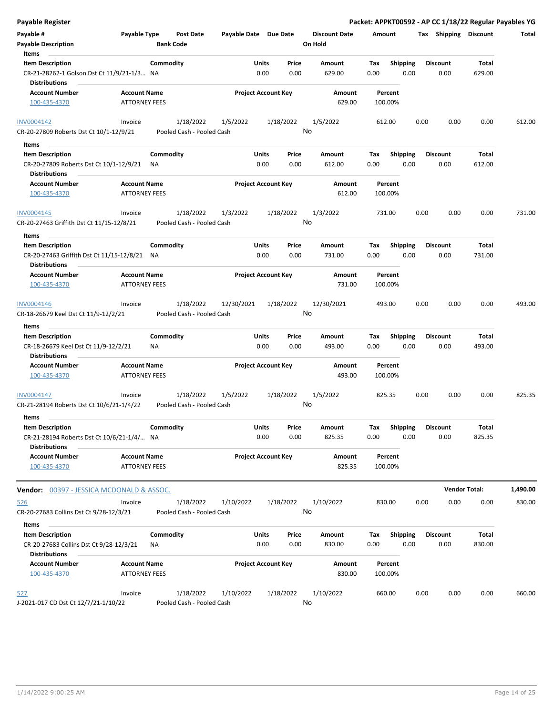| <b>Payable Register</b>                                                                    |                                             |                                        |                       |                            |                                 | Packet: APPKT00592 - AP CC 1/18/22 Regular Payables YG |      |                         |                      |          |
|--------------------------------------------------------------------------------------------|---------------------------------------------|----------------------------------------|-----------------------|----------------------------|---------------------------------|--------------------------------------------------------|------|-------------------------|----------------------|----------|
| Payable #<br><b>Payable Description</b>                                                    | Payable Type                                | <b>Post Date</b><br><b>Bank Code</b>   | Payable Date Due Date |                            | <b>Discount Date</b><br>On Hold | Amount                                                 |      | Tax Shipping Discount   |                      | Total    |
| Items<br><b>Item Description</b>                                                           |                                             | Commodity                              | Units                 | Price                      | <b>Amount</b>                   | <b>Shipping</b><br>Tax                                 |      | <b>Discount</b>         | Total                |          |
| CR-21-28262-1 Golson Dst Ct 11/9/21-1/3 NA<br><b>Distributions</b>                         |                                             |                                        |                       | 0.00<br>0.00               | 629.00                          | 0.00<br>0.00                                           |      | 0.00                    | 629.00               |          |
| <b>Account Number</b>                                                                      | <b>Account Name</b>                         |                                        |                       | <b>Project Account Key</b> | Amount                          | Percent                                                |      |                         |                      |          |
| 100-435-4370                                                                               | <b>ATTORNEY FEES</b>                        |                                        |                       |                            | 629.00                          | 100.00%                                                |      |                         |                      |          |
| INV0004142                                                                                 | Invoice                                     | 1/18/2022                              | 1/5/2022              | 1/18/2022                  | 1/5/2022                        | 612.00                                                 | 0.00 | 0.00                    | 0.00                 | 612.00   |
| CR-20-27809 Roberts Dst Ct 10/1-12/9/21                                                    |                                             | Pooled Cash - Pooled Cash              |                       |                            | No                              |                                                        |      |                         |                      |          |
| Items                                                                                      |                                             |                                        |                       |                            |                                 |                                                        |      |                         |                      |          |
| <b>Item Description</b><br>CR-20-27809 Roberts Dst Ct 10/1-12/9/21<br><b>Distributions</b> |                                             | Commodity<br>ΝA                        | Units                 | Price<br>0.00<br>0.00      | Amount<br>612.00                | Shipping<br>Tax<br>0.00<br>0.00                        |      | <b>Discount</b><br>0.00 | Total<br>612.00      |          |
| <b>Account Number</b>                                                                      | <b>Account Name</b>                         |                                        |                       | <b>Project Account Key</b> | Amount                          | Percent                                                |      |                         |                      |          |
| 100-435-4370                                                                               | <b>ATTORNEY FEES</b>                        |                                        |                       |                            | 612.00                          | 100.00%                                                |      |                         |                      |          |
| INV0004145<br>CR-20-27463 Griffith Dst Ct 11/15-12/8/21                                    | Invoice                                     | 1/18/2022<br>Pooled Cash - Pooled Cash | 1/3/2022              | 1/18/2022                  | 1/3/2022<br>No                  | 731.00                                                 | 0.00 | 0.00                    | 0.00                 | 731.00   |
| Items                                                                                      |                                             |                                        |                       |                            |                                 |                                                        |      |                         |                      |          |
| <b>Item Description</b>                                                                    |                                             | Commodity                              | Units                 | Price                      | Amount                          | Tax<br><b>Shipping</b>                                 |      | <b>Discount</b>         | Total                |          |
| CR-20-27463 Griffith Dst Ct 11/15-12/8/21 NA<br><b>Distributions</b>                       |                                             |                                        |                       | 0.00<br>0.00               | 731.00                          | 0.00<br>0.00                                           |      | 0.00                    | 731.00               |          |
| <b>Account Number</b>                                                                      | <b>Account Name</b>                         |                                        |                       | <b>Project Account Key</b> | <b>Amount</b>                   | Percent                                                |      |                         |                      |          |
| 100-435-4370                                                                               | <b>ATTORNEY FEES</b>                        |                                        |                       |                            | 731.00                          | 100.00%                                                |      |                         |                      |          |
| INV0004146                                                                                 | Invoice                                     | 1/18/2022                              | 12/30/2021            | 1/18/2022                  | 12/30/2021                      | 493.00                                                 | 0.00 | 0.00                    | 0.00                 | 493.00   |
| CR-18-26679 Keel Dst Ct 11/9-12/2/21                                                       |                                             | Pooled Cash - Pooled Cash              |                       |                            | No                              |                                                        |      |                         |                      |          |
| Items                                                                                      |                                             |                                        |                       |                            |                                 |                                                        |      |                         |                      |          |
| <b>Item Description</b>                                                                    |                                             | Commodity                              | Units                 | Price                      | Amount                          | <b>Shipping</b><br>Tax                                 |      | <b>Discount</b>         | Total                |          |
| CR-18-26679 Keel Dst Ct 11/9-12/2/21<br><b>Distributions</b>                               |                                             | NA                                     |                       | 0.00<br>0.00               | 493.00                          | 0.00<br>0.00                                           |      | 0.00                    | 493.00               |          |
| <b>Account Number</b><br>100-435-4370                                                      | <b>Account Name</b><br><b>ATTORNEY FEES</b> |                                        |                       | <b>Project Account Key</b> | Amount<br>493.00                | Percent<br>100.00%                                     |      |                         |                      |          |
| INV0004147<br>CR-21-28194 Roberts Dst Ct 10/6/21-1/4/22                                    | Invoice                                     | 1/18/2022<br>Pooled Cash - Pooled Cash | 1/5/2022              | 1/18/2022                  | 1/5/2022<br>No                  | 825.35                                                 | 0.00 | 0.00                    | 0.00                 | 825.35   |
|                                                                                            |                                             |                                        |                       |                            |                                 |                                                        |      |                         |                      |          |
| Items<br><b>Item Description</b><br>CR-21-28194 Roberts Dst Ct 10/6/21-1/4/ NA             |                                             | Commodity                              | Units                 | Price<br>0.00<br>0.00      | Amount<br>825.35                | Shipping<br>Tax<br>0.00<br>0.00                        |      | Discount<br>0.00        | Total<br>825.35      |          |
| <b>Distributions</b>                                                                       |                                             |                                        |                       |                            |                                 |                                                        |      |                         |                      |          |
| <b>Account Number</b><br>100-435-4370                                                      | <b>Account Name</b><br><b>ATTORNEY FEES</b> |                                        |                       | <b>Project Account Key</b> | Amount<br>825.35                | Percent<br>100.00%                                     |      |                         |                      |          |
| <b>Vendor:</b> 00397 - JESSICA MCDONALD & ASSOC.                                           |                                             |                                        |                       |                            |                                 |                                                        |      |                         | <b>Vendor Total:</b> | 1,490.00 |
| 526                                                                                        | Invoice                                     | 1/18/2022                              | 1/10/2022             | 1/18/2022                  | 1/10/2022                       | 830.00                                                 | 0.00 | 0.00                    | 0.00                 | 830.00   |
| CR-20-27683 Collins Dst Ct 9/28-12/3/21                                                    |                                             | Pooled Cash - Pooled Cash              |                       |                            | No                              |                                                        |      |                         |                      |          |
| Items                                                                                      |                                             |                                        |                       |                            |                                 |                                                        |      |                         |                      |          |
| <b>Item Description</b><br>CR-20-27683 Collins Dst Ct 9/28-12/3/21<br><b>Distributions</b> |                                             | Commodity<br>ΝA                        | Units                 | Price<br>0.00<br>0.00      | Amount<br>830.00                | <b>Shipping</b><br>Tax<br>0.00<br>0.00                 |      | <b>Discount</b><br>0.00 | Total<br>830.00      |          |
| <b>Account Number</b><br>100-435-4370                                                      | <b>Account Name</b><br><b>ATTORNEY FEES</b> |                                        |                       | <b>Project Account Key</b> | Amount<br>830.00                | Percent<br>100.00%                                     |      |                         |                      |          |
|                                                                                            | Invoice                                     | 1/18/2022                              | 1/10/2022             | 1/18/2022                  | 1/10/2022                       | 660.00                                                 | 0.00 | 0.00                    | 0.00                 | 660.00   |
| <u>527</u><br>J-2021-017 CD Dst Ct 12/7/21-1/10/22                                         |                                             | Pooled Cash - Pooled Cash              |                       |                            | No                              |                                                        |      |                         |                      |          |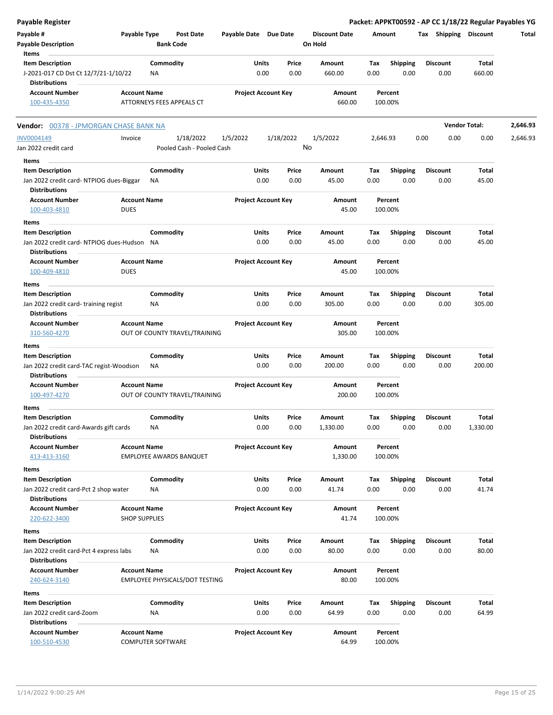| <b>Payable Register</b>                                                                    |                                      |                       |                            |                                 |             |                         | Packet: APPKT00592 - AP CC 1/18/22 Regular Payables YG |                      |          |
|--------------------------------------------------------------------------------------------|--------------------------------------|-----------------------|----------------------------|---------------------------------|-------------|-------------------------|--------------------------------------------------------|----------------------|----------|
| Payable #<br>Payable Type<br><b>Payable Description</b>                                    | <b>Post Date</b><br><b>Bank Code</b> | Payable Date Due Date |                            | <b>Discount Date</b><br>On Hold | Amount      |                         | Tax Shipping Discount                                  |                      | Total    |
| Items                                                                                      |                                      |                       |                            |                                 |             |                         |                                                        |                      |          |
| <b>Item Description</b><br>J-2021-017 CD Dst Ct 12/7/21-1/10/22<br><b>Distributions</b>    | Commodity<br>NA                      | Units<br>0.00         | Price<br>0.00              | Amount<br>660.00                | Tax<br>0.00 | <b>Shipping</b><br>0.00 | <b>Discount</b><br>0.00                                | Total<br>660.00      |          |
| <b>Account Number</b><br><b>Account Name</b><br>100-435-4350                               | ATTORNEYS FEES APPEALS CT            |                       | <b>Project Account Key</b> | Amount<br>660.00                | 100.00%     | Percent                 |                                                        |                      |          |
| Vendor: 00378 - JPMORGAN CHASE BANK NA                                                     |                                      |                       |                            |                                 |             |                         |                                                        | <b>Vendor Total:</b> | 2,646.93 |
| INV0004149<br>Invoice                                                                      | 1/18/2022                            | 1/5/2022              | 1/18/2022                  | 1/5/2022                        | 2,646.93    |                         | 0.00<br>0.00                                           | 0.00                 | 2,646.93 |
| Jan 2022 credit card                                                                       | Pooled Cash - Pooled Cash            |                       |                            | No                              |             |                         |                                                        |                      |          |
| Items                                                                                      |                                      |                       |                            |                                 |             |                         |                                                        |                      |          |
| <b>Item Description</b><br>Jan 2022 credit card-NTPIOG dues-Biggar                         | Commodity<br>ΝA                      | Units<br>0.00         | Price<br>0.00              | Amount<br>45.00                 | Tax<br>0.00 | <b>Shipping</b><br>0.00 | <b>Discount</b><br>0.00                                | Total<br>45.00       |          |
| <b>Distributions</b><br><b>Account Name</b><br><b>Account Number</b>                       |                                      |                       | <b>Project Account Key</b> | Amount                          |             | Percent                 |                                                        |                      |          |
| <b>DUES</b><br>100-403-4810                                                                |                                      |                       |                            | 45.00                           | 100.00%     |                         |                                                        |                      |          |
| Items                                                                                      |                                      |                       |                            |                                 |             |                         |                                                        |                      |          |
| <b>Item Description</b>                                                                    | Commodity                            | Units                 | Price                      | Amount                          | Tax         | <b>Shipping</b>         | <b>Discount</b>                                        | Total                |          |
| Jan 2022 credit card-NTPIOG dues-Hudson NA<br><b>Distributions</b>                         |                                      | 0.00                  | 0.00                       | 45.00                           | 0.00        | 0.00                    | 0.00                                                   | 45.00                |          |
| <b>Account Name</b><br><b>Account Number</b><br>100-409-4810<br><b>DUES</b>                |                                      |                       | <b>Project Account Key</b> | Amount<br>45.00                 | 100.00%     | Percent                 |                                                        |                      |          |
| Items                                                                                      |                                      |                       |                            |                                 |             |                         |                                                        |                      |          |
| <b>Item Description</b>                                                                    | Commodity                            | Units                 | Price                      | Amount                          | Tax         | <b>Shipping</b>         | <b>Discount</b>                                        | Total                |          |
| Jan 2022 credit card-training regist<br><b>Distributions</b>                               | NA                                   | 0.00                  | 0.00                       | 305.00                          | 0.00        | 0.00                    | 0.00                                                   | 305.00               |          |
| <b>Account Number</b><br><b>Account Name</b><br>310-560-4270                               | OUT OF COUNTY TRAVEL/TRAINING        |                       | <b>Project Account Key</b> | Amount<br>305.00                | 100.00%     | Percent                 |                                                        |                      |          |
| Items                                                                                      |                                      |                       |                            |                                 |             |                         |                                                        |                      |          |
| <b>Item Description</b><br>Jan 2022 credit card-TAC regist-Woodson<br><b>Distributions</b> | Commodity<br>NA                      | Units<br>0.00         | Price<br>0.00              | Amount<br>200.00                | Tax<br>0.00 | <b>Shipping</b><br>0.00 | Discount<br>0.00                                       | Total<br>200.00      |          |
| <b>Account Number</b><br><b>Account Name</b>                                               |                                      |                       | <b>Project Account Key</b> | Amount                          |             | Percent                 |                                                        |                      |          |
| 100-497-4270                                                                               | OUT OF COUNTY TRAVEL/TRAINING        |                       |                            | 200.00                          | 100.00%     |                         |                                                        |                      |          |
| Items                                                                                      |                                      |                       |                            |                                 |             |                         |                                                        |                      |          |
| Item Description<br>Jan 2022 credit card-Awards gift cards                                 | Commodity<br>NA                      | Units<br>0.00         | Price<br>0.00              | Amount<br>1,330.00              | Tax<br>0.00 | <b>Shipping</b><br>0.00 | Discount<br>0.00                                       | Total<br>1,330.00    |          |
| <b>Distributions</b>                                                                       |                                      |                       |                            |                                 |             |                         |                                                        |                      |          |
| <b>Account Number</b><br><b>Account Name</b><br>413-413-3160                               | <b>EMPLOYEE AWARDS BANQUET</b>       |                       | <b>Project Account Key</b> | Amount<br>1,330.00              | 100.00%     | Percent                 |                                                        |                      |          |
| Items                                                                                      |                                      |                       |                            |                                 |             |                         |                                                        |                      |          |
| <b>Item Description</b>                                                                    | Commodity                            | Units                 | Price                      | Amount                          | Tax         | Shipping                | <b>Discount</b>                                        | Total                |          |
| Jan 2022 credit card-Pct 2 shop water                                                      | NA                                   | 0.00                  | 0.00                       | 41.74                           | 0.00        | 0.00                    | 0.00                                                   | 41.74                |          |
| <b>Distributions</b>                                                                       |                                      |                       |                            |                                 |             |                         |                                                        |                      |          |
| <b>Account Number</b><br><b>Account Name</b><br>220-622-3400<br><b>SHOP SUPPLIES</b>       |                                      |                       | <b>Project Account Key</b> | Amount<br>41.74                 | 100.00%     | Percent                 |                                                        |                      |          |
| Items                                                                                      |                                      |                       |                            |                                 |             |                         |                                                        |                      |          |
| <b>Item Description</b>                                                                    | Commodity                            | Units                 | Price                      | Amount                          | Tax         | <b>Shipping</b>         | Discount                                               | Total                |          |
| Jan 2022 credit card-Pct 4 express labs<br><b>Distributions</b>                            | NA                                   | 0.00                  | 0.00                       | 80.00                           | 0.00        | 0.00                    | 0.00                                                   | 80.00                |          |
| <b>Account Name</b><br><b>Account Number</b>                                               |                                      |                       | <b>Project Account Key</b> | Amount                          |             | Percent                 |                                                        |                      |          |
| 240-624-3140                                                                               | EMPLOYEE PHYSICALS/DOT TESTING       |                       |                            | 80.00                           | 100.00%     |                         |                                                        |                      |          |
| Items                                                                                      |                                      |                       |                            |                                 |             |                         |                                                        |                      |          |
| <b>Item Description</b>                                                                    | Commodity                            | Units                 | Price                      | Amount                          | Tax         | Shipping                | <b>Discount</b>                                        | Total                |          |
| Jan 2022 credit card-Zoom<br><b>Distributions</b>                                          | NA                                   | 0.00                  | 0.00                       | 64.99                           | 0.00        | 0.00                    | 0.00                                                   | 64.99                |          |
| <b>Account Number</b><br><b>Account Name</b><br>100-510-4530                               | <b>COMPUTER SOFTWARE</b>             |                       | <b>Project Account Key</b> | Amount<br>64.99                 | 100.00%     | Percent                 |                                                        |                      |          |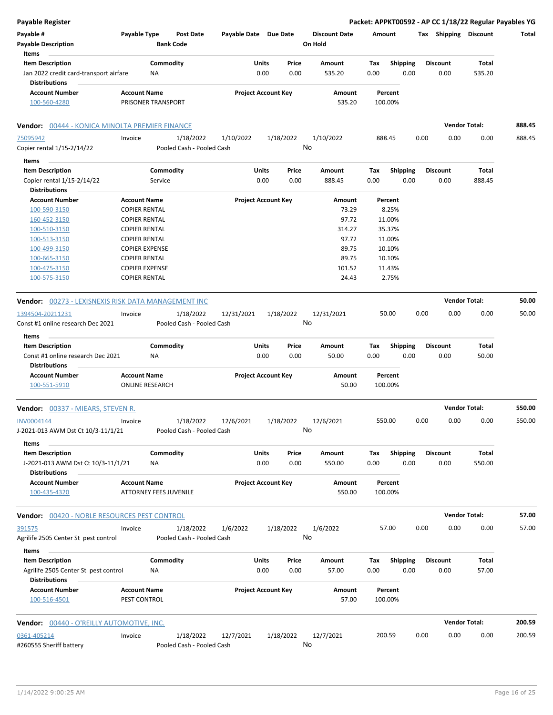| Payable #<br>Payable Type<br><b>Post Date</b><br>Payable Date Due Date<br><b>Discount Date</b><br>Tax Shipping Discount<br>Amount<br>Total<br><b>Bank Code</b><br>On Hold<br><b>Payable Description</b><br>Items<br><b>Item Description</b><br>Commodity<br>Shipping<br><b>Discount</b><br>Total<br>Units<br>Price<br>Amount<br>Tax<br>0.00<br>Jan 2022 credit card-transport airfare<br>NA<br>0.00<br>0.00<br>535.20<br>0.00<br>0.00<br>535.20<br><b>Distributions</b><br><b>Project Account Key</b><br><b>Account Number</b><br><b>Account Name</b><br>Amount<br>Percent<br>PRISONER TRANSPORT<br>535.20<br>100-560-4280<br>100.00%<br><b>Vendor Total:</b><br>Vendor: 00444 - KONICA MINOLTA PREMIER FINANCE<br>888.45<br>1/10/2022<br>75095942<br>1/18/2022<br>1/10/2022<br>1/18/2022<br>888.45<br>0.00<br>0.00<br>0.00<br>888.45<br>Invoice<br>No<br>Copier rental 1/15-2/14/22<br>Pooled Cash - Pooled Cash<br>Items<br><b>Item Description</b><br>Commodity<br>Units<br><b>Discount</b><br>Price<br>Amount<br>Tax<br><b>Shipping</b><br>Total<br>Copier rental 1/15-2/14/22<br>0.00<br>0.00<br>888.45<br>0.00<br>0.00<br>0.00<br>888.45<br>Service<br><b>Distributions</b><br><b>Project Account Key</b><br><b>Account Number</b><br><b>Account Name</b><br>Amount<br>Percent<br><b>COPIER RENTAL</b><br>73.29<br>8.25%<br>100-590-3150<br>97.72<br>11.00%<br>160-452-3150<br><b>COPIER RENTAL</b><br>314.27<br>35.37%<br>100-510-3150<br><b>COPIER RENTAL</b><br>97.72<br>11.00%<br>100-513-3150<br><b>COPIER RENTAL</b><br>89.75<br>10.10%<br>100-499-3150<br><b>COPIER EXPENSE</b><br>89.75<br>10.10%<br>100-665-3150<br><b>COPIER RENTAL</b><br>100-475-3150<br><b>COPIER EXPENSE</b><br>101.52<br>11.43%<br><b>COPIER RENTAL</b><br>24.43<br>2.75%<br>100-575-3150<br><b>Vendor Total:</b><br>50.00<br><b>Vendor:</b> 00273 - LEXISNEXIS RISK DATA MANAGEMENT INC<br>50.00<br>0.00<br>0.00<br>0.00<br>50.00<br>1394504-20211231<br>1/18/2022<br>12/31/2021<br>1/18/2022<br>12/31/2021<br>Invoice<br>No<br>Const #1 online research Dec 2021<br>Pooled Cash - Pooled Cash<br>Items<br><b>Item Description</b><br>Commodity<br>Units<br><b>Shipping</b><br>Total<br>Price<br>Amount<br>Tax<br>Discount<br>Const #1 online research Dec 2021<br>0.00<br>0.00<br>50.00<br>0.00<br>0.00<br>0.00<br>50.00<br>ΝA<br><b>Distributions</b><br><b>Account Name</b><br><b>Project Account Key</b><br><b>Account Number</b><br>Amount<br>Percent<br>100.00%<br>100-551-5910<br><b>ONLINE RESEARCH</b><br>50.00<br><b>Vendor Total:</b><br>550.00<br><b>Vendor: 00337 - MIEARS, STEVEN R.</b><br>INV0004144<br>1/18/2022<br>12/6/2021<br>1/18/2022<br>12/6/2021<br>550.00<br>0.00<br>0.00<br>550.00<br>0.00<br>Invoice<br>No<br>J-2021-013 AWM Dst Ct 10/3-11/1/21<br>Pooled Cash - Pooled Cash<br>Items<br>Commodity<br>Units<br><b>Shipping</b><br><b>Discount</b><br>Total<br><b>Item Description</b><br>Price<br>Amount<br>Tax<br>0.00<br>0.00<br>550.00<br>J-2021-013 AWM Dst Ct 10/3-11/1/21<br>0.00<br>550.00<br>0.00<br>0.00<br>NA<br><b>Distributions</b><br><b>Account Name</b><br><b>Project Account Key</b><br><b>Account Number</b><br>Amount<br>Percent<br>ATTORNEY FEES JUVENILE<br>550.00<br>100.00%<br>100-435-4320<br><b>Vendor Total:</b><br>57.00<br>Vendor: 00420 - NOBLE RESOURCES PEST CONTROL<br>391575<br>Invoice<br>1/18/2022<br>1/6/2022<br>1/18/2022<br>1/6/2022<br>57.00<br>0.00<br>0.00<br>0.00<br>57.00<br>No<br>Pooled Cash - Pooled Cash<br>Agrilife 2505 Center St pest control<br>Items<br>Commodity<br><b>Item Description</b><br>Units<br><b>Shipping</b><br><b>Discount</b><br>Total<br>Price<br>Amount<br>Tax<br>0.00<br>0.00<br>0.00<br>57.00<br>Agrilife 2505 Center St pest control<br>57.00<br>0.00<br>0.00<br>NA<br><b>Distributions</b><br><b>Project Account Key</b><br><b>Account Number</b><br><b>Account Name</b><br>Amount<br>Percent<br>100-516-4501<br>PEST CONTROL<br>57.00<br>100.00%<br><b>Vendor Total:</b><br>200.59<br><b>Vendor: 00440 - O'REILLY AUTOMOTIVE, INC.</b><br>12/7/2021<br>0.00<br>0361-405214<br>1/18/2022<br>12/7/2021<br>1/18/2022<br>200.59<br>0.00<br>0.00<br>200.59<br>Invoice<br>No<br>#260555 Sheriff battery<br>Pooled Cash - Pooled Cash | <b>Payable Register</b> |  |  |  |  |  | Packet: APPKT00592 - AP CC 1/18/22 Regular Payables YG |  |
|--------------------------------------------------------------------------------------------------------------------------------------------------------------------------------------------------------------------------------------------------------------------------------------------------------------------------------------------------------------------------------------------------------------------------------------------------------------------------------------------------------------------------------------------------------------------------------------------------------------------------------------------------------------------------------------------------------------------------------------------------------------------------------------------------------------------------------------------------------------------------------------------------------------------------------------------------------------------------------------------------------------------------------------------------------------------------------------------------------------------------------------------------------------------------------------------------------------------------------------------------------------------------------------------------------------------------------------------------------------------------------------------------------------------------------------------------------------------------------------------------------------------------------------------------------------------------------------------------------------------------------------------------------------------------------------------------------------------------------------------------------------------------------------------------------------------------------------------------------------------------------------------------------------------------------------------------------------------------------------------------------------------------------------------------------------------------------------------------------------------------------------------------------------------------------------------------------------------------------------------------------------------------------------------------------------------------------------------------------------------------------------------------------------------------------------------------------------------------------------------------------------------------------------------------------------------------------------------------------------------------------------------------------------------------------------------------------------------------------------------------------------------------------------------------------------------------------------------------------------------------------------------------------------------------------------------------------------------------------------------------------------------------------------------------------------------------------------------------------------------------------------------------------------------------------------------------------------------------------------------------------------------------------------------------------------------------------------------------------------------------------------------------------------------------------------------------------------------------------------------------------------------------------------------------------------------------------------------------------------------------------------------------------------------------------------------------------------------------------------------------------------------------------------------------------------------------------------------------------------------------------------------------------------------------------------------------------------------------------------------------------------------------------------------------------------------------------------------------------------------------------------------------------------------------------------------------------------------------|-------------------------|--|--|--|--|--|--------------------------------------------------------|--|
|                                                                                                                                                                                                                                                                                                                                                                                                                                                                                                                                                                                                                                                                                                                                                                                                                                                                                                                                                                                                                                                                                                                                                                                                                                                                                                                                                                                                                                                                                                                                                                                                                                                                                                                                                                                                                                                                                                                                                                                                                                                                                                                                                                                                                                                                                                                                                                                                                                                                                                                                                                                                                                                                                                                                                                                                                                                                                                                                                                                                                                                                                                                                                                                                                                                                                                                                                                                                                                                                                                                                                                                                                                                                                                                                                                                                                                                                                                                                                                                                                                                                                                                                                                                                                          |                         |  |  |  |  |  |                                                        |  |
|                                                                                                                                                                                                                                                                                                                                                                                                                                                                                                                                                                                                                                                                                                                                                                                                                                                                                                                                                                                                                                                                                                                                                                                                                                                                                                                                                                                                                                                                                                                                                                                                                                                                                                                                                                                                                                                                                                                                                                                                                                                                                                                                                                                                                                                                                                                                                                                                                                                                                                                                                                                                                                                                                                                                                                                                                                                                                                                                                                                                                                                                                                                                                                                                                                                                                                                                                                                                                                                                                                                                                                                                                                                                                                                                                                                                                                                                                                                                                                                                                                                                                                                                                                                                                          |                         |  |  |  |  |  |                                                        |  |
|                                                                                                                                                                                                                                                                                                                                                                                                                                                                                                                                                                                                                                                                                                                                                                                                                                                                                                                                                                                                                                                                                                                                                                                                                                                                                                                                                                                                                                                                                                                                                                                                                                                                                                                                                                                                                                                                                                                                                                                                                                                                                                                                                                                                                                                                                                                                                                                                                                                                                                                                                                                                                                                                                                                                                                                                                                                                                                                                                                                                                                                                                                                                                                                                                                                                                                                                                                                                                                                                                                                                                                                                                                                                                                                                                                                                                                                                                                                                                                                                                                                                                                                                                                                                                          |                         |  |  |  |  |  |                                                        |  |
|                                                                                                                                                                                                                                                                                                                                                                                                                                                                                                                                                                                                                                                                                                                                                                                                                                                                                                                                                                                                                                                                                                                                                                                                                                                                                                                                                                                                                                                                                                                                                                                                                                                                                                                                                                                                                                                                                                                                                                                                                                                                                                                                                                                                                                                                                                                                                                                                                                                                                                                                                                                                                                                                                                                                                                                                                                                                                                                                                                                                                                                                                                                                                                                                                                                                                                                                                                                                                                                                                                                                                                                                                                                                                                                                                                                                                                                                                                                                                                                                                                                                                                                                                                                                                          |                         |  |  |  |  |  |                                                        |  |
|                                                                                                                                                                                                                                                                                                                                                                                                                                                                                                                                                                                                                                                                                                                                                                                                                                                                                                                                                                                                                                                                                                                                                                                                                                                                                                                                                                                                                                                                                                                                                                                                                                                                                                                                                                                                                                                                                                                                                                                                                                                                                                                                                                                                                                                                                                                                                                                                                                                                                                                                                                                                                                                                                                                                                                                                                                                                                                                                                                                                                                                                                                                                                                                                                                                                                                                                                                                                                                                                                                                                                                                                                                                                                                                                                                                                                                                                                                                                                                                                                                                                                                                                                                                                                          |                         |  |  |  |  |  |                                                        |  |
|                                                                                                                                                                                                                                                                                                                                                                                                                                                                                                                                                                                                                                                                                                                                                                                                                                                                                                                                                                                                                                                                                                                                                                                                                                                                                                                                                                                                                                                                                                                                                                                                                                                                                                                                                                                                                                                                                                                                                                                                                                                                                                                                                                                                                                                                                                                                                                                                                                                                                                                                                                                                                                                                                                                                                                                                                                                                                                                                                                                                                                                                                                                                                                                                                                                                                                                                                                                                                                                                                                                                                                                                                                                                                                                                                                                                                                                                                                                                                                                                                                                                                                                                                                                                                          |                         |  |  |  |  |  |                                                        |  |
|                                                                                                                                                                                                                                                                                                                                                                                                                                                                                                                                                                                                                                                                                                                                                                                                                                                                                                                                                                                                                                                                                                                                                                                                                                                                                                                                                                                                                                                                                                                                                                                                                                                                                                                                                                                                                                                                                                                                                                                                                                                                                                                                                                                                                                                                                                                                                                                                                                                                                                                                                                                                                                                                                                                                                                                                                                                                                                                                                                                                                                                                                                                                                                                                                                                                                                                                                                                                                                                                                                                                                                                                                                                                                                                                                                                                                                                                                                                                                                                                                                                                                                                                                                                                                          |                         |  |  |  |  |  |                                                        |  |
|                                                                                                                                                                                                                                                                                                                                                                                                                                                                                                                                                                                                                                                                                                                                                                                                                                                                                                                                                                                                                                                                                                                                                                                                                                                                                                                                                                                                                                                                                                                                                                                                                                                                                                                                                                                                                                                                                                                                                                                                                                                                                                                                                                                                                                                                                                                                                                                                                                                                                                                                                                                                                                                                                                                                                                                                                                                                                                                                                                                                                                                                                                                                                                                                                                                                                                                                                                                                                                                                                                                                                                                                                                                                                                                                                                                                                                                                                                                                                                                                                                                                                                                                                                                                                          |                         |  |  |  |  |  |                                                        |  |
|                                                                                                                                                                                                                                                                                                                                                                                                                                                                                                                                                                                                                                                                                                                                                                                                                                                                                                                                                                                                                                                                                                                                                                                                                                                                                                                                                                                                                                                                                                                                                                                                                                                                                                                                                                                                                                                                                                                                                                                                                                                                                                                                                                                                                                                                                                                                                                                                                                                                                                                                                                                                                                                                                                                                                                                                                                                                                                                                                                                                                                                                                                                                                                                                                                                                                                                                                                                                                                                                                                                                                                                                                                                                                                                                                                                                                                                                                                                                                                                                                                                                                                                                                                                                                          |                         |  |  |  |  |  |                                                        |  |
|                                                                                                                                                                                                                                                                                                                                                                                                                                                                                                                                                                                                                                                                                                                                                                                                                                                                                                                                                                                                                                                                                                                                                                                                                                                                                                                                                                                                                                                                                                                                                                                                                                                                                                                                                                                                                                                                                                                                                                                                                                                                                                                                                                                                                                                                                                                                                                                                                                                                                                                                                                                                                                                                                                                                                                                                                                                                                                                                                                                                                                                                                                                                                                                                                                                                                                                                                                                                                                                                                                                                                                                                                                                                                                                                                                                                                                                                                                                                                                                                                                                                                                                                                                                                                          |                         |  |  |  |  |  |                                                        |  |
|                                                                                                                                                                                                                                                                                                                                                                                                                                                                                                                                                                                                                                                                                                                                                                                                                                                                                                                                                                                                                                                                                                                                                                                                                                                                                                                                                                                                                                                                                                                                                                                                                                                                                                                                                                                                                                                                                                                                                                                                                                                                                                                                                                                                                                                                                                                                                                                                                                                                                                                                                                                                                                                                                                                                                                                                                                                                                                                                                                                                                                                                                                                                                                                                                                                                                                                                                                                                                                                                                                                                                                                                                                                                                                                                                                                                                                                                                                                                                                                                                                                                                                                                                                                                                          |                         |  |  |  |  |  |                                                        |  |
|                                                                                                                                                                                                                                                                                                                                                                                                                                                                                                                                                                                                                                                                                                                                                                                                                                                                                                                                                                                                                                                                                                                                                                                                                                                                                                                                                                                                                                                                                                                                                                                                                                                                                                                                                                                                                                                                                                                                                                                                                                                                                                                                                                                                                                                                                                                                                                                                                                                                                                                                                                                                                                                                                                                                                                                                                                                                                                                                                                                                                                                                                                                                                                                                                                                                                                                                                                                                                                                                                                                                                                                                                                                                                                                                                                                                                                                                                                                                                                                                                                                                                                                                                                                                                          |                         |  |  |  |  |  |                                                        |  |
|                                                                                                                                                                                                                                                                                                                                                                                                                                                                                                                                                                                                                                                                                                                                                                                                                                                                                                                                                                                                                                                                                                                                                                                                                                                                                                                                                                                                                                                                                                                                                                                                                                                                                                                                                                                                                                                                                                                                                                                                                                                                                                                                                                                                                                                                                                                                                                                                                                                                                                                                                                                                                                                                                                                                                                                                                                                                                                                                                                                                                                                                                                                                                                                                                                                                                                                                                                                                                                                                                                                                                                                                                                                                                                                                                                                                                                                                                                                                                                                                                                                                                                                                                                                                                          |                         |  |  |  |  |  |                                                        |  |
|                                                                                                                                                                                                                                                                                                                                                                                                                                                                                                                                                                                                                                                                                                                                                                                                                                                                                                                                                                                                                                                                                                                                                                                                                                                                                                                                                                                                                                                                                                                                                                                                                                                                                                                                                                                                                                                                                                                                                                                                                                                                                                                                                                                                                                                                                                                                                                                                                                                                                                                                                                                                                                                                                                                                                                                                                                                                                                                                                                                                                                                                                                                                                                                                                                                                                                                                                                                                                                                                                                                                                                                                                                                                                                                                                                                                                                                                                                                                                                                                                                                                                                                                                                                                                          |                         |  |  |  |  |  |                                                        |  |
|                                                                                                                                                                                                                                                                                                                                                                                                                                                                                                                                                                                                                                                                                                                                                                                                                                                                                                                                                                                                                                                                                                                                                                                                                                                                                                                                                                                                                                                                                                                                                                                                                                                                                                                                                                                                                                                                                                                                                                                                                                                                                                                                                                                                                                                                                                                                                                                                                                                                                                                                                                                                                                                                                                                                                                                                                                                                                                                                                                                                                                                                                                                                                                                                                                                                                                                                                                                                                                                                                                                                                                                                                                                                                                                                                                                                                                                                                                                                                                                                                                                                                                                                                                                                                          |                         |  |  |  |  |  |                                                        |  |
|                                                                                                                                                                                                                                                                                                                                                                                                                                                                                                                                                                                                                                                                                                                                                                                                                                                                                                                                                                                                                                                                                                                                                                                                                                                                                                                                                                                                                                                                                                                                                                                                                                                                                                                                                                                                                                                                                                                                                                                                                                                                                                                                                                                                                                                                                                                                                                                                                                                                                                                                                                                                                                                                                                                                                                                                                                                                                                                                                                                                                                                                                                                                                                                                                                                                                                                                                                                                                                                                                                                                                                                                                                                                                                                                                                                                                                                                                                                                                                                                                                                                                                                                                                                                                          |                         |  |  |  |  |  |                                                        |  |
|                                                                                                                                                                                                                                                                                                                                                                                                                                                                                                                                                                                                                                                                                                                                                                                                                                                                                                                                                                                                                                                                                                                                                                                                                                                                                                                                                                                                                                                                                                                                                                                                                                                                                                                                                                                                                                                                                                                                                                                                                                                                                                                                                                                                                                                                                                                                                                                                                                                                                                                                                                                                                                                                                                                                                                                                                                                                                                                                                                                                                                                                                                                                                                                                                                                                                                                                                                                                                                                                                                                                                                                                                                                                                                                                                                                                                                                                                                                                                                                                                                                                                                                                                                                                                          |                         |  |  |  |  |  |                                                        |  |
|                                                                                                                                                                                                                                                                                                                                                                                                                                                                                                                                                                                                                                                                                                                                                                                                                                                                                                                                                                                                                                                                                                                                                                                                                                                                                                                                                                                                                                                                                                                                                                                                                                                                                                                                                                                                                                                                                                                                                                                                                                                                                                                                                                                                                                                                                                                                                                                                                                                                                                                                                                                                                                                                                                                                                                                                                                                                                                                                                                                                                                                                                                                                                                                                                                                                                                                                                                                                                                                                                                                                                                                                                                                                                                                                                                                                                                                                                                                                                                                                                                                                                                                                                                                                                          |                         |  |  |  |  |  |                                                        |  |
|                                                                                                                                                                                                                                                                                                                                                                                                                                                                                                                                                                                                                                                                                                                                                                                                                                                                                                                                                                                                                                                                                                                                                                                                                                                                                                                                                                                                                                                                                                                                                                                                                                                                                                                                                                                                                                                                                                                                                                                                                                                                                                                                                                                                                                                                                                                                                                                                                                                                                                                                                                                                                                                                                                                                                                                                                                                                                                                                                                                                                                                                                                                                                                                                                                                                                                                                                                                                                                                                                                                                                                                                                                                                                                                                                                                                                                                                                                                                                                                                                                                                                                                                                                                                                          |                         |  |  |  |  |  |                                                        |  |
|                                                                                                                                                                                                                                                                                                                                                                                                                                                                                                                                                                                                                                                                                                                                                                                                                                                                                                                                                                                                                                                                                                                                                                                                                                                                                                                                                                                                                                                                                                                                                                                                                                                                                                                                                                                                                                                                                                                                                                                                                                                                                                                                                                                                                                                                                                                                                                                                                                                                                                                                                                                                                                                                                                                                                                                                                                                                                                                                                                                                                                                                                                                                                                                                                                                                                                                                                                                                                                                                                                                                                                                                                                                                                                                                                                                                                                                                                                                                                                                                                                                                                                                                                                                                                          |                         |  |  |  |  |  |                                                        |  |
|                                                                                                                                                                                                                                                                                                                                                                                                                                                                                                                                                                                                                                                                                                                                                                                                                                                                                                                                                                                                                                                                                                                                                                                                                                                                                                                                                                                                                                                                                                                                                                                                                                                                                                                                                                                                                                                                                                                                                                                                                                                                                                                                                                                                                                                                                                                                                                                                                                                                                                                                                                                                                                                                                                                                                                                                                                                                                                                                                                                                                                                                                                                                                                                                                                                                                                                                                                                                                                                                                                                                                                                                                                                                                                                                                                                                                                                                                                                                                                                                                                                                                                                                                                                                                          |                         |  |  |  |  |  |                                                        |  |
|                                                                                                                                                                                                                                                                                                                                                                                                                                                                                                                                                                                                                                                                                                                                                                                                                                                                                                                                                                                                                                                                                                                                                                                                                                                                                                                                                                                                                                                                                                                                                                                                                                                                                                                                                                                                                                                                                                                                                                                                                                                                                                                                                                                                                                                                                                                                                                                                                                                                                                                                                                                                                                                                                                                                                                                                                                                                                                                                                                                                                                                                                                                                                                                                                                                                                                                                                                                                                                                                                                                                                                                                                                                                                                                                                                                                                                                                                                                                                                                                                                                                                                                                                                                                                          |                         |  |  |  |  |  |                                                        |  |
|                                                                                                                                                                                                                                                                                                                                                                                                                                                                                                                                                                                                                                                                                                                                                                                                                                                                                                                                                                                                                                                                                                                                                                                                                                                                                                                                                                                                                                                                                                                                                                                                                                                                                                                                                                                                                                                                                                                                                                                                                                                                                                                                                                                                                                                                                                                                                                                                                                                                                                                                                                                                                                                                                                                                                                                                                                                                                                                                                                                                                                                                                                                                                                                                                                                                                                                                                                                                                                                                                                                                                                                                                                                                                                                                                                                                                                                                                                                                                                                                                                                                                                                                                                                                                          |                         |  |  |  |  |  |                                                        |  |
|                                                                                                                                                                                                                                                                                                                                                                                                                                                                                                                                                                                                                                                                                                                                                                                                                                                                                                                                                                                                                                                                                                                                                                                                                                                                                                                                                                                                                                                                                                                                                                                                                                                                                                                                                                                                                                                                                                                                                                                                                                                                                                                                                                                                                                                                                                                                                                                                                                                                                                                                                                                                                                                                                                                                                                                                                                                                                                                                                                                                                                                                                                                                                                                                                                                                                                                                                                                                                                                                                                                                                                                                                                                                                                                                                                                                                                                                                                                                                                                                                                                                                                                                                                                                                          |                         |  |  |  |  |  |                                                        |  |
|                                                                                                                                                                                                                                                                                                                                                                                                                                                                                                                                                                                                                                                                                                                                                                                                                                                                                                                                                                                                                                                                                                                                                                                                                                                                                                                                                                                                                                                                                                                                                                                                                                                                                                                                                                                                                                                                                                                                                                                                                                                                                                                                                                                                                                                                                                                                                                                                                                                                                                                                                                                                                                                                                                                                                                                                                                                                                                                                                                                                                                                                                                                                                                                                                                                                                                                                                                                                                                                                                                                                                                                                                                                                                                                                                                                                                                                                                                                                                                                                                                                                                                                                                                                                                          |                         |  |  |  |  |  |                                                        |  |
|                                                                                                                                                                                                                                                                                                                                                                                                                                                                                                                                                                                                                                                                                                                                                                                                                                                                                                                                                                                                                                                                                                                                                                                                                                                                                                                                                                                                                                                                                                                                                                                                                                                                                                                                                                                                                                                                                                                                                                                                                                                                                                                                                                                                                                                                                                                                                                                                                                                                                                                                                                                                                                                                                                                                                                                                                                                                                                                                                                                                                                                                                                                                                                                                                                                                                                                                                                                                                                                                                                                                                                                                                                                                                                                                                                                                                                                                                                                                                                                                                                                                                                                                                                                                                          |                         |  |  |  |  |  |                                                        |  |
|                                                                                                                                                                                                                                                                                                                                                                                                                                                                                                                                                                                                                                                                                                                                                                                                                                                                                                                                                                                                                                                                                                                                                                                                                                                                                                                                                                                                                                                                                                                                                                                                                                                                                                                                                                                                                                                                                                                                                                                                                                                                                                                                                                                                                                                                                                                                                                                                                                                                                                                                                                                                                                                                                                                                                                                                                                                                                                                                                                                                                                                                                                                                                                                                                                                                                                                                                                                                                                                                                                                                                                                                                                                                                                                                                                                                                                                                                                                                                                                                                                                                                                                                                                                                                          |                         |  |  |  |  |  |                                                        |  |
|                                                                                                                                                                                                                                                                                                                                                                                                                                                                                                                                                                                                                                                                                                                                                                                                                                                                                                                                                                                                                                                                                                                                                                                                                                                                                                                                                                                                                                                                                                                                                                                                                                                                                                                                                                                                                                                                                                                                                                                                                                                                                                                                                                                                                                                                                                                                                                                                                                                                                                                                                                                                                                                                                                                                                                                                                                                                                                                                                                                                                                                                                                                                                                                                                                                                                                                                                                                                                                                                                                                                                                                                                                                                                                                                                                                                                                                                                                                                                                                                                                                                                                                                                                                                                          |                         |  |  |  |  |  |                                                        |  |
|                                                                                                                                                                                                                                                                                                                                                                                                                                                                                                                                                                                                                                                                                                                                                                                                                                                                                                                                                                                                                                                                                                                                                                                                                                                                                                                                                                                                                                                                                                                                                                                                                                                                                                                                                                                                                                                                                                                                                                                                                                                                                                                                                                                                                                                                                                                                                                                                                                                                                                                                                                                                                                                                                                                                                                                                                                                                                                                                                                                                                                                                                                                                                                                                                                                                                                                                                                                                                                                                                                                                                                                                                                                                                                                                                                                                                                                                                                                                                                                                                                                                                                                                                                                                                          |                         |  |  |  |  |  |                                                        |  |
|                                                                                                                                                                                                                                                                                                                                                                                                                                                                                                                                                                                                                                                                                                                                                                                                                                                                                                                                                                                                                                                                                                                                                                                                                                                                                                                                                                                                                                                                                                                                                                                                                                                                                                                                                                                                                                                                                                                                                                                                                                                                                                                                                                                                                                                                                                                                                                                                                                                                                                                                                                                                                                                                                                                                                                                                                                                                                                                                                                                                                                                                                                                                                                                                                                                                                                                                                                                                                                                                                                                                                                                                                                                                                                                                                                                                                                                                                                                                                                                                                                                                                                                                                                                                                          |                         |  |  |  |  |  |                                                        |  |
|                                                                                                                                                                                                                                                                                                                                                                                                                                                                                                                                                                                                                                                                                                                                                                                                                                                                                                                                                                                                                                                                                                                                                                                                                                                                                                                                                                                                                                                                                                                                                                                                                                                                                                                                                                                                                                                                                                                                                                                                                                                                                                                                                                                                                                                                                                                                                                                                                                                                                                                                                                                                                                                                                                                                                                                                                                                                                                                                                                                                                                                                                                                                                                                                                                                                                                                                                                                                                                                                                                                                                                                                                                                                                                                                                                                                                                                                                                                                                                                                                                                                                                                                                                                                                          |                         |  |  |  |  |  |                                                        |  |
|                                                                                                                                                                                                                                                                                                                                                                                                                                                                                                                                                                                                                                                                                                                                                                                                                                                                                                                                                                                                                                                                                                                                                                                                                                                                                                                                                                                                                                                                                                                                                                                                                                                                                                                                                                                                                                                                                                                                                                                                                                                                                                                                                                                                                                                                                                                                                                                                                                                                                                                                                                                                                                                                                                                                                                                                                                                                                                                                                                                                                                                                                                                                                                                                                                                                                                                                                                                                                                                                                                                                                                                                                                                                                                                                                                                                                                                                                                                                                                                                                                                                                                                                                                                                                          |                         |  |  |  |  |  |                                                        |  |
|                                                                                                                                                                                                                                                                                                                                                                                                                                                                                                                                                                                                                                                                                                                                                                                                                                                                                                                                                                                                                                                                                                                                                                                                                                                                                                                                                                                                                                                                                                                                                                                                                                                                                                                                                                                                                                                                                                                                                                                                                                                                                                                                                                                                                                                                                                                                                                                                                                                                                                                                                                                                                                                                                                                                                                                                                                                                                                                                                                                                                                                                                                                                                                                                                                                                                                                                                                                                                                                                                                                                                                                                                                                                                                                                                                                                                                                                                                                                                                                                                                                                                                                                                                                                                          |                         |  |  |  |  |  |                                                        |  |
|                                                                                                                                                                                                                                                                                                                                                                                                                                                                                                                                                                                                                                                                                                                                                                                                                                                                                                                                                                                                                                                                                                                                                                                                                                                                                                                                                                                                                                                                                                                                                                                                                                                                                                                                                                                                                                                                                                                                                                                                                                                                                                                                                                                                                                                                                                                                                                                                                                                                                                                                                                                                                                                                                                                                                                                                                                                                                                                                                                                                                                                                                                                                                                                                                                                                                                                                                                                                                                                                                                                                                                                                                                                                                                                                                                                                                                                                                                                                                                                                                                                                                                                                                                                                                          |                         |  |  |  |  |  |                                                        |  |
|                                                                                                                                                                                                                                                                                                                                                                                                                                                                                                                                                                                                                                                                                                                                                                                                                                                                                                                                                                                                                                                                                                                                                                                                                                                                                                                                                                                                                                                                                                                                                                                                                                                                                                                                                                                                                                                                                                                                                                                                                                                                                                                                                                                                                                                                                                                                                                                                                                                                                                                                                                                                                                                                                                                                                                                                                                                                                                                                                                                                                                                                                                                                                                                                                                                                                                                                                                                                                                                                                                                                                                                                                                                                                                                                                                                                                                                                                                                                                                                                                                                                                                                                                                                                                          |                         |  |  |  |  |  |                                                        |  |
|                                                                                                                                                                                                                                                                                                                                                                                                                                                                                                                                                                                                                                                                                                                                                                                                                                                                                                                                                                                                                                                                                                                                                                                                                                                                                                                                                                                                                                                                                                                                                                                                                                                                                                                                                                                                                                                                                                                                                                                                                                                                                                                                                                                                                                                                                                                                                                                                                                                                                                                                                                                                                                                                                                                                                                                                                                                                                                                                                                                                                                                                                                                                                                                                                                                                                                                                                                                                                                                                                                                                                                                                                                                                                                                                                                                                                                                                                                                                                                                                                                                                                                                                                                                                                          |                         |  |  |  |  |  |                                                        |  |
|                                                                                                                                                                                                                                                                                                                                                                                                                                                                                                                                                                                                                                                                                                                                                                                                                                                                                                                                                                                                                                                                                                                                                                                                                                                                                                                                                                                                                                                                                                                                                                                                                                                                                                                                                                                                                                                                                                                                                                                                                                                                                                                                                                                                                                                                                                                                                                                                                                                                                                                                                                                                                                                                                                                                                                                                                                                                                                                                                                                                                                                                                                                                                                                                                                                                                                                                                                                                                                                                                                                                                                                                                                                                                                                                                                                                                                                                                                                                                                                                                                                                                                                                                                                                                          |                         |  |  |  |  |  |                                                        |  |
|                                                                                                                                                                                                                                                                                                                                                                                                                                                                                                                                                                                                                                                                                                                                                                                                                                                                                                                                                                                                                                                                                                                                                                                                                                                                                                                                                                                                                                                                                                                                                                                                                                                                                                                                                                                                                                                                                                                                                                                                                                                                                                                                                                                                                                                                                                                                                                                                                                                                                                                                                                                                                                                                                                                                                                                                                                                                                                                                                                                                                                                                                                                                                                                                                                                                                                                                                                                                                                                                                                                                                                                                                                                                                                                                                                                                                                                                                                                                                                                                                                                                                                                                                                                                                          |                         |  |  |  |  |  |                                                        |  |
|                                                                                                                                                                                                                                                                                                                                                                                                                                                                                                                                                                                                                                                                                                                                                                                                                                                                                                                                                                                                                                                                                                                                                                                                                                                                                                                                                                                                                                                                                                                                                                                                                                                                                                                                                                                                                                                                                                                                                                                                                                                                                                                                                                                                                                                                                                                                                                                                                                                                                                                                                                                                                                                                                                                                                                                                                                                                                                                                                                                                                                                                                                                                                                                                                                                                                                                                                                                                                                                                                                                                                                                                                                                                                                                                                                                                                                                                                                                                                                                                                                                                                                                                                                                                                          |                         |  |  |  |  |  |                                                        |  |
|                                                                                                                                                                                                                                                                                                                                                                                                                                                                                                                                                                                                                                                                                                                                                                                                                                                                                                                                                                                                                                                                                                                                                                                                                                                                                                                                                                                                                                                                                                                                                                                                                                                                                                                                                                                                                                                                                                                                                                                                                                                                                                                                                                                                                                                                                                                                                                                                                                                                                                                                                                                                                                                                                                                                                                                                                                                                                                                                                                                                                                                                                                                                                                                                                                                                                                                                                                                                                                                                                                                                                                                                                                                                                                                                                                                                                                                                                                                                                                                                                                                                                                                                                                                                                          |                         |  |  |  |  |  |                                                        |  |
|                                                                                                                                                                                                                                                                                                                                                                                                                                                                                                                                                                                                                                                                                                                                                                                                                                                                                                                                                                                                                                                                                                                                                                                                                                                                                                                                                                                                                                                                                                                                                                                                                                                                                                                                                                                                                                                                                                                                                                                                                                                                                                                                                                                                                                                                                                                                                                                                                                                                                                                                                                                                                                                                                                                                                                                                                                                                                                                                                                                                                                                                                                                                                                                                                                                                                                                                                                                                                                                                                                                                                                                                                                                                                                                                                                                                                                                                                                                                                                                                                                                                                                                                                                                                                          |                         |  |  |  |  |  |                                                        |  |
|                                                                                                                                                                                                                                                                                                                                                                                                                                                                                                                                                                                                                                                                                                                                                                                                                                                                                                                                                                                                                                                                                                                                                                                                                                                                                                                                                                                                                                                                                                                                                                                                                                                                                                                                                                                                                                                                                                                                                                                                                                                                                                                                                                                                                                                                                                                                                                                                                                                                                                                                                                                                                                                                                                                                                                                                                                                                                                                                                                                                                                                                                                                                                                                                                                                                                                                                                                                                                                                                                                                                                                                                                                                                                                                                                                                                                                                                                                                                                                                                                                                                                                                                                                                                                          |                         |  |  |  |  |  |                                                        |  |
|                                                                                                                                                                                                                                                                                                                                                                                                                                                                                                                                                                                                                                                                                                                                                                                                                                                                                                                                                                                                                                                                                                                                                                                                                                                                                                                                                                                                                                                                                                                                                                                                                                                                                                                                                                                                                                                                                                                                                                                                                                                                                                                                                                                                                                                                                                                                                                                                                                                                                                                                                                                                                                                                                                                                                                                                                                                                                                                                                                                                                                                                                                                                                                                                                                                                                                                                                                                                                                                                                                                                                                                                                                                                                                                                                                                                                                                                                                                                                                                                                                                                                                                                                                                                                          |                         |  |  |  |  |  |                                                        |  |
|                                                                                                                                                                                                                                                                                                                                                                                                                                                                                                                                                                                                                                                                                                                                                                                                                                                                                                                                                                                                                                                                                                                                                                                                                                                                                                                                                                                                                                                                                                                                                                                                                                                                                                                                                                                                                                                                                                                                                                                                                                                                                                                                                                                                                                                                                                                                                                                                                                                                                                                                                                                                                                                                                                                                                                                                                                                                                                                                                                                                                                                                                                                                                                                                                                                                                                                                                                                                                                                                                                                                                                                                                                                                                                                                                                                                                                                                                                                                                                                                                                                                                                                                                                                                                          |                         |  |  |  |  |  |                                                        |  |
|                                                                                                                                                                                                                                                                                                                                                                                                                                                                                                                                                                                                                                                                                                                                                                                                                                                                                                                                                                                                                                                                                                                                                                                                                                                                                                                                                                                                                                                                                                                                                                                                                                                                                                                                                                                                                                                                                                                                                                                                                                                                                                                                                                                                                                                                                                                                                                                                                                                                                                                                                                                                                                                                                                                                                                                                                                                                                                                                                                                                                                                                                                                                                                                                                                                                                                                                                                                                                                                                                                                                                                                                                                                                                                                                                                                                                                                                                                                                                                                                                                                                                                                                                                                                                          |                         |  |  |  |  |  |                                                        |  |
|                                                                                                                                                                                                                                                                                                                                                                                                                                                                                                                                                                                                                                                                                                                                                                                                                                                                                                                                                                                                                                                                                                                                                                                                                                                                                                                                                                                                                                                                                                                                                                                                                                                                                                                                                                                                                                                                                                                                                                                                                                                                                                                                                                                                                                                                                                                                                                                                                                                                                                                                                                                                                                                                                                                                                                                                                                                                                                                                                                                                                                                                                                                                                                                                                                                                                                                                                                                                                                                                                                                                                                                                                                                                                                                                                                                                                                                                                                                                                                                                                                                                                                                                                                                                                          |                         |  |  |  |  |  |                                                        |  |
|                                                                                                                                                                                                                                                                                                                                                                                                                                                                                                                                                                                                                                                                                                                                                                                                                                                                                                                                                                                                                                                                                                                                                                                                                                                                                                                                                                                                                                                                                                                                                                                                                                                                                                                                                                                                                                                                                                                                                                                                                                                                                                                                                                                                                                                                                                                                                                                                                                                                                                                                                                                                                                                                                                                                                                                                                                                                                                                                                                                                                                                                                                                                                                                                                                                                                                                                                                                                                                                                                                                                                                                                                                                                                                                                                                                                                                                                                                                                                                                                                                                                                                                                                                                                                          |                         |  |  |  |  |  |                                                        |  |
|                                                                                                                                                                                                                                                                                                                                                                                                                                                                                                                                                                                                                                                                                                                                                                                                                                                                                                                                                                                                                                                                                                                                                                                                                                                                                                                                                                                                                                                                                                                                                                                                                                                                                                                                                                                                                                                                                                                                                                                                                                                                                                                                                                                                                                                                                                                                                                                                                                                                                                                                                                                                                                                                                                                                                                                                                                                                                                                                                                                                                                                                                                                                                                                                                                                                                                                                                                                                                                                                                                                                                                                                                                                                                                                                                                                                                                                                                                                                                                                                                                                                                                                                                                                                                          |                         |  |  |  |  |  |                                                        |  |
|                                                                                                                                                                                                                                                                                                                                                                                                                                                                                                                                                                                                                                                                                                                                                                                                                                                                                                                                                                                                                                                                                                                                                                                                                                                                                                                                                                                                                                                                                                                                                                                                                                                                                                                                                                                                                                                                                                                                                                                                                                                                                                                                                                                                                                                                                                                                                                                                                                                                                                                                                                                                                                                                                                                                                                                                                                                                                                                                                                                                                                                                                                                                                                                                                                                                                                                                                                                                                                                                                                                                                                                                                                                                                                                                                                                                                                                                                                                                                                                                                                                                                                                                                                                                                          |                         |  |  |  |  |  |                                                        |  |
|                                                                                                                                                                                                                                                                                                                                                                                                                                                                                                                                                                                                                                                                                                                                                                                                                                                                                                                                                                                                                                                                                                                                                                                                                                                                                                                                                                                                                                                                                                                                                                                                                                                                                                                                                                                                                                                                                                                                                                                                                                                                                                                                                                                                                                                                                                                                                                                                                                                                                                                                                                                                                                                                                                                                                                                                                                                                                                                                                                                                                                                                                                                                                                                                                                                                                                                                                                                                                                                                                                                                                                                                                                                                                                                                                                                                                                                                                                                                                                                                                                                                                                                                                                                                                          |                         |  |  |  |  |  |                                                        |  |
|                                                                                                                                                                                                                                                                                                                                                                                                                                                                                                                                                                                                                                                                                                                                                                                                                                                                                                                                                                                                                                                                                                                                                                                                                                                                                                                                                                                                                                                                                                                                                                                                                                                                                                                                                                                                                                                                                                                                                                                                                                                                                                                                                                                                                                                                                                                                                                                                                                                                                                                                                                                                                                                                                                                                                                                                                                                                                                                                                                                                                                                                                                                                                                                                                                                                                                                                                                                                                                                                                                                                                                                                                                                                                                                                                                                                                                                                                                                                                                                                                                                                                                                                                                                                                          |                         |  |  |  |  |  |                                                        |  |
|                                                                                                                                                                                                                                                                                                                                                                                                                                                                                                                                                                                                                                                                                                                                                                                                                                                                                                                                                                                                                                                                                                                                                                                                                                                                                                                                                                                                                                                                                                                                                                                                                                                                                                                                                                                                                                                                                                                                                                                                                                                                                                                                                                                                                                                                                                                                                                                                                                                                                                                                                                                                                                                                                                                                                                                                                                                                                                                                                                                                                                                                                                                                                                                                                                                                                                                                                                                                                                                                                                                                                                                                                                                                                                                                                                                                                                                                                                                                                                                                                                                                                                                                                                                                                          |                         |  |  |  |  |  |                                                        |  |
|                                                                                                                                                                                                                                                                                                                                                                                                                                                                                                                                                                                                                                                                                                                                                                                                                                                                                                                                                                                                                                                                                                                                                                                                                                                                                                                                                                                                                                                                                                                                                                                                                                                                                                                                                                                                                                                                                                                                                                                                                                                                                                                                                                                                                                                                                                                                                                                                                                                                                                                                                                                                                                                                                                                                                                                                                                                                                                                                                                                                                                                                                                                                                                                                                                                                                                                                                                                                                                                                                                                                                                                                                                                                                                                                                                                                                                                                                                                                                                                                                                                                                                                                                                                                                          |                         |  |  |  |  |  |                                                        |  |
|                                                                                                                                                                                                                                                                                                                                                                                                                                                                                                                                                                                                                                                                                                                                                                                                                                                                                                                                                                                                                                                                                                                                                                                                                                                                                                                                                                                                                                                                                                                                                                                                                                                                                                                                                                                                                                                                                                                                                                                                                                                                                                                                                                                                                                                                                                                                                                                                                                                                                                                                                                                                                                                                                                                                                                                                                                                                                                                                                                                                                                                                                                                                                                                                                                                                                                                                                                                                                                                                                                                                                                                                                                                                                                                                                                                                                                                                                                                                                                                                                                                                                                                                                                                                                          |                         |  |  |  |  |  |                                                        |  |
|                                                                                                                                                                                                                                                                                                                                                                                                                                                                                                                                                                                                                                                                                                                                                                                                                                                                                                                                                                                                                                                                                                                                                                                                                                                                                                                                                                                                                                                                                                                                                                                                                                                                                                                                                                                                                                                                                                                                                                                                                                                                                                                                                                                                                                                                                                                                                                                                                                                                                                                                                                                                                                                                                                                                                                                                                                                                                                                                                                                                                                                                                                                                                                                                                                                                                                                                                                                                                                                                                                                                                                                                                                                                                                                                                                                                                                                                                                                                                                                                                                                                                                                                                                                                                          |                         |  |  |  |  |  |                                                        |  |
|                                                                                                                                                                                                                                                                                                                                                                                                                                                                                                                                                                                                                                                                                                                                                                                                                                                                                                                                                                                                                                                                                                                                                                                                                                                                                                                                                                                                                                                                                                                                                                                                                                                                                                                                                                                                                                                                                                                                                                                                                                                                                                                                                                                                                                                                                                                                                                                                                                                                                                                                                                                                                                                                                                                                                                                                                                                                                                                                                                                                                                                                                                                                                                                                                                                                                                                                                                                                                                                                                                                                                                                                                                                                                                                                                                                                                                                                                                                                                                                                                                                                                                                                                                                                                          |                         |  |  |  |  |  |                                                        |  |
|                                                                                                                                                                                                                                                                                                                                                                                                                                                                                                                                                                                                                                                                                                                                                                                                                                                                                                                                                                                                                                                                                                                                                                                                                                                                                                                                                                                                                                                                                                                                                                                                                                                                                                                                                                                                                                                                                                                                                                                                                                                                                                                                                                                                                                                                                                                                                                                                                                                                                                                                                                                                                                                                                                                                                                                                                                                                                                                                                                                                                                                                                                                                                                                                                                                                                                                                                                                                                                                                                                                                                                                                                                                                                                                                                                                                                                                                                                                                                                                                                                                                                                                                                                                                                          |                         |  |  |  |  |  |                                                        |  |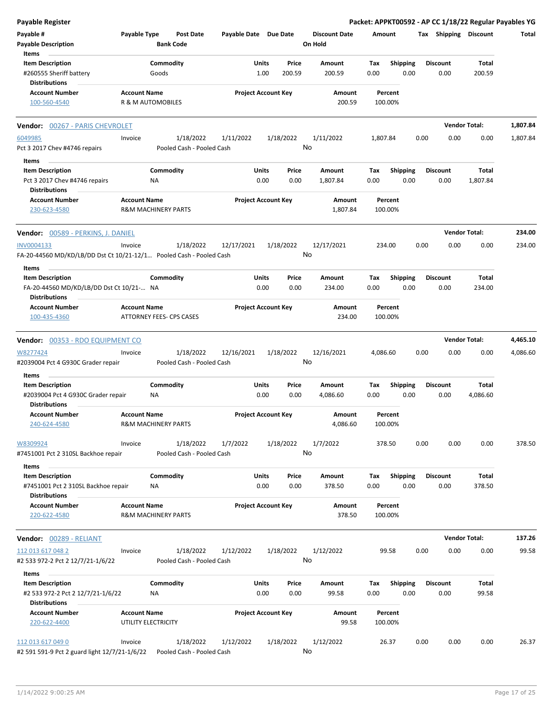| Payable Register                                                    |                     |                                |                                         |               |                            |                                 |                    |             |                         |      |                         |                      | Packet: APPKT00592 - AP CC 1/18/22 Regular Payables YG |
|---------------------------------------------------------------------|---------------------|--------------------------------|-----------------------------------------|---------------|----------------------------|---------------------------------|--------------------|-------------|-------------------------|------|-------------------------|----------------------|--------------------------------------------------------|
| Payable #<br><b>Payable Description</b>                             | Payable Type        | Post Date<br><b>Bank Code</b>  |                                         |               | Payable Date Due Date      | <b>Discount Date</b><br>On Hold |                    | Amount      |                         |      | Tax Shipping Discount   |                      | Total                                                  |
| <b>Items</b><br><b>Item Description</b><br>#260555 Sheriff battery  |                     | Commodity<br>Goods             |                                         | Units<br>1.00 | Price<br>200.59            | Amount<br>200.59                |                    | Tax<br>0.00 | <b>Shipping</b><br>0.00 |      | Discount<br>0.00        | Total<br>200.59      |                                                        |
| <b>Distributions</b>                                                |                     |                                |                                         |               |                            |                                 |                    |             |                         |      |                         |                      |                                                        |
| <b>Account Number</b><br>100-560-4540                               | <b>Account Name</b> | R & M AUTOMOBILES              |                                         |               | <b>Project Account Key</b> |                                 | Amount<br>200.59   |             | Percent<br>100.00%      |      |                         |                      |                                                        |
| Vendor: 00267 - PARIS CHEVROLET                                     |                     |                                |                                         |               |                            |                                 |                    |             |                         |      |                         | <b>Vendor Total:</b> | 1,807.84                                               |
| 6049985                                                             | Invoice             | 1/18/2022                      | 1/11/2022                               |               | 1/18/2022                  | 1/11/2022                       |                    | 1,807.84    |                         | 0.00 | 0.00                    | 0.00                 | 1,807.84                                               |
| Pct 3 2017 Chev #4746 repairs                                       |                     |                                | Pooled Cash - Pooled Cash               |               |                            | No                              |                    |             |                         |      |                         |                      |                                                        |
| Items                                                               |                     |                                |                                         |               |                            |                                 |                    |             |                         |      |                         |                      |                                                        |
| <b>Item Description</b><br>Pct 3 2017 Chev #4746 repairs            |                     | Commodity<br>ΝA                |                                         | Units<br>0.00 | Price<br>0.00              | Amount<br>1,807.84              |                    | Tax<br>0.00 | <b>Shipping</b><br>0.00 |      | <b>Discount</b><br>0.00 | Total<br>1,807.84    |                                                        |
| <b>Distributions</b><br><b>Account Number</b>                       | <b>Account Name</b> |                                |                                         |               | <b>Project Account Key</b> |                                 | Amount             |             | Percent                 |      |                         |                      |                                                        |
| 230-623-4580                                                        |                     | <b>R&amp;M MACHINERY PARTS</b> |                                         |               |                            |                                 | 1,807.84           |             | 100.00%                 |      |                         |                      |                                                        |
| <b>Vendor:</b> 00589 - PERKINS, J. DANIEL                           |                     |                                |                                         |               |                            |                                 |                    |             |                         |      |                         | <b>Vendor Total:</b> | 234.00                                                 |
| INV0004133                                                          | Invoice             | 1/18/2022                      | 12/17/2021                              |               | 1/18/2022                  | 12/17/2021                      |                    |             | 234.00                  | 0.00 | 0.00                    | 0.00                 | 234.00                                                 |
| FA-20-44560 MD/KD/LB/DD Dst Ct 10/21-12/1 Pooled Cash - Pooled Cash |                     |                                |                                         |               |                            | No                              |                    |             |                         |      |                         |                      |                                                        |
| Items<br><b>Item Description</b>                                    |                     | Commodity                      |                                         | Units         | Price                      | Amount                          |                    | Tax         | <b>Shipping</b>         |      | <b>Discount</b>         | Total                |                                                        |
| FA-20-44560 MD/KD/LB/DD Dst Ct 10/21- NA<br><b>Distributions</b>    |                     |                                |                                         | 0.00          | 0.00                       | 234.00                          |                    | 0.00        | 0.00                    |      | 0.00                    | 234.00               |                                                        |
| <b>Account Number</b>                                               | <b>Account Name</b> |                                |                                         |               | <b>Project Account Key</b> |                                 | Amount             |             | Percent                 |      |                         |                      |                                                        |
| 100-435-4360                                                        |                     | ATTORNEY FEES- CPS CASES       |                                         |               |                            |                                 | 234.00             |             | 100.00%                 |      |                         |                      |                                                        |
| Vendor: 00353 - RDO EQUIPMENT CO                                    |                     |                                |                                         |               |                            |                                 |                    |             |                         |      |                         | <b>Vendor Total:</b> | 4,465.10                                               |
| W8277424<br>#2039004 Pct 4 G930C Grader repair                      | Invoice             | 1/18/2022                      | 12/16/2021<br>Pooled Cash - Pooled Cash |               | 1/18/2022                  | 12/16/2021<br>No                |                    | 4,086.60    |                         | 0.00 | 0.00                    | 0.00                 | 4,086.60                                               |
| Items                                                               |                     |                                |                                         |               |                            |                                 |                    |             |                         |      |                         |                      |                                                        |
| <b>Item Description</b>                                             |                     | Commodity                      |                                         | Units         | Price                      | Amount                          |                    | Tax         | <b>Shipping</b>         |      | <b>Discount</b>         | Total                |                                                        |
| #2039004 Pct 4 G930C Grader repair<br><b>Distributions</b>          |                     | ΝA                             |                                         | 0.00          | 0.00                       | 4,086.60                        |                    | 0.00        | 0.00                    |      | 0.00                    | 4,086.60             |                                                        |
| <b>Account Number</b><br>240-624-4580                               | <b>Account Name</b> | R&M MACHINERY PARTS            |                                         |               | <b>Project Account Key</b> |                                 | Amount<br>4,086.60 |             | Percent<br>100.00%      |      |                         |                      |                                                        |
| W8309924<br>#7451001 Pct 2 310SL Backhoe repair                     | Invoice             | 1/18/2022                      | 1/7/2022<br>Pooled Cash - Pooled Cash   |               | 1/18/2022                  | 1/7/2022<br>No                  |                    |             | 378.50                  | 0.00 | 0.00                    | 0.00                 | 378.50                                                 |
| Items                                                               |                     |                                |                                         |               |                            |                                 |                    |             |                         |      |                         |                      |                                                        |
| <b>Item Description</b><br>#7451001 Pct 2 310SL Backhoe repair      |                     | Commodity<br>NA.               |                                         | Units<br>0.00 | Price<br>0.00              | Amount<br>378.50                |                    | Tax<br>0.00 | <b>Shipping</b><br>0.00 |      | <b>Discount</b><br>0.00 | Total<br>378.50      |                                                        |
| <b>Distributions</b>                                                |                     |                                |                                         |               | <b>Project Account Key</b> |                                 |                    |             |                         |      |                         |                      |                                                        |
| <b>Account Number</b><br>220-622-4580                               | <b>Account Name</b> | <b>R&amp;M MACHINERY PARTS</b> |                                         |               |                            |                                 | Amount<br>378.50   |             | Percent<br>100.00%      |      |                         |                      |                                                        |
| Vendor: 00289 - RELIANT                                             |                     |                                |                                         |               |                            |                                 |                    |             |                         |      |                         | <b>Vendor Total:</b> | 137.26                                                 |
| 112 013 617 048 2                                                   | Invoice             | 1/18/2022                      | 1/12/2022                               |               | 1/18/2022                  | 1/12/2022                       |                    |             | 99.58                   | 0.00 | 0.00                    | 0.00                 | 99.58                                                  |
| #2 533 972-2 Pct 2 12/7/21-1/6/22                                   |                     |                                | Pooled Cash - Pooled Cash               |               |                            | No                              |                    |             |                         |      |                         |                      |                                                        |
| Items<br><b>Item Description</b>                                    |                     | Commodity                      |                                         | Units         | Price                      | Amount                          |                    | Тах         | <b>Shipping</b>         |      | <b>Discount</b>         | Total                |                                                        |
| #2 533 972-2 Pct 2 12/7/21-1/6/22<br><b>Distributions</b>           |                     | ΝA                             |                                         | 0.00          | 0.00                       | 99.58                           |                    | 0.00        | 0.00                    |      | 0.00                    | 99.58                |                                                        |
| <b>Account Number</b>                                               | <b>Account Name</b> |                                |                                         |               | <b>Project Account Key</b> |                                 | Amount             |             | Percent                 |      |                         |                      |                                                        |
| 220-622-4400                                                        |                     | UTILITY ELECTRICITY            |                                         |               |                            |                                 | 99.58              |             | 100.00%                 |      |                         |                      |                                                        |
| 112 013 617 049 0<br>#2 591 591-9 Pct 2 guard light 12/7/21-1/6/22  | Invoice             | 1/18/2022                      | 1/12/2022<br>Pooled Cash - Pooled Cash  |               | 1/18/2022                  | 1/12/2022<br>No                 |                    |             | 26.37                   | 0.00 | 0.00                    | 0.00                 | 26.37                                                  |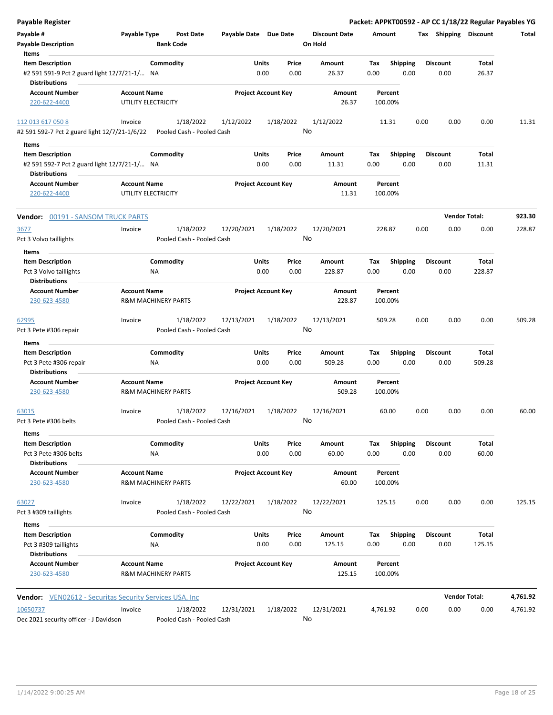| Payable Register                                                     |                                            |                                |                       |                            |                      |          |                    |      |                       | Packet: APPKT00592 - AP CC 1/18/22 Regular Payables YG |          |
|----------------------------------------------------------------------|--------------------------------------------|--------------------------------|-----------------------|----------------------------|----------------------|----------|--------------------|------|-----------------------|--------------------------------------------------------|----------|
| Payable #                                                            | Payable Type                               | Post Date                      | Payable Date Due Date |                            | <b>Discount Date</b> | Amount   |                    |      | Tax Shipping Discount |                                                        | Total    |
| <b>Payable Description</b>                                           |                                            | <b>Bank Code</b>               |                       |                            | On Hold              |          |                    |      |                       |                                                        |          |
| Items                                                                |                                            |                                |                       |                            |                      |          |                    |      |                       |                                                        |          |
| <b>Item Description</b>                                              |                                            | Commodity                      | Units                 | Price                      | Amount               | Tax      | <b>Shipping</b>    |      | <b>Discount</b>       | Total                                                  |          |
| #2 591 591-9 Pct 2 guard light 12/7/21-1/ NA                         |                                            |                                |                       | 0.00<br>0.00               | 26.37                | 0.00     | 0.00               |      | 0.00                  | 26.37                                                  |          |
| <b>Distributions</b><br><b>Account Number</b>                        |                                            |                                |                       |                            |                      |          |                    |      |                       |                                                        |          |
| 220-622-4400                                                         | <b>Account Name</b><br>UTILITY ELECTRICITY |                                |                       | <b>Project Account Key</b> | Amount<br>26.37      |          | Percent<br>100.00% |      |                       |                                                        |          |
|                                                                      |                                            |                                |                       |                            |                      |          |                    |      |                       |                                                        |          |
| 112 013 617 050 8                                                    | Invoice                                    | 1/18/2022                      | 1/12/2022             | 1/18/2022                  | 1/12/2022            |          | 11.31              | 0.00 | 0.00                  | 0.00                                                   | 11.31    |
| #2 591 592-7 Pct 2 guard light 12/7/21-1/6/22                        |                                            | Pooled Cash - Pooled Cash      |                       |                            | No                   |          |                    |      |                       |                                                        |          |
| Items                                                                |                                            |                                |                       |                            |                      |          |                    |      |                       |                                                        |          |
| <b>Item Description</b>                                              |                                            | Commodity                      | Units                 | Price                      | Amount               | Tax      | <b>Shipping</b>    |      | <b>Discount</b>       | Total                                                  |          |
| #2 591 592-7 Pct 2 guard light 12/7/21-1/ NA<br><b>Distributions</b> |                                            |                                |                       | 0.00<br>0.00               | 11.31                | 0.00     | 0.00               |      | 0.00                  | 11.31                                                  |          |
| <b>Account Number</b>                                                | <b>Account Name</b>                        |                                |                       | <b>Project Account Key</b> | Amount               |          | Percent            |      |                       |                                                        |          |
| 220-622-4400                                                         | UTILITY ELECTRICITY                        |                                |                       |                            | 11.31                |          | 100.00%            |      |                       |                                                        |          |
| Vendor: 00191 - SANSOM TRUCK PARTS                                   |                                            |                                |                       |                            |                      |          |                    |      |                       | <b>Vendor Total:</b>                                   | 923.30   |
| 3677                                                                 | Invoice                                    | 1/18/2022                      | 12/20/2021            | 1/18/2022                  | 12/20/2021           |          | 228.87             | 0.00 | 0.00                  | 0.00                                                   | 228.87   |
| Pct 3 Volvo taillights                                               |                                            | Pooled Cash - Pooled Cash      |                       |                            | No                   |          |                    |      |                       |                                                        |          |
| Items                                                                |                                            |                                |                       |                            |                      |          |                    |      |                       |                                                        |          |
| <b>Item Description</b>                                              |                                            | Commodity                      | Units                 | Price                      | Amount               | Tax      | <b>Shipping</b>    |      | <b>Discount</b>       | Total                                                  |          |
| Pct 3 Volvo taillights                                               |                                            | ΝA                             |                       | 0.00<br>0.00               | 228.87               | 0.00     | 0.00               |      | 0.00                  | 228.87                                                 |          |
| <b>Distributions</b>                                                 |                                            |                                |                       |                            |                      |          |                    |      |                       |                                                        |          |
| <b>Account Number</b>                                                | <b>Account Name</b>                        |                                |                       | <b>Project Account Key</b> | Amount               |          | Percent            |      |                       |                                                        |          |
| 230-623-4580                                                         |                                            | <b>R&amp;M MACHINERY PARTS</b> |                       |                            | 228.87               |          | 100.00%            |      |                       |                                                        |          |
| 62995                                                                | Invoice                                    | 1/18/2022                      | 12/13/2021            | 1/18/2022                  | 12/13/2021           |          | 509.28             | 0.00 | 0.00                  | 0.00                                                   | 509.28   |
| Pct 3 Pete #306 repair                                               |                                            | Pooled Cash - Pooled Cash      |                       |                            | No                   |          |                    |      |                       |                                                        |          |
| Items                                                                |                                            |                                |                       |                            |                      |          |                    |      |                       |                                                        |          |
| <b>Item Description</b>                                              |                                            | Commodity                      | Units                 | Price                      | Amount               | Tax      | <b>Shipping</b>    |      | <b>Discount</b>       | Total                                                  |          |
| Pct 3 Pete #306 repair                                               |                                            | ΝA                             |                       | 0.00<br>0.00               | 509.28               | 0.00     | 0.00               |      | 0.00                  | 509.28                                                 |          |
| <b>Distributions</b>                                                 |                                            |                                |                       |                            |                      |          |                    |      |                       |                                                        |          |
| <b>Account Number</b>                                                | <b>Account Name</b>                        |                                |                       | <b>Project Account Key</b> | Amount               |          | Percent            |      |                       |                                                        |          |
| 230-623-4580                                                         |                                            | <b>R&amp;M MACHINERY PARTS</b> |                       |                            | 509.28               |          | 100.00%            |      |                       |                                                        |          |
| 63015                                                                | Invoice                                    | 1/18/2022                      | 12/16/2021            | 1/18/2022                  | 12/16/2021           |          | 60.00              | 0.00 | 0.00                  | 0.00                                                   | 60.00    |
| Pct 3 Pete #306 belts                                                |                                            | Pooled Cash - Pooled Cash      |                       |                            | No                   |          |                    |      |                       |                                                        |          |
| Items                                                                |                                            |                                |                       |                            |                      |          |                    |      |                       |                                                        |          |
| <b>Item Description</b>                                              |                                            | Commodity                      | Units                 | Price                      | Amount               | Tax      | <b>Shipping</b>    |      | <b>Discount</b>       | Total                                                  |          |
| Pct 3 Pete #306 belts                                                |                                            | NA                             |                       | 0.00<br>0.00               | 60.00                | 0.00     | 0.00               |      | 0.00                  | 60.00                                                  |          |
| <b>Distributions</b>                                                 |                                            |                                |                       |                            |                      |          |                    |      |                       |                                                        |          |
| <b>Account Number</b>                                                | <b>Account Name</b>                        |                                |                       | <b>Project Account Key</b> | Amount               |          | Percent            |      |                       |                                                        |          |
| 230-623-4580                                                         |                                            | <b>R&amp;M MACHINERY PARTS</b> |                       |                            | 60.00                |          | 100.00%            |      |                       |                                                        |          |
| 63027                                                                | Invoice                                    | 1/18/2022                      | 12/22/2021            | 1/18/2022                  | 12/22/2021           |          | 125.15             | 0.00 | 0.00                  | 0.00                                                   | 125.15   |
| Pct 3 #309 taillights                                                |                                            | Pooled Cash - Pooled Cash      |                       |                            | No                   |          |                    |      |                       |                                                        |          |
| Items                                                                |                                            |                                |                       |                            |                      |          |                    |      |                       |                                                        |          |
| <b>Item Description</b>                                              |                                            | Commodity                      | Units                 | Price                      | Amount               | Tax      | <b>Shipping</b>    |      | <b>Discount</b>       | Total                                                  |          |
| Pct 3 #309 taillights                                                |                                            | ΝA                             |                       | 0.00<br>0.00               | 125.15               | 0.00     | 0.00               |      | 0.00                  | 125.15                                                 |          |
| <b>Distributions</b>                                                 |                                            |                                |                       |                            |                      |          |                    |      |                       |                                                        |          |
| <b>Account Number</b>                                                | <b>Account Name</b>                        |                                |                       | <b>Project Account Key</b> | Amount               |          | Percent            |      |                       |                                                        |          |
| 230-623-4580                                                         |                                            | <b>R&amp;M MACHINERY PARTS</b> |                       |                            | 125.15               |          | 100.00%            |      |                       |                                                        |          |
| <b>Vendor:</b> VEN02612 - Securitas Security Services USA, Inc       |                                            |                                |                       |                            |                      |          |                    |      |                       | <b>Vendor Total:</b>                                   | 4,761.92 |
| 10650737                                                             | Invoice                                    | 1/18/2022                      | 12/31/2021            | 1/18/2022                  | 12/31/2021           | 4,761.92 |                    | 0.00 | 0.00                  | 0.00                                                   | 4,761.92 |
| Dec 2021 security officer - J Davidson                               |                                            | Pooled Cash - Pooled Cash      |                       |                            | No                   |          |                    |      |                       |                                                        |          |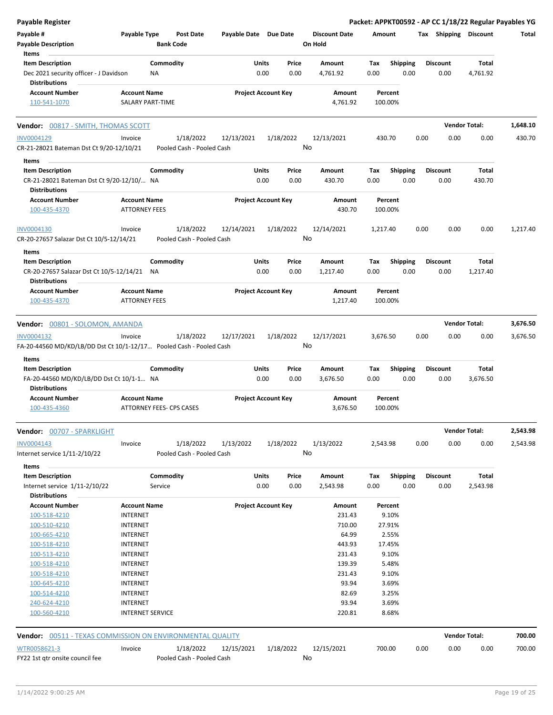| Payable #<br>Payable Type<br>Payable Date Due Date<br><b>Discount Date</b><br>Tax Shipping Discount<br><b>Post Date</b><br>Amount<br><b>Bank Code</b><br>On Hold<br><b>Payable Description</b><br>Items<br><b>Item Description</b><br>Commodity<br>Units<br><b>Discount</b><br>Total<br>Price<br>Amount<br>Tax<br><b>Shipping</b><br>0.00<br>Dec 2021 security officer - J Davidson<br><b>NA</b><br>0.00<br>4,761.92<br>0.00<br>0.00<br>0.00<br>4,761.92<br><b>Distributions</b><br><b>Project Account Key</b><br><b>Account Number</b><br><b>Account Name</b><br>Amount<br>Percent<br>4,761.92<br>110-541-1070<br>SALARY PART-TIME<br>100.00%<br><b>Vendor Total:</b><br>Vendor: 00817 - SMITH, THOMAS SCOTT<br>1/18/2022<br>0.00<br>0.00<br>INV0004129<br>1/18/2022<br>12/13/2021<br>12/13/2021<br>430.70<br>0.00<br>430.70<br>Invoice<br>No<br>CR-21-28021 Bateman Dst Ct 9/20-12/10/21<br>Pooled Cash - Pooled Cash<br>Items<br><b>Item Description</b><br>Commodity<br>Units<br><b>Discount</b><br>Total<br>Price<br>Amount<br>Tax<br><b>Shipping</b><br>0.00<br>CR-21-28021 Bateman Dst Ct 9/20-12/10/ NA<br>0.00<br>0.00<br>430.70<br>0.00<br>0.00<br>430.70<br><b>Distributions</b><br><b>Account Name</b><br><b>Project Account Key</b><br><b>Account Number</b><br>Amount<br>Percent<br>100-435-4370<br><b>ATTORNEY FEES</b><br>430.70<br>100.00%<br>1/18/2022<br>12/14/2021<br>1/18/2022<br>12/14/2021<br>0.00<br>0.00<br>0.00<br>INV0004130<br>Invoice<br>1,217.40<br>No<br>CR-20-27657 Salazar Dst Ct 10/5-12/14/21<br>Pooled Cash - Pooled Cash<br>Items<br>Commodity<br>Units<br><b>Shipping</b><br>Total<br><b>Item Description</b><br>Price<br>Amount<br>Tax<br><b>Discount</b><br>CR-20-27657 Salazar Dst Ct 10/5-12/14/21 NA<br>0.00<br>0.00<br>1,217.40<br>0.00<br>0.00<br>0.00<br>1,217.40<br><b>Distributions</b><br><b>Account Number</b><br><b>Account Name</b><br><b>Project Account Key</b><br>Amount<br>Percent<br>100-435-4370<br><b>ATTORNEY FEES</b><br>100.00%<br>1,217.40<br><b>Vendor Total:</b><br>Vendor: 00801 - SOLOMON, AMANDA<br>1/18/2022<br>12/17/2021<br>1/18/2022<br>12/17/2021<br>0.00<br>0.00<br>0.00<br>INV0004132<br>Invoice<br>3,676.50<br>No<br>FA-20-44560 MD/KD/LB/DD Dst Ct 10/1-12/17 Pooled Cash - Pooled Cash<br>Items<br>Commodity<br>Shipping<br><b>Discount</b><br><b>Item Description</b><br>Units<br>Price<br>Amount<br>Tax<br>Total<br>0.00<br>0.00<br>0.00<br>3,676.50<br>0.00<br>0.00<br>3,676.50<br>FA-20-44560 MD/KD/LB/DD Dst Ct 10/1-1 NA<br><b>Distributions</b><br><b>Account Number</b><br><b>Account Name</b><br><b>Project Account Key</b><br>Amount<br>Percent<br>100-435-4360<br>ATTORNEY FEES- CPS CASES<br>3,676.50<br>100.00%<br><b>Vendor Total:</b><br>Vendor: 00707 - SPARKLIGHT<br>0.00<br>0.00<br>INV0004143<br>1/18/2022<br>1/13/2022<br>1/18/2022<br>1/13/2022<br>2,543.98<br>0.00<br>Invoice<br>No<br>Internet service 1/11-2/10/22<br>Pooled Cash - Pooled Cash<br>Items<br>Commodity<br><b>Item Description</b><br>Units<br>Shipping<br><b>Discount</b><br>Total<br>Price<br>Amount<br>Tax<br>Internet service 1/11-2/10/22<br>0.00<br>0.00<br>2,543.98<br>0.00<br>0.00<br>0.00<br>2,543.98<br>Service<br><b>Distributions</b><br><b>Project Account Key</b><br><b>Account Number</b><br><b>Account Name</b><br>Amount<br>Percent<br>100-518-4210<br><b>INTERNET</b><br>231.43<br>9.10%<br><b>INTERNET</b><br>710.00<br>27.91%<br>100-510-4210<br>100-665-4210<br><b>INTERNET</b><br>64.99<br>2.55%<br>443.93<br>17.45%<br>100-518-4210<br><b>INTERNET</b><br>9.10%<br><b>INTERNET</b><br>231.43<br>100-513-4210<br><b>INTERNET</b><br>139.39<br>5.48%<br>100-518-4210<br>231.43<br>9.10%<br>100-518-4210<br><b>INTERNET</b><br>93.94<br>3.69%<br>100-645-4210<br><b>INTERNET</b><br>100-514-4210<br><b>INTERNET</b><br>82.69<br>3.25%<br>93.94<br>3.69%<br><b>INTERNET</b><br>240-624-4210<br>220.81<br>8.68%<br>100-560-4210<br><b>INTERNET SERVICE</b><br><b>Vendor Total:</b><br>Vendor: 00511 - TEXAS COMMISSION ON ENVIRONMENTAL QUALITY<br>WTR0058621-3<br>1/18/2022<br>1/18/2022<br>12/15/2021<br>700.00<br>0.00<br>0.00<br>0.00<br>Invoice<br>12/15/2021<br>No<br>FY22 1st qtr onsite council fee<br>Pooled Cash - Pooled Cash | <b>Payable Register</b> |  |  | Packet: APPKT00592 - AP CC 1/18/22 Regular Payables YG |  |  |          |
|--------------------------------------------------------------------------------------------------------------------------------------------------------------------------------------------------------------------------------------------------------------------------------------------------------------------------------------------------------------------------------------------------------------------------------------------------------------------------------------------------------------------------------------------------------------------------------------------------------------------------------------------------------------------------------------------------------------------------------------------------------------------------------------------------------------------------------------------------------------------------------------------------------------------------------------------------------------------------------------------------------------------------------------------------------------------------------------------------------------------------------------------------------------------------------------------------------------------------------------------------------------------------------------------------------------------------------------------------------------------------------------------------------------------------------------------------------------------------------------------------------------------------------------------------------------------------------------------------------------------------------------------------------------------------------------------------------------------------------------------------------------------------------------------------------------------------------------------------------------------------------------------------------------------------------------------------------------------------------------------------------------------------------------------------------------------------------------------------------------------------------------------------------------------------------------------------------------------------------------------------------------------------------------------------------------------------------------------------------------------------------------------------------------------------------------------------------------------------------------------------------------------------------------------------------------------------------------------------------------------------------------------------------------------------------------------------------------------------------------------------------------------------------------------------------------------------------------------------------------------------------------------------------------------------------------------------------------------------------------------------------------------------------------------------------------------------------------------------------------------------------------------------------------------------------------------------------------------------------------------------------------------------------------------------------------------------------------------------------------------------------------------------------------------------------------------------------------------------------------------------------------------------------------------------------------------------------------------------------------------------------------------------------------------------------------------------------------------------------------------------------------------------------------------------------------------------------------------------------------------------------------------------------------------------------------------------------------------------------------------------------------------------------------------------------------------------------------------------------------------------------------------------------------------------------------------------------------------------------|-------------------------|--|--|--------------------------------------------------------|--|--|----------|
|                                                                                                                                                                                                                                                                                                                                                                                                                                                                                                                                                                                                                                                                                                                                                                                                                                                                                                                                                                                                                                                                                                                                                                                                                                                                                                                                                                                                                                                                                                                                                                                                                                                                                                                                                                                                                                                                                                                                                                                                                                                                                                                                                                                                                                                                                                                                                                                                                                                                                                                                                                                                                                                                                                                                                                                                                                                                                                                                                                                                                                                                                                                                                                                                                                                                                                                                                                                                                                                                                                                                                                                                                                                                                                                                                                                                                                                                                                                                                                                                                                                                                                                                                                                                                                |                         |  |  |                                                        |  |  | Total    |
|                                                                                                                                                                                                                                                                                                                                                                                                                                                                                                                                                                                                                                                                                                                                                                                                                                                                                                                                                                                                                                                                                                                                                                                                                                                                                                                                                                                                                                                                                                                                                                                                                                                                                                                                                                                                                                                                                                                                                                                                                                                                                                                                                                                                                                                                                                                                                                                                                                                                                                                                                                                                                                                                                                                                                                                                                                                                                                                                                                                                                                                                                                                                                                                                                                                                                                                                                                                                                                                                                                                                                                                                                                                                                                                                                                                                                                                                                                                                                                                                                                                                                                                                                                                                                                |                         |  |  |                                                        |  |  |          |
|                                                                                                                                                                                                                                                                                                                                                                                                                                                                                                                                                                                                                                                                                                                                                                                                                                                                                                                                                                                                                                                                                                                                                                                                                                                                                                                                                                                                                                                                                                                                                                                                                                                                                                                                                                                                                                                                                                                                                                                                                                                                                                                                                                                                                                                                                                                                                                                                                                                                                                                                                                                                                                                                                                                                                                                                                                                                                                                                                                                                                                                                                                                                                                                                                                                                                                                                                                                                                                                                                                                                                                                                                                                                                                                                                                                                                                                                                                                                                                                                                                                                                                                                                                                                                                |                         |  |  |                                                        |  |  |          |
|                                                                                                                                                                                                                                                                                                                                                                                                                                                                                                                                                                                                                                                                                                                                                                                                                                                                                                                                                                                                                                                                                                                                                                                                                                                                                                                                                                                                                                                                                                                                                                                                                                                                                                                                                                                                                                                                                                                                                                                                                                                                                                                                                                                                                                                                                                                                                                                                                                                                                                                                                                                                                                                                                                                                                                                                                                                                                                                                                                                                                                                                                                                                                                                                                                                                                                                                                                                                                                                                                                                                                                                                                                                                                                                                                                                                                                                                                                                                                                                                                                                                                                                                                                                                                                |                         |  |  |                                                        |  |  |          |
|                                                                                                                                                                                                                                                                                                                                                                                                                                                                                                                                                                                                                                                                                                                                                                                                                                                                                                                                                                                                                                                                                                                                                                                                                                                                                                                                                                                                                                                                                                                                                                                                                                                                                                                                                                                                                                                                                                                                                                                                                                                                                                                                                                                                                                                                                                                                                                                                                                                                                                                                                                                                                                                                                                                                                                                                                                                                                                                                                                                                                                                                                                                                                                                                                                                                                                                                                                                                                                                                                                                                                                                                                                                                                                                                                                                                                                                                                                                                                                                                                                                                                                                                                                                                                                |                         |  |  |                                                        |  |  | 1,648.10 |
|                                                                                                                                                                                                                                                                                                                                                                                                                                                                                                                                                                                                                                                                                                                                                                                                                                                                                                                                                                                                                                                                                                                                                                                                                                                                                                                                                                                                                                                                                                                                                                                                                                                                                                                                                                                                                                                                                                                                                                                                                                                                                                                                                                                                                                                                                                                                                                                                                                                                                                                                                                                                                                                                                                                                                                                                                                                                                                                                                                                                                                                                                                                                                                                                                                                                                                                                                                                                                                                                                                                                                                                                                                                                                                                                                                                                                                                                                                                                                                                                                                                                                                                                                                                                                                |                         |  |  |                                                        |  |  |          |
|                                                                                                                                                                                                                                                                                                                                                                                                                                                                                                                                                                                                                                                                                                                                                                                                                                                                                                                                                                                                                                                                                                                                                                                                                                                                                                                                                                                                                                                                                                                                                                                                                                                                                                                                                                                                                                                                                                                                                                                                                                                                                                                                                                                                                                                                                                                                                                                                                                                                                                                                                                                                                                                                                                                                                                                                                                                                                                                                                                                                                                                                                                                                                                                                                                                                                                                                                                                                                                                                                                                                                                                                                                                                                                                                                                                                                                                                                                                                                                                                                                                                                                                                                                                                                                |                         |  |  |                                                        |  |  |          |
|                                                                                                                                                                                                                                                                                                                                                                                                                                                                                                                                                                                                                                                                                                                                                                                                                                                                                                                                                                                                                                                                                                                                                                                                                                                                                                                                                                                                                                                                                                                                                                                                                                                                                                                                                                                                                                                                                                                                                                                                                                                                                                                                                                                                                                                                                                                                                                                                                                                                                                                                                                                                                                                                                                                                                                                                                                                                                                                                                                                                                                                                                                                                                                                                                                                                                                                                                                                                                                                                                                                                                                                                                                                                                                                                                                                                                                                                                                                                                                                                                                                                                                                                                                                                                                |                         |  |  |                                                        |  |  |          |
|                                                                                                                                                                                                                                                                                                                                                                                                                                                                                                                                                                                                                                                                                                                                                                                                                                                                                                                                                                                                                                                                                                                                                                                                                                                                                                                                                                                                                                                                                                                                                                                                                                                                                                                                                                                                                                                                                                                                                                                                                                                                                                                                                                                                                                                                                                                                                                                                                                                                                                                                                                                                                                                                                                                                                                                                                                                                                                                                                                                                                                                                                                                                                                                                                                                                                                                                                                                                                                                                                                                                                                                                                                                                                                                                                                                                                                                                                                                                                                                                                                                                                                                                                                                                                                |                         |  |  |                                                        |  |  |          |
|                                                                                                                                                                                                                                                                                                                                                                                                                                                                                                                                                                                                                                                                                                                                                                                                                                                                                                                                                                                                                                                                                                                                                                                                                                                                                                                                                                                                                                                                                                                                                                                                                                                                                                                                                                                                                                                                                                                                                                                                                                                                                                                                                                                                                                                                                                                                                                                                                                                                                                                                                                                                                                                                                                                                                                                                                                                                                                                                                                                                                                                                                                                                                                                                                                                                                                                                                                                                                                                                                                                                                                                                                                                                                                                                                                                                                                                                                                                                                                                                                                                                                                                                                                                                                                |                         |  |  |                                                        |  |  |          |
|                                                                                                                                                                                                                                                                                                                                                                                                                                                                                                                                                                                                                                                                                                                                                                                                                                                                                                                                                                                                                                                                                                                                                                                                                                                                                                                                                                                                                                                                                                                                                                                                                                                                                                                                                                                                                                                                                                                                                                                                                                                                                                                                                                                                                                                                                                                                                                                                                                                                                                                                                                                                                                                                                                                                                                                                                                                                                                                                                                                                                                                                                                                                                                                                                                                                                                                                                                                                                                                                                                                                                                                                                                                                                                                                                                                                                                                                                                                                                                                                                                                                                                                                                                                                                                |                         |  |  |                                                        |  |  | 1,217.40 |
|                                                                                                                                                                                                                                                                                                                                                                                                                                                                                                                                                                                                                                                                                                                                                                                                                                                                                                                                                                                                                                                                                                                                                                                                                                                                                                                                                                                                                                                                                                                                                                                                                                                                                                                                                                                                                                                                                                                                                                                                                                                                                                                                                                                                                                                                                                                                                                                                                                                                                                                                                                                                                                                                                                                                                                                                                                                                                                                                                                                                                                                                                                                                                                                                                                                                                                                                                                                                                                                                                                                                                                                                                                                                                                                                                                                                                                                                                                                                                                                                                                                                                                                                                                                                                                |                         |  |  |                                                        |  |  |          |
|                                                                                                                                                                                                                                                                                                                                                                                                                                                                                                                                                                                                                                                                                                                                                                                                                                                                                                                                                                                                                                                                                                                                                                                                                                                                                                                                                                                                                                                                                                                                                                                                                                                                                                                                                                                                                                                                                                                                                                                                                                                                                                                                                                                                                                                                                                                                                                                                                                                                                                                                                                                                                                                                                                                                                                                                                                                                                                                                                                                                                                                                                                                                                                                                                                                                                                                                                                                                                                                                                                                                                                                                                                                                                                                                                                                                                                                                                                                                                                                                                                                                                                                                                                                                                                |                         |  |  |                                                        |  |  |          |
|                                                                                                                                                                                                                                                                                                                                                                                                                                                                                                                                                                                                                                                                                                                                                                                                                                                                                                                                                                                                                                                                                                                                                                                                                                                                                                                                                                                                                                                                                                                                                                                                                                                                                                                                                                                                                                                                                                                                                                                                                                                                                                                                                                                                                                                                                                                                                                                                                                                                                                                                                                                                                                                                                                                                                                                                                                                                                                                                                                                                                                                                                                                                                                                                                                                                                                                                                                                                                                                                                                                                                                                                                                                                                                                                                                                                                                                                                                                                                                                                                                                                                                                                                                                                                                |                         |  |  |                                                        |  |  |          |
|                                                                                                                                                                                                                                                                                                                                                                                                                                                                                                                                                                                                                                                                                                                                                                                                                                                                                                                                                                                                                                                                                                                                                                                                                                                                                                                                                                                                                                                                                                                                                                                                                                                                                                                                                                                                                                                                                                                                                                                                                                                                                                                                                                                                                                                                                                                                                                                                                                                                                                                                                                                                                                                                                                                                                                                                                                                                                                                                                                                                                                                                                                                                                                                                                                                                                                                                                                                                                                                                                                                                                                                                                                                                                                                                                                                                                                                                                                                                                                                                                                                                                                                                                                                                                                |                         |  |  |                                                        |  |  |          |
|                                                                                                                                                                                                                                                                                                                                                                                                                                                                                                                                                                                                                                                                                                                                                                                                                                                                                                                                                                                                                                                                                                                                                                                                                                                                                                                                                                                                                                                                                                                                                                                                                                                                                                                                                                                                                                                                                                                                                                                                                                                                                                                                                                                                                                                                                                                                                                                                                                                                                                                                                                                                                                                                                                                                                                                                                                                                                                                                                                                                                                                                                                                                                                                                                                                                                                                                                                                                                                                                                                                                                                                                                                                                                                                                                                                                                                                                                                                                                                                                                                                                                                                                                                                                                                |                         |  |  |                                                        |  |  | 3,676.50 |
|                                                                                                                                                                                                                                                                                                                                                                                                                                                                                                                                                                                                                                                                                                                                                                                                                                                                                                                                                                                                                                                                                                                                                                                                                                                                                                                                                                                                                                                                                                                                                                                                                                                                                                                                                                                                                                                                                                                                                                                                                                                                                                                                                                                                                                                                                                                                                                                                                                                                                                                                                                                                                                                                                                                                                                                                                                                                                                                                                                                                                                                                                                                                                                                                                                                                                                                                                                                                                                                                                                                                                                                                                                                                                                                                                                                                                                                                                                                                                                                                                                                                                                                                                                                                                                |                         |  |  |                                                        |  |  | 3,676.50 |
|                                                                                                                                                                                                                                                                                                                                                                                                                                                                                                                                                                                                                                                                                                                                                                                                                                                                                                                                                                                                                                                                                                                                                                                                                                                                                                                                                                                                                                                                                                                                                                                                                                                                                                                                                                                                                                                                                                                                                                                                                                                                                                                                                                                                                                                                                                                                                                                                                                                                                                                                                                                                                                                                                                                                                                                                                                                                                                                                                                                                                                                                                                                                                                                                                                                                                                                                                                                                                                                                                                                                                                                                                                                                                                                                                                                                                                                                                                                                                                                                                                                                                                                                                                                                                                |                         |  |  |                                                        |  |  |          |
|                                                                                                                                                                                                                                                                                                                                                                                                                                                                                                                                                                                                                                                                                                                                                                                                                                                                                                                                                                                                                                                                                                                                                                                                                                                                                                                                                                                                                                                                                                                                                                                                                                                                                                                                                                                                                                                                                                                                                                                                                                                                                                                                                                                                                                                                                                                                                                                                                                                                                                                                                                                                                                                                                                                                                                                                                                                                                                                                                                                                                                                                                                                                                                                                                                                                                                                                                                                                                                                                                                                                                                                                                                                                                                                                                                                                                                                                                                                                                                                                                                                                                                                                                                                                                                |                         |  |  |                                                        |  |  |          |
|                                                                                                                                                                                                                                                                                                                                                                                                                                                                                                                                                                                                                                                                                                                                                                                                                                                                                                                                                                                                                                                                                                                                                                                                                                                                                                                                                                                                                                                                                                                                                                                                                                                                                                                                                                                                                                                                                                                                                                                                                                                                                                                                                                                                                                                                                                                                                                                                                                                                                                                                                                                                                                                                                                                                                                                                                                                                                                                                                                                                                                                                                                                                                                                                                                                                                                                                                                                                                                                                                                                                                                                                                                                                                                                                                                                                                                                                                                                                                                                                                                                                                                                                                                                                                                |                         |  |  |                                                        |  |  |          |
|                                                                                                                                                                                                                                                                                                                                                                                                                                                                                                                                                                                                                                                                                                                                                                                                                                                                                                                                                                                                                                                                                                                                                                                                                                                                                                                                                                                                                                                                                                                                                                                                                                                                                                                                                                                                                                                                                                                                                                                                                                                                                                                                                                                                                                                                                                                                                                                                                                                                                                                                                                                                                                                                                                                                                                                                                                                                                                                                                                                                                                                                                                                                                                                                                                                                                                                                                                                                                                                                                                                                                                                                                                                                                                                                                                                                                                                                                                                                                                                                                                                                                                                                                                                                                                |                         |  |  |                                                        |  |  |          |
|                                                                                                                                                                                                                                                                                                                                                                                                                                                                                                                                                                                                                                                                                                                                                                                                                                                                                                                                                                                                                                                                                                                                                                                                                                                                                                                                                                                                                                                                                                                                                                                                                                                                                                                                                                                                                                                                                                                                                                                                                                                                                                                                                                                                                                                                                                                                                                                                                                                                                                                                                                                                                                                                                                                                                                                                                                                                                                                                                                                                                                                                                                                                                                                                                                                                                                                                                                                                                                                                                                                                                                                                                                                                                                                                                                                                                                                                                                                                                                                                                                                                                                                                                                                                                                |                         |  |  |                                                        |  |  | 2,543.98 |
|                                                                                                                                                                                                                                                                                                                                                                                                                                                                                                                                                                                                                                                                                                                                                                                                                                                                                                                                                                                                                                                                                                                                                                                                                                                                                                                                                                                                                                                                                                                                                                                                                                                                                                                                                                                                                                                                                                                                                                                                                                                                                                                                                                                                                                                                                                                                                                                                                                                                                                                                                                                                                                                                                                                                                                                                                                                                                                                                                                                                                                                                                                                                                                                                                                                                                                                                                                                                                                                                                                                                                                                                                                                                                                                                                                                                                                                                                                                                                                                                                                                                                                                                                                                                                                |                         |  |  |                                                        |  |  | 2,543.98 |
|                                                                                                                                                                                                                                                                                                                                                                                                                                                                                                                                                                                                                                                                                                                                                                                                                                                                                                                                                                                                                                                                                                                                                                                                                                                                                                                                                                                                                                                                                                                                                                                                                                                                                                                                                                                                                                                                                                                                                                                                                                                                                                                                                                                                                                                                                                                                                                                                                                                                                                                                                                                                                                                                                                                                                                                                                                                                                                                                                                                                                                                                                                                                                                                                                                                                                                                                                                                                                                                                                                                                                                                                                                                                                                                                                                                                                                                                                                                                                                                                                                                                                                                                                                                                                                |                         |  |  |                                                        |  |  |          |
|                                                                                                                                                                                                                                                                                                                                                                                                                                                                                                                                                                                                                                                                                                                                                                                                                                                                                                                                                                                                                                                                                                                                                                                                                                                                                                                                                                                                                                                                                                                                                                                                                                                                                                                                                                                                                                                                                                                                                                                                                                                                                                                                                                                                                                                                                                                                                                                                                                                                                                                                                                                                                                                                                                                                                                                                                                                                                                                                                                                                                                                                                                                                                                                                                                                                                                                                                                                                                                                                                                                                                                                                                                                                                                                                                                                                                                                                                                                                                                                                                                                                                                                                                                                                                                |                         |  |  |                                                        |  |  |          |
|                                                                                                                                                                                                                                                                                                                                                                                                                                                                                                                                                                                                                                                                                                                                                                                                                                                                                                                                                                                                                                                                                                                                                                                                                                                                                                                                                                                                                                                                                                                                                                                                                                                                                                                                                                                                                                                                                                                                                                                                                                                                                                                                                                                                                                                                                                                                                                                                                                                                                                                                                                                                                                                                                                                                                                                                                                                                                                                                                                                                                                                                                                                                                                                                                                                                                                                                                                                                                                                                                                                                                                                                                                                                                                                                                                                                                                                                                                                                                                                                                                                                                                                                                                                                                                |                         |  |  |                                                        |  |  |          |
|                                                                                                                                                                                                                                                                                                                                                                                                                                                                                                                                                                                                                                                                                                                                                                                                                                                                                                                                                                                                                                                                                                                                                                                                                                                                                                                                                                                                                                                                                                                                                                                                                                                                                                                                                                                                                                                                                                                                                                                                                                                                                                                                                                                                                                                                                                                                                                                                                                                                                                                                                                                                                                                                                                                                                                                                                                                                                                                                                                                                                                                                                                                                                                                                                                                                                                                                                                                                                                                                                                                                                                                                                                                                                                                                                                                                                                                                                                                                                                                                                                                                                                                                                                                                                                |                         |  |  |                                                        |  |  |          |
|                                                                                                                                                                                                                                                                                                                                                                                                                                                                                                                                                                                                                                                                                                                                                                                                                                                                                                                                                                                                                                                                                                                                                                                                                                                                                                                                                                                                                                                                                                                                                                                                                                                                                                                                                                                                                                                                                                                                                                                                                                                                                                                                                                                                                                                                                                                                                                                                                                                                                                                                                                                                                                                                                                                                                                                                                                                                                                                                                                                                                                                                                                                                                                                                                                                                                                                                                                                                                                                                                                                                                                                                                                                                                                                                                                                                                                                                                                                                                                                                                                                                                                                                                                                                                                |                         |  |  |                                                        |  |  |          |
|                                                                                                                                                                                                                                                                                                                                                                                                                                                                                                                                                                                                                                                                                                                                                                                                                                                                                                                                                                                                                                                                                                                                                                                                                                                                                                                                                                                                                                                                                                                                                                                                                                                                                                                                                                                                                                                                                                                                                                                                                                                                                                                                                                                                                                                                                                                                                                                                                                                                                                                                                                                                                                                                                                                                                                                                                                                                                                                                                                                                                                                                                                                                                                                                                                                                                                                                                                                                                                                                                                                                                                                                                                                                                                                                                                                                                                                                                                                                                                                                                                                                                                                                                                                                                                |                         |  |  |                                                        |  |  |          |
|                                                                                                                                                                                                                                                                                                                                                                                                                                                                                                                                                                                                                                                                                                                                                                                                                                                                                                                                                                                                                                                                                                                                                                                                                                                                                                                                                                                                                                                                                                                                                                                                                                                                                                                                                                                                                                                                                                                                                                                                                                                                                                                                                                                                                                                                                                                                                                                                                                                                                                                                                                                                                                                                                                                                                                                                                                                                                                                                                                                                                                                                                                                                                                                                                                                                                                                                                                                                                                                                                                                                                                                                                                                                                                                                                                                                                                                                                                                                                                                                                                                                                                                                                                                                                                |                         |  |  |                                                        |  |  |          |
|                                                                                                                                                                                                                                                                                                                                                                                                                                                                                                                                                                                                                                                                                                                                                                                                                                                                                                                                                                                                                                                                                                                                                                                                                                                                                                                                                                                                                                                                                                                                                                                                                                                                                                                                                                                                                                                                                                                                                                                                                                                                                                                                                                                                                                                                                                                                                                                                                                                                                                                                                                                                                                                                                                                                                                                                                                                                                                                                                                                                                                                                                                                                                                                                                                                                                                                                                                                                                                                                                                                                                                                                                                                                                                                                                                                                                                                                                                                                                                                                                                                                                                                                                                                                                                |                         |  |  |                                                        |  |  |          |
|                                                                                                                                                                                                                                                                                                                                                                                                                                                                                                                                                                                                                                                                                                                                                                                                                                                                                                                                                                                                                                                                                                                                                                                                                                                                                                                                                                                                                                                                                                                                                                                                                                                                                                                                                                                                                                                                                                                                                                                                                                                                                                                                                                                                                                                                                                                                                                                                                                                                                                                                                                                                                                                                                                                                                                                                                                                                                                                                                                                                                                                                                                                                                                                                                                                                                                                                                                                                                                                                                                                                                                                                                                                                                                                                                                                                                                                                                                                                                                                                                                                                                                                                                                                                                                |                         |  |  |                                                        |  |  |          |
|                                                                                                                                                                                                                                                                                                                                                                                                                                                                                                                                                                                                                                                                                                                                                                                                                                                                                                                                                                                                                                                                                                                                                                                                                                                                                                                                                                                                                                                                                                                                                                                                                                                                                                                                                                                                                                                                                                                                                                                                                                                                                                                                                                                                                                                                                                                                                                                                                                                                                                                                                                                                                                                                                                                                                                                                                                                                                                                                                                                                                                                                                                                                                                                                                                                                                                                                                                                                                                                                                                                                                                                                                                                                                                                                                                                                                                                                                                                                                                                                                                                                                                                                                                                                                                |                         |  |  |                                                        |  |  |          |
|                                                                                                                                                                                                                                                                                                                                                                                                                                                                                                                                                                                                                                                                                                                                                                                                                                                                                                                                                                                                                                                                                                                                                                                                                                                                                                                                                                                                                                                                                                                                                                                                                                                                                                                                                                                                                                                                                                                                                                                                                                                                                                                                                                                                                                                                                                                                                                                                                                                                                                                                                                                                                                                                                                                                                                                                                                                                                                                                                                                                                                                                                                                                                                                                                                                                                                                                                                                                                                                                                                                                                                                                                                                                                                                                                                                                                                                                                                                                                                                                                                                                                                                                                                                                                                |                         |  |  |                                                        |  |  |          |
|                                                                                                                                                                                                                                                                                                                                                                                                                                                                                                                                                                                                                                                                                                                                                                                                                                                                                                                                                                                                                                                                                                                                                                                                                                                                                                                                                                                                                                                                                                                                                                                                                                                                                                                                                                                                                                                                                                                                                                                                                                                                                                                                                                                                                                                                                                                                                                                                                                                                                                                                                                                                                                                                                                                                                                                                                                                                                                                                                                                                                                                                                                                                                                                                                                                                                                                                                                                                                                                                                                                                                                                                                                                                                                                                                                                                                                                                                                                                                                                                                                                                                                                                                                                                                                |                         |  |  |                                                        |  |  |          |
|                                                                                                                                                                                                                                                                                                                                                                                                                                                                                                                                                                                                                                                                                                                                                                                                                                                                                                                                                                                                                                                                                                                                                                                                                                                                                                                                                                                                                                                                                                                                                                                                                                                                                                                                                                                                                                                                                                                                                                                                                                                                                                                                                                                                                                                                                                                                                                                                                                                                                                                                                                                                                                                                                                                                                                                                                                                                                                                                                                                                                                                                                                                                                                                                                                                                                                                                                                                                                                                                                                                                                                                                                                                                                                                                                                                                                                                                                                                                                                                                                                                                                                                                                                                                                                |                         |  |  |                                                        |  |  |          |
|                                                                                                                                                                                                                                                                                                                                                                                                                                                                                                                                                                                                                                                                                                                                                                                                                                                                                                                                                                                                                                                                                                                                                                                                                                                                                                                                                                                                                                                                                                                                                                                                                                                                                                                                                                                                                                                                                                                                                                                                                                                                                                                                                                                                                                                                                                                                                                                                                                                                                                                                                                                                                                                                                                                                                                                                                                                                                                                                                                                                                                                                                                                                                                                                                                                                                                                                                                                                                                                                                                                                                                                                                                                                                                                                                                                                                                                                                                                                                                                                                                                                                                                                                                                                                                |                         |  |  |                                                        |  |  |          |
|                                                                                                                                                                                                                                                                                                                                                                                                                                                                                                                                                                                                                                                                                                                                                                                                                                                                                                                                                                                                                                                                                                                                                                                                                                                                                                                                                                                                                                                                                                                                                                                                                                                                                                                                                                                                                                                                                                                                                                                                                                                                                                                                                                                                                                                                                                                                                                                                                                                                                                                                                                                                                                                                                                                                                                                                                                                                                                                                                                                                                                                                                                                                                                                                                                                                                                                                                                                                                                                                                                                                                                                                                                                                                                                                                                                                                                                                                                                                                                                                                                                                                                                                                                                                                                |                         |  |  |                                                        |  |  |          |
|                                                                                                                                                                                                                                                                                                                                                                                                                                                                                                                                                                                                                                                                                                                                                                                                                                                                                                                                                                                                                                                                                                                                                                                                                                                                                                                                                                                                                                                                                                                                                                                                                                                                                                                                                                                                                                                                                                                                                                                                                                                                                                                                                                                                                                                                                                                                                                                                                                                                                                                                                                                                                                                                                                                                                                                                                                                                                                                                                                                                                                                                                                                                                                                                                                                                                                                                                                                                                                                                                                                                                                                                                                                                                                                                                                                                                                                                                                                                                                                                                                                                                                                                                                                                                                |                         |  |  |                                                        |  |  | 700.00   |
|                                                                                                                                                                                                                                                                                                                                                                                                                                                                                                                                                                                                                                                                                                                                                                                                                                                                                                                                                                                                                                                                                                                                                                                                                                                                                                                                                                                                                                                                                                                                                                                                                                                                                                                                                                                                                                                                                                                                                                                                                                                                                                                                                                                                                                                                                                                                                                                                                                                                                                                                                                                                                                                                                                                                                                                                                                                                                                                                                                                                                                                                                                                                                                                                                                                                                                                                                                                                                                                                                                                                                                                                                                                                                                                                                                                                                                                                                                                                                                                                                                                                                                                                                                                                                                |                         |  |  |                                                        |  |  | 700.00   |
|                                                                                                                                                                                                                                                                                                                                                                                                                                                                                                                                                                                                                                                                                                                                                                                                                                                                                                                                                                                                                                                                                                                                                                                                                                                                                                                                                                                                                                                                                                                                                                                                                                                                                                                                                                                                                                                                                                                                                                                                                                                                                                                                                                                                                                                                                                                                                                                                                                                                                                                                                                                                                                                                                                                                                                                                                                                                                                                                                                                                                                                                                                                                                                                                                                                                                                                                                                                                                                                                                                                                                                                                                                                                                                                                                                                                                                                                                                                                                                                                                                                                                                                                                                                                                                |                         |  |  |                                                        |  |  |          |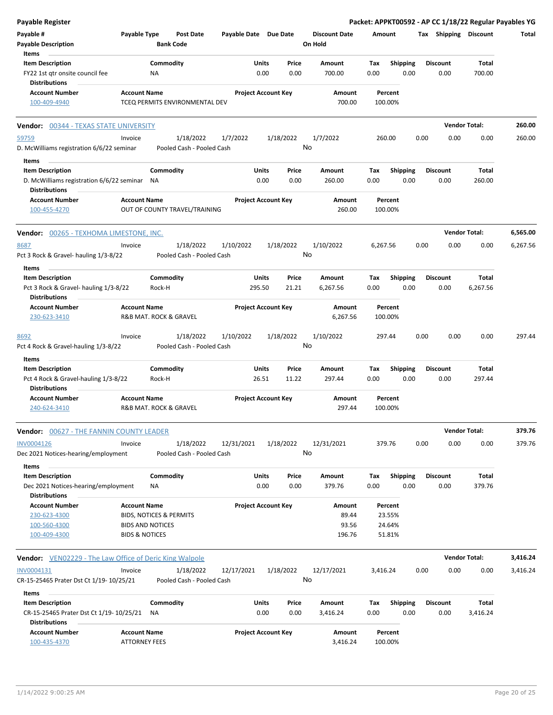| Payable Register                                          |                           |                                        |                       |                            |                                 |          |                 |      |                       | Packet: APPKT00592 - AP CC 1/18/22 Regular Payables YG |          |
|-----------------------------------------------------------|---------------------------|----------------------------------------|-----------------------|----------------------------|---------------------------------|----------|-----------------|------|-----------------------|--------------------------------------------------------|----------|
| Payable #<br><b>Payable Description</b>                   | Payable Type              | <b>Post Date</b><br><b>Bank Code</b>   | Payable Date Due Date |                            | <b>Discount Date</b><br>On Hold | Amount   |                 |      | Tax Shipping Discount |                                                        | Total    |
| Items                                                     |                           |                                        |                       |                            |                                 |          |                 |      |                       |                                                        |          |
| <b>Item Description</b>                                   |                           | Commodity                              | Units                 | Price                      | Amount                          | Tax      | Shipping        |      | <b>Discount</b>       | Total                                                  |          |
| FY22 1st gtr onsite council fee                           |                           | NA                                     |                       | 0.00<br>0.00               | 700.00                          | 0.00     | 0.00            |      | 0.00                  | 700.00                                                 |          |
| Distributions                                             |                           |                                        |                       |                            |                                 |          |                 |      |                       |                                                        |          |
| <b>Account Number</b>                                     | <b>Account Name</b>       |                                        |                       | <b>Project Account Key</b> | Amount                          | Percent  |                 |      |                       |                                                        |          |
| 100-409-4940                                              |                           | TCEQ PERMITS ENVIRONMENTAL DEV         |                       |                            | 700.00                          | 100.00%  |                 |      |                       |                                                        |          |
| <b>Vendor: 00344 - TEXAS STATE UNIVERSITY</b>             |                           |                                        |                       |                            |                                 |          |                 |      |                       | <b>Vendor Total:</b>                                   | 260.00   |
| 59759                                                     | Invoice                   | 1/18/2022                              | 1/7/2022              | 1/18/2022                  | 1/7/2022                        | 260.00   |                 | 0.00 | 0.00                  | 0.00                                                   | 260.00   |
| D. McWilliams registration 6/6/22 seminar                 |                           | Pooled Cash - Pooled Cash              |                       |                            | No                              |          |                 |      |                       |                                                        |          |
| Items                                                     |                           |                                        |                       |                            |                                 |          |                 |      |                       |                                                        |          |
| <b>Item Description</b>                                   |                           | Commodity                              | Units                 | Price                      | Amount                          | Tax      | <b>Shipping</b> |      | <b>Discount</b>       | <b>Total</b>                                           |          |
| D. McWilliams registration 6/6/22 seminar NA              |                           |                                        |                       | 0.00<br>0.00               | 260.00                          | 0.00     | 0.00            |      | 0.00                  | 260.00                                                 |          |
| <b>Distributions</b>                                      |                           |                                        |                       |                            |                                 |          |                 |      |                       |                                                        |          |
| <b>Account Number</b>                                     | <b>Account Name</b>       |                                        |                       | <b>Project Account Key</b> | Amount                          | Percent  |                 |      |                       |                                                        |          |
| 100-455-4270                                              |                           | OUT OF COUNTY TRAVEL/TRAINING          |                       |                            | 260.00                          | 100.00%  |                 |      |                       |                                                        |          |
| <b>Vendor:</b> 00265 - TEXHOMA LIMESTONE, INC.            |                           |                                        |                       |                            |                                 |          |                 |      |                       | <b>Vendor Total:</b>                                   | 6,565.00 |
| 8687                                                      | Invoice                   | 1/18/2022                              | 1/10/2022             | 1/18/2022                  | 1/10/2022                       | 6,267.56 |                 | 0.00 | 0.00                  | 0.00                                                   | 6,267.56 |
| Pct 3 Rock & Gravel- hauling 1/3-8/22                     |                           | Pooled Cash - Pooled Cash              |                       |                            | No                              |          |                 |      |                       |                                                        |          |
| Items                                                     |                           |                                        |                       |                            |                                 |          |                 |      |                       |                                                        |          |
| <b>Item Description</b>                                   |                           | Commodity                              | Units                 | Price                      | Amount                          | Tax      | <b>Shipping</b> |      | <b>Discount</b>       | Total                                                  |          |
| Pct 3 Rock & Gravel- hauling 1/3-8/22                     |                           | Rock-H                                 | 295.50                | 21.21                      | 6,267.56                        | 0.00     | 0.00            |      | 0.00                  | 6,267.56                                               |          |
| <b>Distributions</b>                                      |                           |                                        |                       |                            |                                 |          |                 |      |                       |                                                        |          |
| Account Number                                            | <b>Account Name</b>       |                                        |                       | <b>Project Account Key</b> | Amount                          | Percent  |                 |      |                       |                                                        |          |
| 230-623-3410                                              |                           | R&B MAT. ROCK & GRAVEL                 |                       |                            | 6,267.56                        | 100.00%  |                 |      |                       |                                                        |          |
|                                                           |                           |                                        |                       |                            |                                 | 297.44   |                 | 0.00 | 0.00                  | 0.00                                                   | 297.44   |
| 8692                                                      | Invoice                   | 1/18/2022<br>Pooled Cash - Pooled Cash | 1/10/2022             | 1/18/2022                  | 1/10/2022<br>No                 |          |                 |      |                       |                                                        |          |
| Pct 4 Rock & Gravel-hauling 1/3-8/22                      |                           |                                        |                       |                            |                                 |          |                 |      |                       |                                                        |          |
| Items                                                     |                           |                                        |                       |                            |                                 |          |                 |      |                       |                                                        |          |
| <b>Item Description</b>                                   |                           | Commodity                              | Units                 | Price                      | <b>Amount</b>                   | Tax      | <b>Shipping</b> |      | <b>Discount</b>       | <b>Total</b>                                           |          |
| Pct 4 Rock & Gravel-hauling 1/3-8/22                      |                           | Rock-H                                 | 26.51                 | 11.22                      | 297.44                          | 0.00     | 0.00            |      | 0.00                  | 297.44                                                 |          |
| <b>Distributions</b>                                      |                           |                                        |                       |                            |                                 |          |                 |      |                       |                                                        |          |
| <b>Account Number</b>                                     | <b>Account Name</b>       |                                        |                       | <b>Project Account Key</b> | Amount                          | Percent  |                 |      |                       |                                                        |          |
| 240-624-3410                                              |                           | R&B MAT. ROCK & GRAVEL                 |                       |                            | 297.44                          | 100.00%  |                 |      |                       |                                                        |          |
| <b>Vendor: </b> 00627 - THE FANNIN COUNTY LEADER          |                           |                                        |                       |                            |                                 |          |                 |      |                       | <b>Vendor Total:</b>                                   | 379.76   |
| INV0004126                                                | Invoice                   | 1/18/2022                              | 12/31/2021            | 1/18/2022                  | 12/31/2021                      | 379.76   |                 | 0.00 | 0.00                  | 0.00                                                   | 379.76   |
| Dec 2021 Notices-hearing/employment                       |                           | Pooled Cash - Pooled Cash              |                       |                            | No                              |          |                 |      |                       |                                                        |          |
| Items                                                     |                           |                                        |                       |                            |                                 |          |                 |      |                       |                                                        |          |
| <b>Item Description</b>                                   |                           | Commodity                              | Units                 | Price                      | Amount                          | Tax      | Shipping        |      | <b>Discount</b>       | Total                                                  |          |
| Dec 2021 Notices-hearing/employment                       |                           | ΝA                                     |                       | 0.00<br>0.00               | 379.76                          | 0.00     | 0.00            |      | 0.00                  | 379.76                                                 |          |
| <b>Distributions</b>                                      |                           |                                        |                       |                            |                                 |          |                 |      |                       |                                                        |          |
| <b>Account Number</b>                                     | <b>Account Name</b>       |                                        |                       | <b>Project Account Key</b> | Amount                          | Percent  |                 |      |                       |                                                        |          |
| 230-623-4300                                              |                           | <b>BIDS, NOTICES &amp; PERMITS</b>     |                       |                            | 89.44                           | 23.55%   |                 |      |                       |                                                        |          |
| 100-560-4300                                              |                           | <b>BIDS AND NOTICES</b>                |                       |                            | 93.56                           | 24.64%   |                 |      |                       |                                                        |          |
| 100-409-4300                                              | <b>BIDS &amp; NOTICES</b> |                                        |                       |                            | 196.76                          | 51.81%   |                 |      |                       |                                                        |          |
| Vendor: VEN02229 - The Law Office of Deric King Walpole   |                           |                                        |                       |                            |                                 |          |                 |      |                       | <b>Vendor Total:</b>                                   | 3,416.24 |
| INV0004131                                                | Invoice                   | 1/18/2022                              | 12/17/2021            | 1/18/2022                  | 12/17/2021                      | 3,416.24 |                 | 0.00 | 0.00                  | 0.00                                                   | 3,416.24 |
| CR-15-25465 Prater Dst Ct 1/19- 10/25/21                  |                           | Pooled Cash - Pooled Cash              |                       |                            | No                              |          |                 |      |                       |                                                        |          |
| Items                                                     |                           |                                        |                       |                            |                                 |          |                 |      |                       |                                                        |          |
| <b>Item Description</b>                                   |                           | Commodity                              | Units                 | Price                      | Amount                          | Tax      | Shipping        |      | <b>Discount</b>       | Total                                                  |          |
| CR-15-25465 Prater Dst Ct 1/19- 10/25/21<br>Distributions |                           | <b>NA</b>                              |                       | 0.00<br>0.00               | 3,416.24                        | 0.00     | 0.00            |      | 0.00                  | 3,416.24                                               |          |
| Account Number                                            | <b>Account Name</b>       |                                        |                       | <b>Project Account Key</b> | Amount                          | Percent  |                 |      |                       |                                                        |          |
| 100-435-4370                                              | <b>ATTORNEY FEES</b>      |                                        |                       |                            | 3,416.24                        | 100.00%  |                 |      |                       |                                                        |          |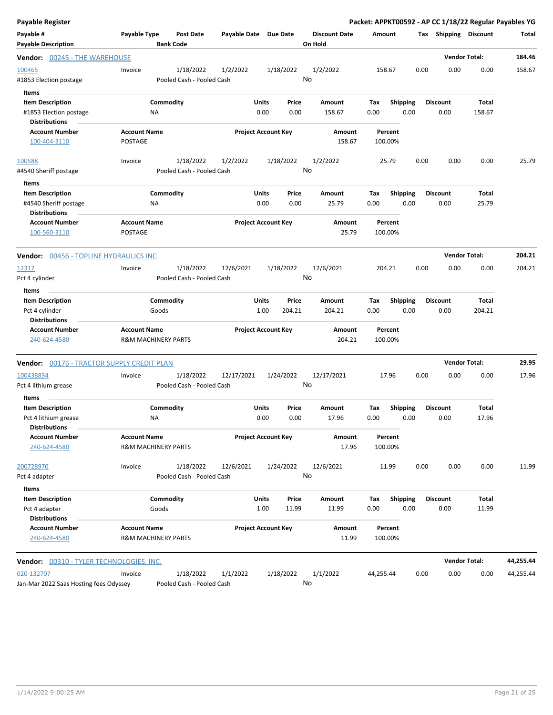| <b>Payable Register</b>                                                            |                                                       |                                        |                            |                      |                 |                                 |                    |                         |      |                         |                      | Packet: APPKT00592 - AP CC 1/18/22 Regular Payables YG |
|------------------------------------------------------------------------------------|-------------------------------------------------------|----------------------------------------|----------------------------|----------------------|-----------------|---------------------------------|--------------------|-------------------------|------|-------------------------|----------------------|--------------------------------------------------------|
| Payable #<br><b>Payable Description</b>                                            | Payable Type                                          | Post Date<br><b>Bank Code</b>          | Payable Date Due Date      |                      |                 | <b>Discount Date</b><br>On Hold | Amount             |                         |      | Tax Shipping Discount   |                      | Total                                                  |
| <b>Vendor: 00245 - THE WAREHOUSE</b>                                               |                                                       |                                        |                            |                      |                 |                                 |                    |                         |      |                         | <b>Vendor Total:</b> | 184.46                                                 |
| 100465<br>#1853 Election postage                                                   | Invoice                                               | 1/18/2022<br>Pooled Cash - Pooled Cash | 1/2/2022                   |                      | 1/18/2022       | 1/2/2022<br>No                  | 158.67             |                         | 0.00 | 0.00                    | 0.00                 | 158.67                                                 |
| Items<br><b>Item Description</b><br>#1853 Election postage<br><b>Distributions</b> | Commodity<br>ΝA                                       |                                        |                            | <b>Units</b><br>0.00 | Price<br>0.00   | Amount<br>158.67                | Tax<br>0.00        | <b>Shipping</b><br>0.00 |      | <b>Discount</b><br>0.00 | Total<br>158.67      |                                                        |
| <b>Account Number</b><br>100-404-3110                                              | <b>Account Name</b><br>POSTAGE                        |                                        | <b>Project Account Key</b> |                      |                 | Amount<br>158.67                | Percent<br>100.00% |                         |      |                         |                      |                                                        |
| 100588<br>#4540 Sheriff postage                                                    | Invoice                                               | 1/18/2022<br>Pooled Cash - Pooled Cash | 1/2/2022                   |                      | 1/18/2022       | 1/2/2022<br>No                  | 25.79              |                         | 0.00 | 0.00                    | 0.00                 | 25.79                                                  |
| Items<br><b>Item Description</b><br>#4540 Sheriff postage<br><b>Distributions</b>  | Commodity<br>NA                                       |                                        |                            | Units<br>0.00        | Price<br>0.00   | Amount<br>25.79                 | Tax<br>0.00        | <b>Shipping</b><br>0.00 |      | <b>Discount</b><br>0.00 | Total<br>25.79       |                                                        |
| <b>Account Number</b><br>100-560-3110                                              | <b>Account Name</b><br>POSTAGE                        |                                        | <b>Project Account Key</b> |                      |                 | <b>Amount</b><br>25.79          | Percent<br>100.00% |                         |      |                         |                      |                                                        |
| <b>Vendor: 00456 - TOPLINE HYDRAULICS INC</b>                                      |                                                       |                                        |                            |                      |                 |                                 |                    |                         |      |                         | <b>Vendor Total:</b> | 204.21                                                 |
| 12317<br>Pct 4 cylinder                                                            | Invoice                                               | 1/18/2022<br>Pooled Cash - Pooled Cash | 12/6/2021                  |                      | 1/18/2022       | 12/6/2021<br>No                 | 204.21             |                         | 0.00 | 0.00                    | 0.00                 | 204.21                                                 |
| Items<br><b>Item Description</b><br>Pct 4 cylinder<br><b>Distributions</b>         | Commodity<br>Goods                                    |                                        |                            | <b>Units</b><br>1.00 | Price<br>204.21 | Amount<br>204.21                | Tax<br>0.00        | <b>Shipping</b><br>0.00 |      | <b>Discount</b><br>0.00 | Total<br>204.21      |                                                        |
| <b>Account Number</b><br>240-624-4580                                              | <b>Account Name</b><br><b>R&amp;M MACHINERY PARTS</b> |                                        | <b>Project Account Key</b> |                      |                 | Amount<br>204.21                | Percent<br>100.00% |                         |      |                         |                      |                                                        |
| Vendor: 00176 - TRACTOR SUPPLY CREDIT PLAN                                         |                                                       |                                        |                            |                      |                 |                                 |                    |                         |      |                         | <b>Vendor Total:</b> | 29.95                                                  |
| 100438834<br>Pct 4 lithium grease                                                  | Invoice                                               | 1/18/2022<br>Pooled Cash - Pooled Cash | 12/17/2021                 |                      | 1/24/2022       | 12/17/2021<br>No                | 17.96              |                         | 0.00 | 0.00                    | 0.00                 | 17.96                                                  |
| Items<br><b>Item Description</b><br>Pct 4 lithium grease<br><b>Distributions</b>   | Commodity<br>NA                                       |                                        |                            | Units<br>0.00        | Price<br>0.00   | Amount<br>17.96                 | Tax<br>0.00        | <b>Shipping</b><br>0.00 |      | <b>Discount</b><br>0.00 | Total<br>17.96       |                                                        |
| <b>Account Number</b><br>240-624-4580                                              | <b>Account Name</b><br><b>R&amp;M MACHINERY PARTS</b> |                                        | <b>Project Account Key</b> |                      |                 | Amount<br>17.96                 | Percent<br>100.00% |                         |      |                         |                      |                                                        |
| 200728970<br>Pct 4 adapter                                                         | Invoice                                               | 1/18/2022<br>Pooled Cash - Pooled Cash | 12/6/2021                  |                      | 1/24/2022       | 12/6/2021<br>No                 | 11.99              |                         | 0.00 | 0.00                    | 0.00                 | 11.99                                                  |
| Items<br><b>Item Description</b><br>Pct 4 adapter<br><b>Distributions</b>          | Commodity<br>Goods                                    |                                        |                            | Units<br>1.00        | Price<br>11.99  | Amount<br>11.99                 | Тах<br>0.00        | <b>Shipping</b><br>0.00 |      | <b>Discount</b><br>0.00 | Total<br>11.99       |                                                        |
| <b>Account Number</b><br>240-624-4580                                              | <b>Account Name</b><br><b>R&amp;M MACHINERY PARTS</b> |                                        | <b>Project Account Key</b> |                      |                 | Amount<br>11.99                 | Percent<br>100.00% |                         |      |                         |                      |                                                        |
| <b>Vendor: 00310 - TYLER TECHNOLOGIES, INC.</b>                                    |                                                       |                                        |                            |                      |                 |                                 |                    |                         |      |                         | <b>Vendor Total:</b> | 44,255.44                                              |
| 020-132707<br>Jan-Mar 2022 Saas Hosting fees Odyssey                               | Invoice                                               | 1/18/2022<br>Pooled Cash - Pooled Cash | 1/1/2022                   |                      | 1/18/2022       | 1/1/2022<br>No                  | 44,255.44          |                         | 0.00 | 0.00                    | 0.00                 | 44,255.44                                              |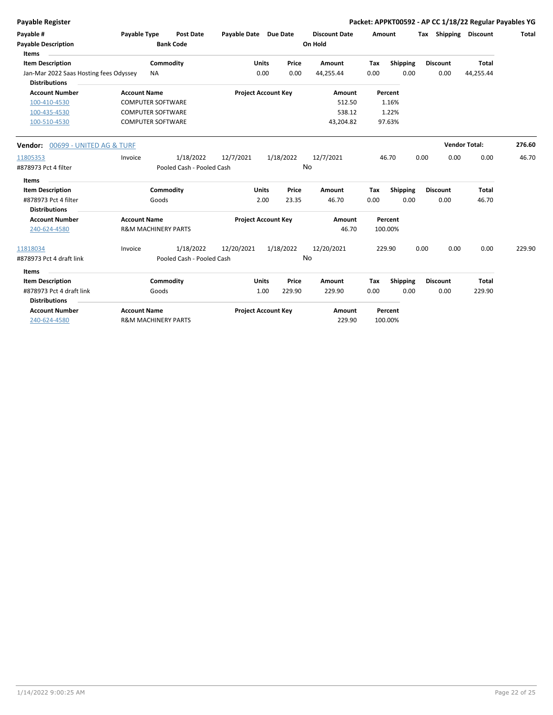**Payable Register Packet: APPKT00592 - AP CC 1/18/22 Regular Payables YG**

| Payable #<br><b>Payable Description</b><br>Items               | Payable Type                   | <b>Post Date</b><br><b>Bank Code</b> | Payable Date Due Date      |              |           | <b>Discount Date</b><br>On Hold | Amount |                 |      | Tax Shipping         | <b>Discount</b> | Total  |
|----------------------------------------------------------------|--------------------------------|--------------------------------------|----------------------------|--------------|-----------|---------------------------------|--------|-----------------|------|----------------------|-----------------|--------|
| <b>Item Description</b>                                        |                                | Commodity                            |                            | <b>Units</b> | Price     | Amount                          | Tax    | <b>Shipping</b> |      | <b>Discount</b>      | Total           |        |
| Jan-Mar 2022 Saas Hosting fees Odyssey<br><b>Distributions</b> | <b>NA</b>                      |                                      |                            | 0.00         | 0.00      | 44,255.44                       | 0.00   | 0.00            |      | 0.00                 | 44,255.44       |        |
| <b>Account Number</b>                                          | <b>Account Name</b>            |                                      | <b>Project Account Key</b> |              |           | Amount                          |        | Percent         |      |                      |                 |        |
| 100-410-4530                                                   | <b>COMPUTER SOFTWARE</b>       |                                      |                            |              |           | 512.50                          |        | 1.16%           |      |                      |                 |        |
| 100-435-4530                                                   | <b>COMPUTER SOFTWARE</b>       |                                      |                            |              |           | 538.12                          |        | 1.22%           |      |                      |                 |        |
| 100-510-4530                                                   | <b>COMPUTER SOFTWARE</b>       |                                      |                            |              |           | 43,204.82                       |        | 97.63%          |      |                      |                 |        |
| <b>Vendor:</b> 00699 - UNITED AG & TURF                        |                                |                                      |                            |              |           |                                 |        |                 |      | <b>Vendor Total:</b> |                 | 276.60 |
| 11805353                                                       | Invoice                        | 1/18/2022                            | 12/7/2021                  |              | 1/18/2022 | 12/7/2021                       |        | 46.70           | 0.00 | 0.00                 | 0.00            | 46.70  |
| #878973 Pct 4 filter                                           |                                | Pooled Cash - Pooled Cash            |                            |              | No        |                                 |        |                 |      |                      |                 |        |
| Items                                                          |                                |                                      |                            |              |           |                                 |        |                 |      |                      |                 |        |
| <b>Item Description</b>                                        |                                | Commodity                            |                            | <b>Units</b> | Price     | Amount                          | Tax    | <b>Shipping</b> |      | <b>Discount</b>      | <b>Total</b>    |        |
| #878973 Pct 4 filter                                           | Goods                          |                                      |                            | 2.00         | 23.35     | 46.70                           | 0.00   | 0.00            |      | 0.00                 | 46.70           |        |
| <b>Distributions</b>                                           |                                |                                      |                            |              |           |                                 |        |                 |      |                      |                 |        |
| <b>Account Number</b>                                          | <b>Account Name</b>            |                                      | <b>Project Account Key</b> |              |           | Amount                          |        | Percent         |      |                      |                 |        |
| 240-624-4580                                                   | <b>R&amp;M MACHINERY PARTS</b> |                                      |                            |              |           | 46.70                           |        | 100.00%         |      |                      |                 |        |
| 11818034                                                       | Invoice                        | 1/18/2022                            | 12/20/2021                 |              | 1/18/2022 | 12/20/2021                      |        | 229.90          | 0.00 | 0.00                 | 0.00            | 229.90 |
| #878973 Pct 4 draft link                                       |                                | Pooled Cash - Pooled Cash            |                            |              | No        |                                 |        |                 |      |                      |                 |        |
| Items                                                          |                                |                                      |                            |              |           |                                 |        |                 |      |                      |                 |        |
| <b>Item Description</b>                                        |                                | Commodity                            |                            | <b>Units</b> | Price     | Amount                          | Tax    | <b>Shipping</b> |      | <b>Discount</b>      | <b>Total</b>    |        |
| #878973 Pct 4 draft link                                       | Goods                          |                                      |                            | 1.00         | 229.90    | 229.90                          | 0.00   | 0.00            |      | 0.00                 | 229.90          |        |
| <b>Distributions</b>                                           |                                |                                      |                            |              |           |                                 |        |                 |      |                      |                 |        |
| <b>Account Number</b>                                          | <b>Account Name</b>            |                                      | <b>Project Account Key</b> |              |           | Amount                          |        | Percent         |      |                      |                 |        |
| 240-624-4580                                                   | <b>R&amp;M MACHINERY PARTS</b> |                                      |                            |              |           | 229.90                          |        | 100.00%         |      |                      |                 |        |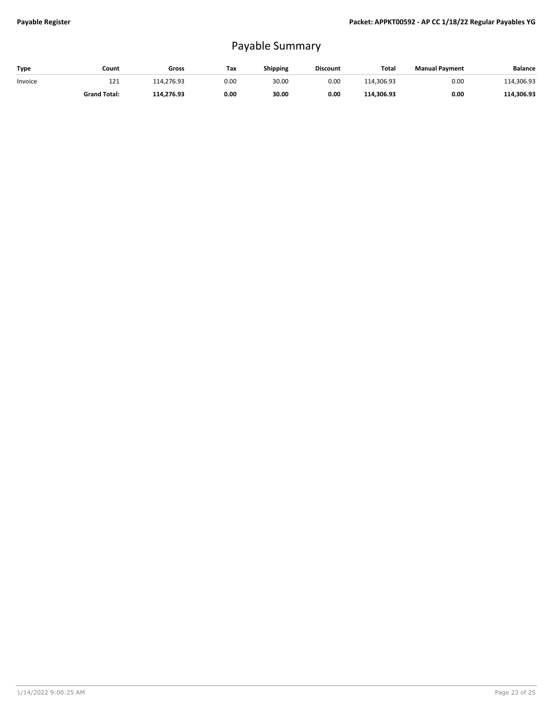## Payable Summary

| Type    | Count               | Gross      | Tax  | <b>Shipping</b> | <b>Discount</b> | <b>Total</b> | <b>Manual Payment</b> | <b>Balance</b> |
|---------|---------------------|------------|------|-----------------|-----------------|--------------|-----------------------|----------------|
| Invoice | 121                 | 114.276.93 | 0.00 | 30.00           | 0.00            | 114.306.93   | 0.00                  | 114.306.93     |
|         | <b>Grand Total:</b> | 114.276.93 | 0.00 | 30.00           | 0.00            | 114.306.93   | 0.00                  | 114,306.93     |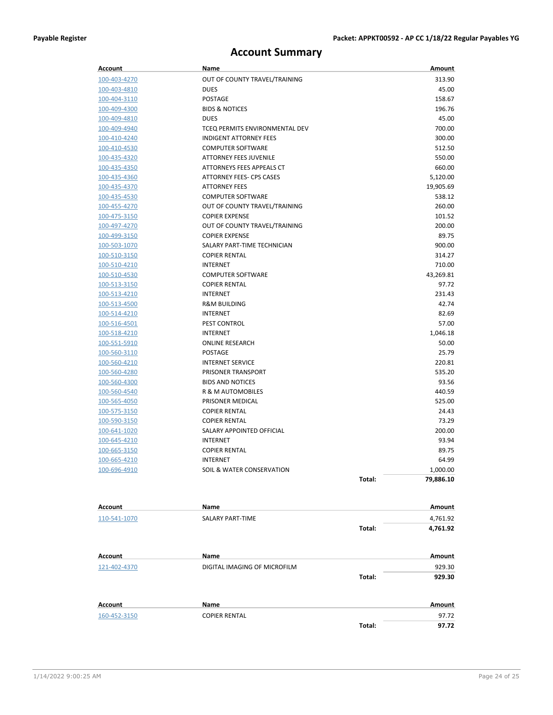## **Account Summary**

| Account             | Name                           |        | Amount        |
|---------------------|--------------------------------|--------|---------------|
| 100-403-4270        | OUT OF COUNTY TRAVEL/TRAINING  |        | 313.90        |
| 100-403-4810        | <b>DUES</b>                    |        | 45.00         |
| 100-404-3110        | <b>POSTAGE</b>                 |        | 158.67        |
| 100-409-4300        | <b>BIDS &amp; NOTICES</b>      |        | 196.76        |
| 100-409-4810        | <b>DUES</b>                    |        | 45.00         |
| 100-409-4940        | TCEQ PERMITS ENVIRONMENTAL DEV |        | 700.00        |
| 100-410-4240        | <b>INDIGENT ATTORNEY FEES</b>  |        | 300.00        |
| 100-410-4530        | <b>COMPUTER SOFTWARE</b>       |        | 512.50        |
| 100-435-4320        | <b>ATTORNEY FEES JUVENILE</b>  |        | 550.00        |
| 100-435-4350        | ATTORNEYS FEES APPEALS CT      |        | 660.00        |
| 100-435-4360        | ATTORNEY FEES- CPS CASES       |        | 5,120.00      |
| 100-435-4370        | <b>ATTORNEY FEES</b>           |        | 19,905.69     |
| 100-435-4530        | <b>COMPUTER SOFTWARE</b>       |        | 538.12        |
| 100-455-4270        | OUT OF COUNTY TRAVEL/TRAINING  |        | 260.00        |
| 100-475-3150        | <b>COPIER EXPENSE</b>          |        | 101.52        |
| <u>100-497-4270</u> | OUT OF COUNTY TRAVEL/TRAINING  |        | 200.00        |
| 100-499-3150        | <b>COPIER EXPENSE</b>          |        | 89.75         |
| 100-503-1070        | SALARY PART-TIME TECHNICIAN    |        | 900.00        |
| 100-510-3150        | <b>COPIER RENTAL</b>           |        | 314.27        |
| 100-510-4210        | <b>INTERNET</b>                |        | 710.00        |
| 100-510-4530        | <b>COMPUTER SOFTWARE</b>       |        | 43,269.81     |
| 100-513-3150        | <b>COPIER RENTAL</b>           |        | 97.72         |
| 100-513-4210        | <b>INTERNET</b>                |        | 231.43        |
| 100-513-4500        | <b>R&amp;M BUILDING</b>        |        | 42.74         |
| 100-514-4210        | <b>INTERNET</b>                |        | 82.69         |
| 100-516-4501        | <b>PEST CONTROL</b>            |        | 57.00         |
| 100-518-4210        | <b>INTERNET</b>                |        | 1,046.18      |
| 100-551-5910        | <b>ONLINE RESEARCH</b>         |        | 50.00         |
| 100-560-3110        | POSTAGE                        |        | 25.79         |
| 100-560-4210        | <b>INTERNET SERVICE</b>        |        | 220.81        |
| 100-560-4280        | PRISONER TRANSPORT             |        | 535.20        |
| 100-560-4300        | <b>BIDS AND NOTICES</b>        |        | 93.56         |
| 100-560-4540        | R & M AUTOMOBILES              |        | 440.59        |
| 100-565-4050        | PRISONER MEDICAL               |        | 525.00        |
| 100-575-3150        | <b>COPIER RENTAL</b>           |        | 24.43         |
| <u>100-590-3150</u> | <b>COPIER RENTAL</b>           |        | 73.29         |
| <u>100-641-1020</u> | SALARY APPOINTED OFFICIAL      |        | 200.00        |
| 100-645-4210        | <b>INTERNET</b>                |        | 93.94         |
| 100-665-3150        | <b>COPIER RENTAL</b>           |        | 89.75         |
| 100-665-4210        | <b>INTERNET</b>                |        | 64.99         |
| 100-696-4910        | SOIL & WATER CONSERVATION      |        | 1,000.00      |
|                     |                                | Total: | 79,886.10     |
|                     |                                |        |               |
| Account             | Name                           |        | <b>Amount</b> |
| 110-541-1070        | SALARY PART-TIME               |        | 4,761.92      |
|                     |                                | Total: | 4,761.92      |
| Account             | Name                           |        | Amount        |
| 121-402-4370        | DIGITAL IMAGING OF MICROFILM   |        | 929.30        |
|                     |                                | Total: | 929.30        |
|                     |                                |        |               |
| <b>Account</b>      | Name                           |        | Amount        |
| 160-452-3150        | <b>COPIER RENTAL</b>           |        | 97.72         |
|                     |                                | Total: | 97.72         |